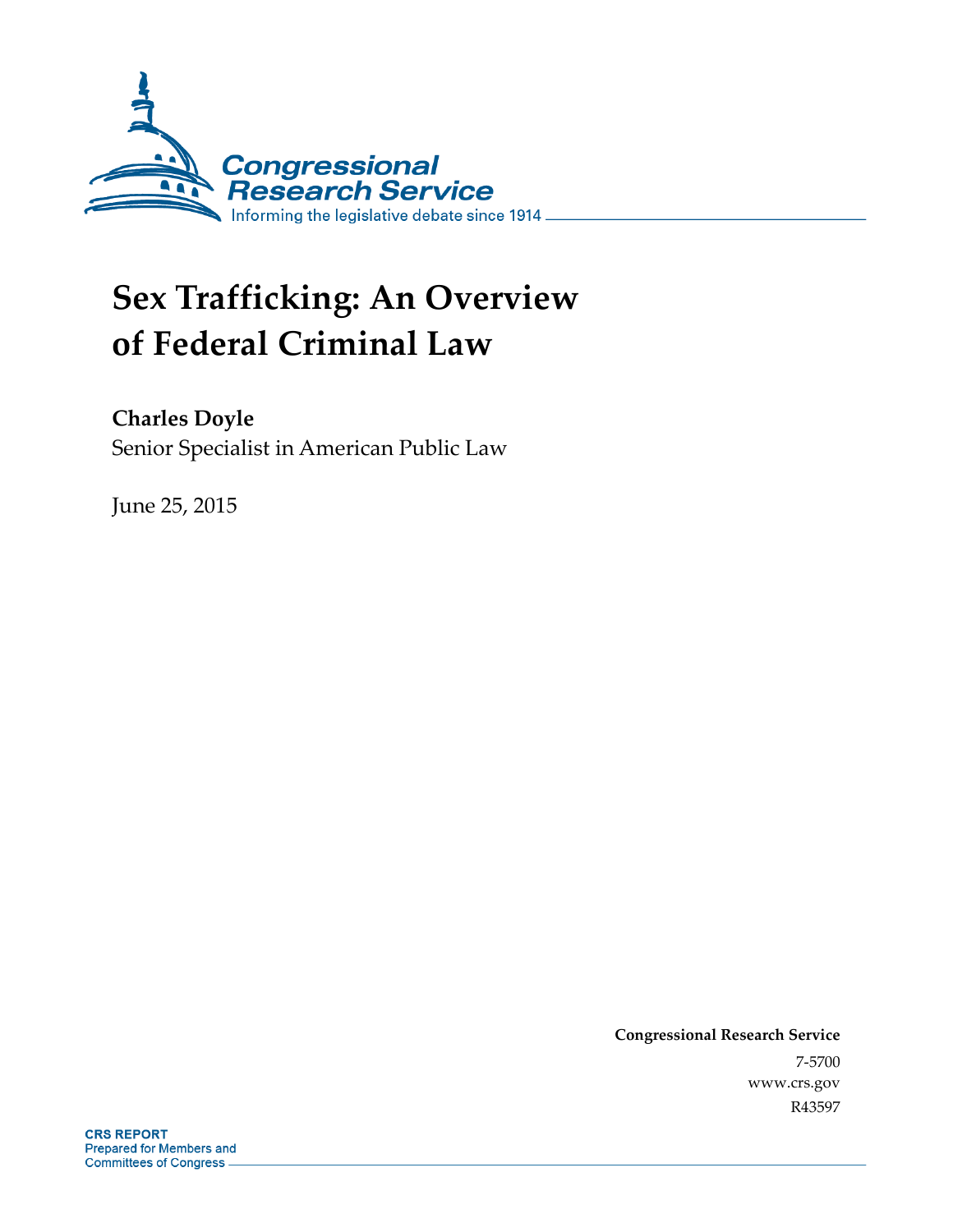

# **Sex Trafficking: An Overview of Federal Criminal Law**

**Charles Doyle** 

Senior Specialist in American Public Law

June 25, 2015

**Congressional Research Service**  7-5700 www.crs.gov R43597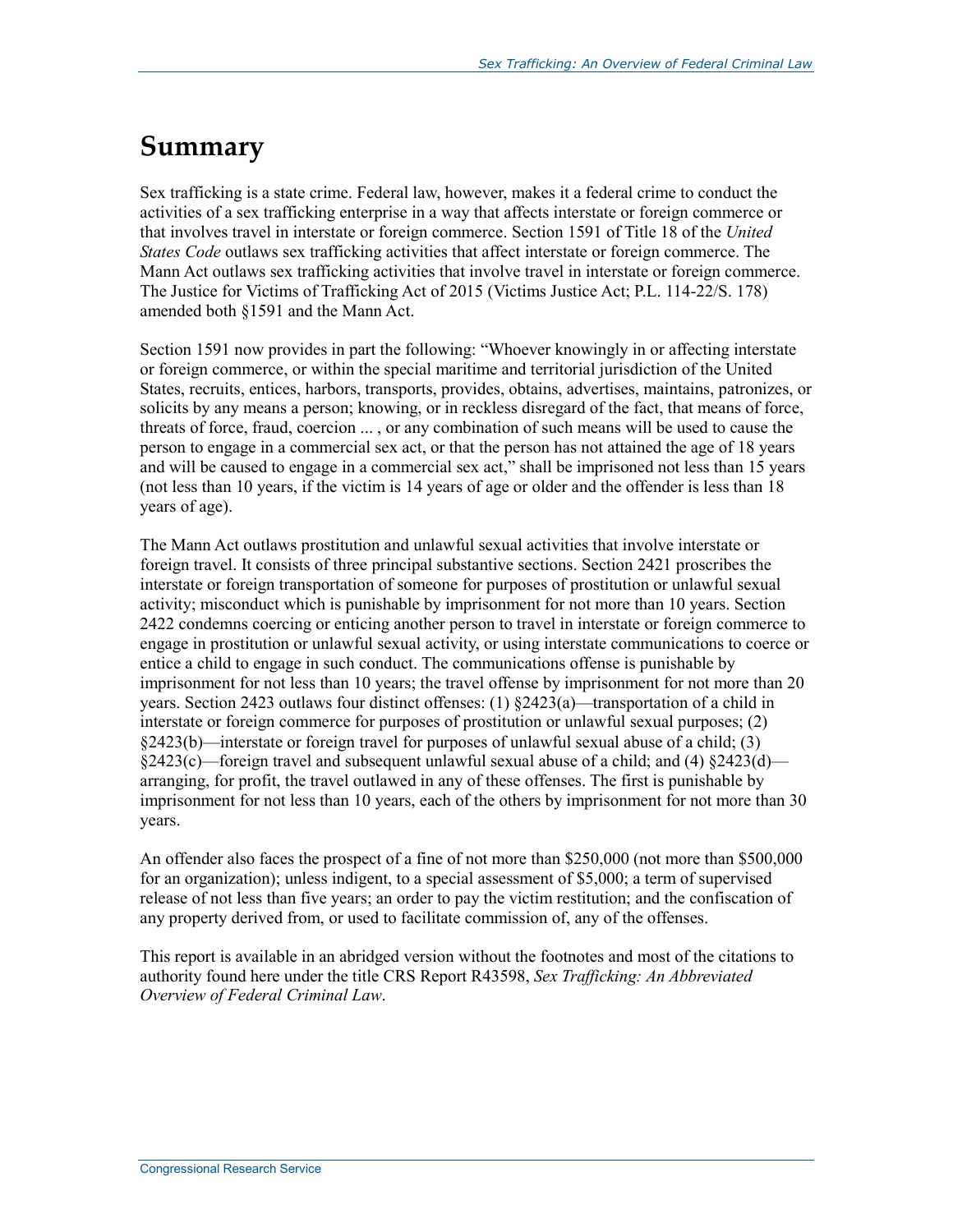## **Summary**

Sex trafficking is a state crime. Federal law, however, makes it a federal crime to conduct the activities of a sex trafficking enterprise in a way that affects interstate or foreign commerce or that involves travel in interstate or foreign commerce. Section 1591 of Title 18 of the *United States Code* outlaws sex trafficking activities that affect interstate or foreign commerce. The Mann Act outlaws sex trafficking activities that involve travel in interstate or foreign commerce. The Justice for Victims of Trafficking Act of 2015 (Victims Justice Act; P.L. 114-22/S. 178) amended both §1591 and the Mann Act.

Section 1591 now provides in part the following: "Whoever knowingly in or affecting interstate or foreign commerce, or within the special maritime and territorial jurisdiction of the United States, recruits, entices, harbors, transports, provides, obtains, advertises, maintains, patronizes, or solicits by any means a person; knowing, or in reckless disregard of the fact, that means of force, threats of force, fraud, coercion ... , or any combination of such means will be used to cause the person to engage in a commercial sex act, or that the person has not attained the age of 18 years and will be caused to engage in a commercial sex act," shall be imprisoned not less than 15 years (not less than 10 years, if the victim is 14 years of age or older and the offender is less than 18 years of age).

The Mann Act outlaws prostitution and unlawful sexual activities that involve interstate or foreign travel. It consists of three principal substantive sections. Section 2421 proscribes the interstate or foreign transportation of someone for purposes of prostitution or unlawful sexual activity; misconduct which is punishable by imprisonment for not more than 10 years. Section 2422 condemns coercing or enticing another person to travel in interstate or foreign commerce to engage in prostitution or unlawful sexual activity, or using interstate communications to coerce or entice a child to engage in such conduct. The communications offense is punishable by imprisonment for not less than 10 years; the travel offense by imprisonment for not more than 20 years. Section 2423 outlaws four distinct offenses:  $(1)$   $\S2423(a)$ —transportation of a child in interstate or foreign commerce for purposes of prostitution or unlawful sexual purposes; (2) §2423(b)—interstate or foreign travel for purposes of unlawful sexual abuse of a child; (3) §2423(c)—foreign travel and subsequent unlawful sexual abuse of a child; and (4) §2423(d) arranging, for profit, the travel outlawed in any of these offenses. The first is punishable by imprisonment for not less than 10 years, each of the others by imprisonment for not more than 30 years.

An offender also faces the prospect of a fine of not more than \$250,000 (not more than \$500,000 for an organization); unless indigent, to a special assessment of \$5,000; a term of supervised release of not less than five years; an order to pay the victim restitution; and the confiscation of any property derived from, or used to facilitate commission of, any of the offenses.

This report is available in an abridged version without the footnotes and most of the citations to authority found here under the title CRS Report R43598, *Sex Trafficking: An Abbreviated Overview of Federal Criminal Law*.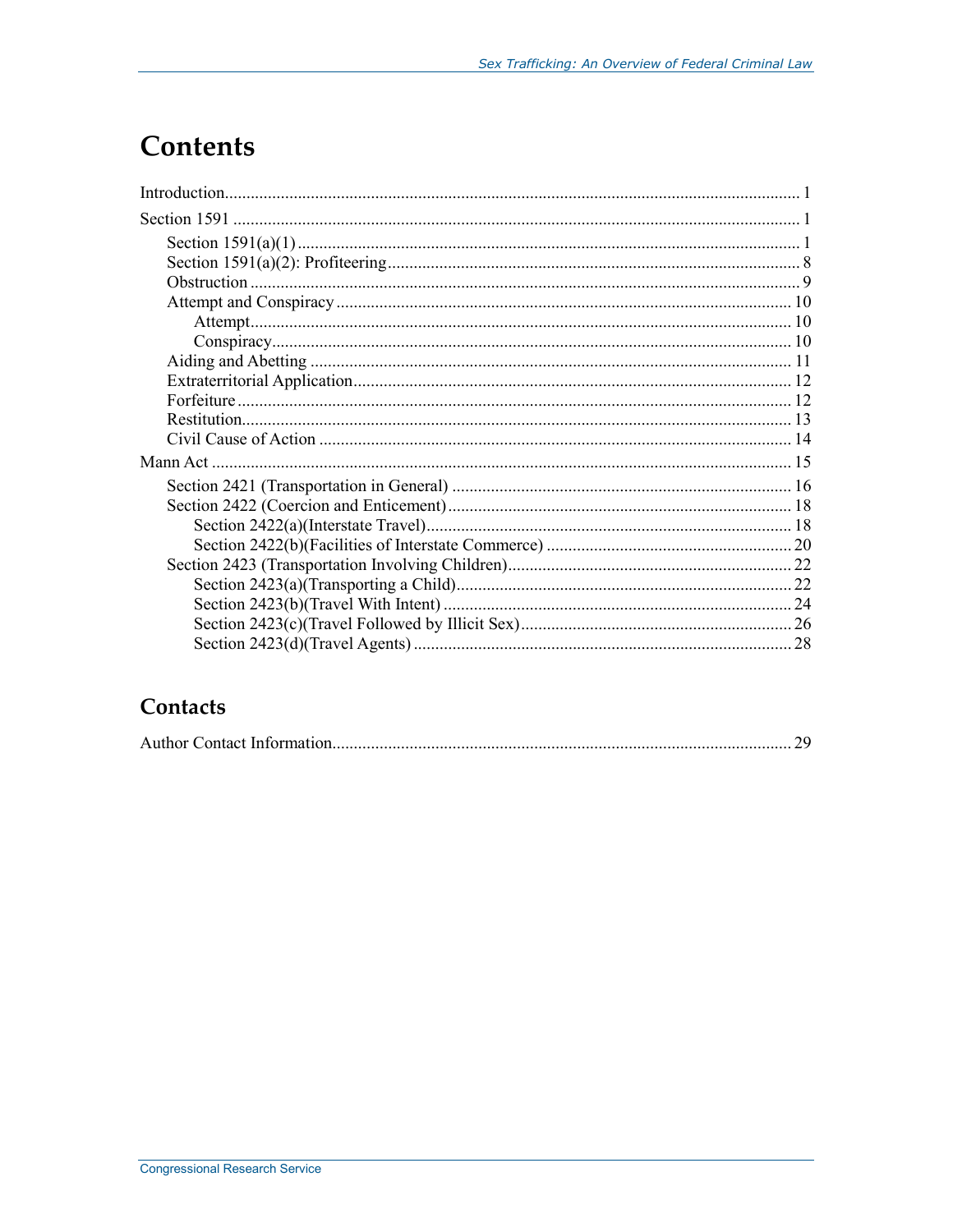## **Contents**

## Contacts

|--|--|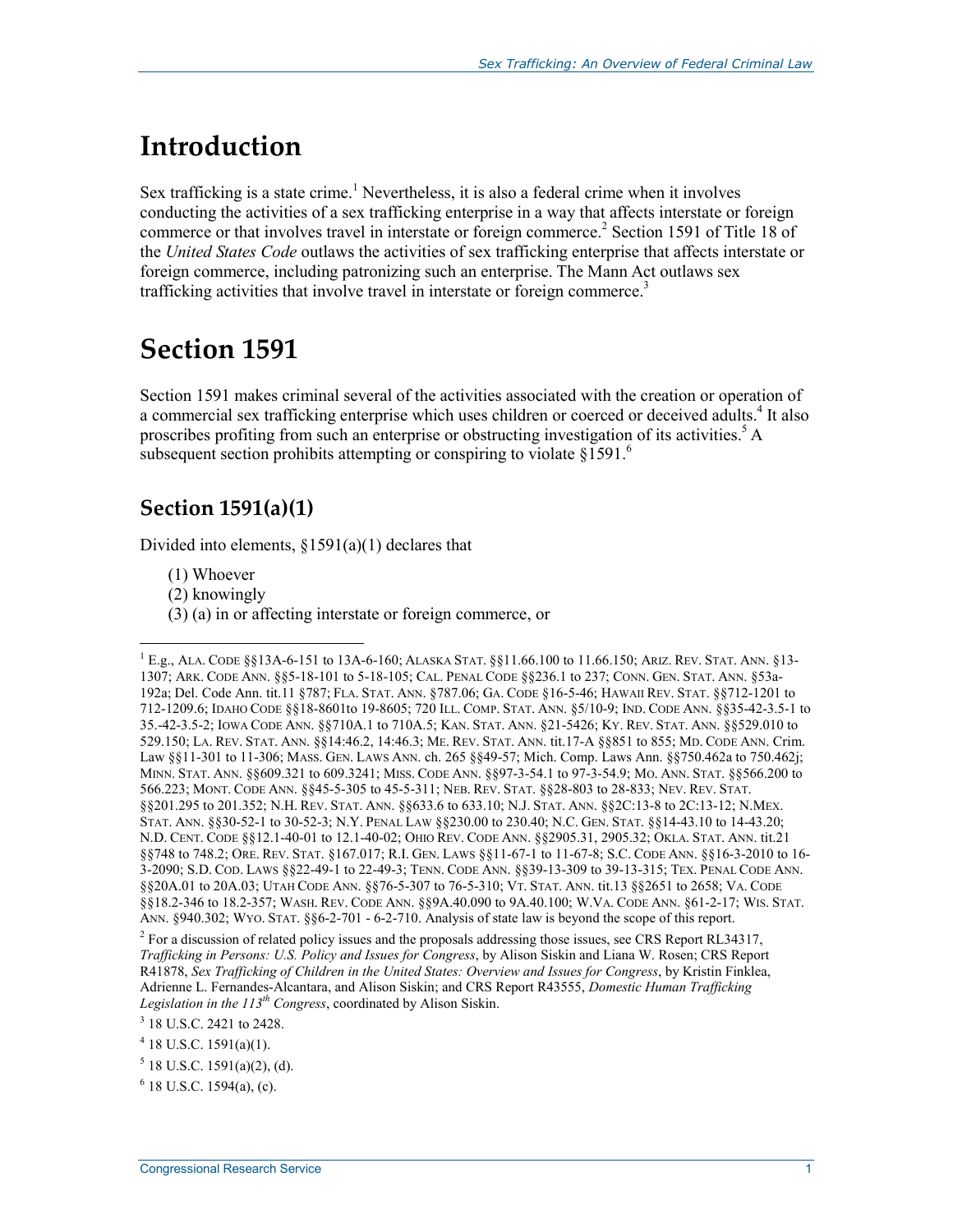## **Introduction**

Sex trafficking is a state crime.<sup>1</sup> Nevertheless, it is also a federal crime when it involves conducting the activities of a sex trafficking enterprise in a way that affects interstate or foreign commerce or that involves travel in interstate or foreign commerce.<sup>2</sup> Section 1591 of Title 18 of the *United States Code* outlaws the activities of sex trafficking enterprise that affects interstate or foreign commerce, including patronizing such an enterprise. The Mann Act outlaws sex trafficking activities that involve travel in interstate or foreign commerce.<sup>3</sup>

## **Section 1591**

Section 1591 makes criminal several of the activities associated with the creation or operation of a commercial sex trafficking enterprise which uses children or coerced or deceived adults.<sup>4</sup> It also proscribes profiting from such an enterprise or obstructing investigation of its activities.<sup>5</sup> A subsequent section prohibits attempting or conspiring to violate  $§1591$ .<sup>6</sup>

## **Section 1591(a)(1)**

Divided into elements,  $$1591(a)(1)$  declares that

(1) Whoever

- (2) knowingly
- (3) (a) in or affecting interstate or foreign commerce, or

<sup>1</sup> E.g., ALA. CODE §§13A-6-151 to 13A-6-160; ALASKA STAT. §§11.66.100 to 11.66.150; ARIZ. REV. STAT. ANN. §13- 1307; ARK. CODE ANN. §§5-18-101 to 5-18-105; CAL. PENAL CODE §§236.1 to 237; CONN. GEN. STAT. ANN. §53a-192a; Del. Code Ann. tit.11 §787; FLA. STAT. ANN. §787.06; GA. CODE §16-5-46; HAWAII REV. STAT. §§712-1201 to 712-1209.6; IDAHO CODE §§18-8601to 19-8605; 720 ILL. COMP. STAT. ANN. §5/10-9; IND. CODE ANN. §§35-42-3.5-1 to 35.-42-3.5-2; IOWA CODE ANN. §§710A.1 to 710A.5; KAN. STAT. ANN. §21-5426; KY. REV. STAT. ANN. §§529.010 to 529.150; LA. REV. STAT. ANN. §§14:46.2, 14:46.3; ME. REV. STAT. ANN. tit.17-A §§851 to 855; MD. CODE ANN. Crim. Law §§11-301 to 11-306; MASS. GEN. LAWS ANN. ch. 265 §§49-57; Mich. Comp. Laws Ann. §§750.462a to 750.462j; MINN. STAT. ANN. §§609.321 to 609.3241; MISS. CODE ANN. §§97-3-54.1 to 97-3-54.9; MO. ANN. STAT. §§566.200 to 566.223; MONT. CODE ANN. §§45-5-305 to 45-5-311; NEB. REV. STAT. §§28-803 to 28-833; NEV. REV. STAT. §§201.295 to 201.352; N.H. REV. STAT. ANN. §§633.6 to 633.10; N.J. STAT. ANN. §§2C:13-8 to 2C:13-12; N.MEX. STAT. ANN. §§30-52-1 to 30-52-3; N.Y. PENAL LAW §§230.00 to 230.40; N.C. GEN. STAT. §§14-43.10 to 14-43.20; N.D. CENT. CODE §§12.1-40-01 to 12.1-40-02; OHIO REV. CODE ANN. §§2905.31, 2905.32; OKLA. STAT. ANN. tit.21 §§748 to 748.2; ORE. REV. STAT. §167.017; R.I. GEN. LAWS §§11-67-1 to 11-67-8; S.C. CODE ANN. §§16-3-2010 to 16- 3-2090; S.D. COD. LAWS §§22-49-1 to 22-49-3; TENN. CODE ANN. §§39-13-309 to 39-13-315; TEX. PENAL CODE ANN. §§20A.01 to 20A.03; UTAH CODE ANN. §§76-5-307 to 76-5-310; VT. STAT. ANN. tit.13 §§2651 to 2658; VA. CODE §§18.2-346 to 18.2-357; WASH. REV. CODE ANN. §§9A.40.090 to 9A.40.100; W.VA. CODE ANN. §61-2-17; WIS. STAT. ANN. §940.302; WYO. STAT. §§6-2-701 - 6-2-710. Analysis of state law is beyond the scope of this report.

<sup>&</sup>lt;sup>2</sup> For a discussion of related policy issues and the proposals addressing those issues, see CRS Report RL34317, *Trafficking in Persons: U.S. Policy and Issues for Congress*, by Alison Siskin and Liana W. Rosen; CRS Report R41878, *Sex Trafficking of Children in the United States: Overview and Issues for Congress*, by Kristin Finklea, Adrienne L. Fernandes-Alcantara, and Alison Siskin; and CRS Report R43555, *Domestic Human Trafficking Legislation in the 113th Congress*, coordinated by Alison Siskin.

<sup>&</sup>lt;sup>3</sup> 18 U.S.C. 2421 to 2428.

 $4$  18 U.S.C. 1591(a)(1).

 $<sup>5</sup>$  18 U.S.C. 1591(a)(2), (d).</sup>

 $6$  18 U.S.C. 1594(a), (c).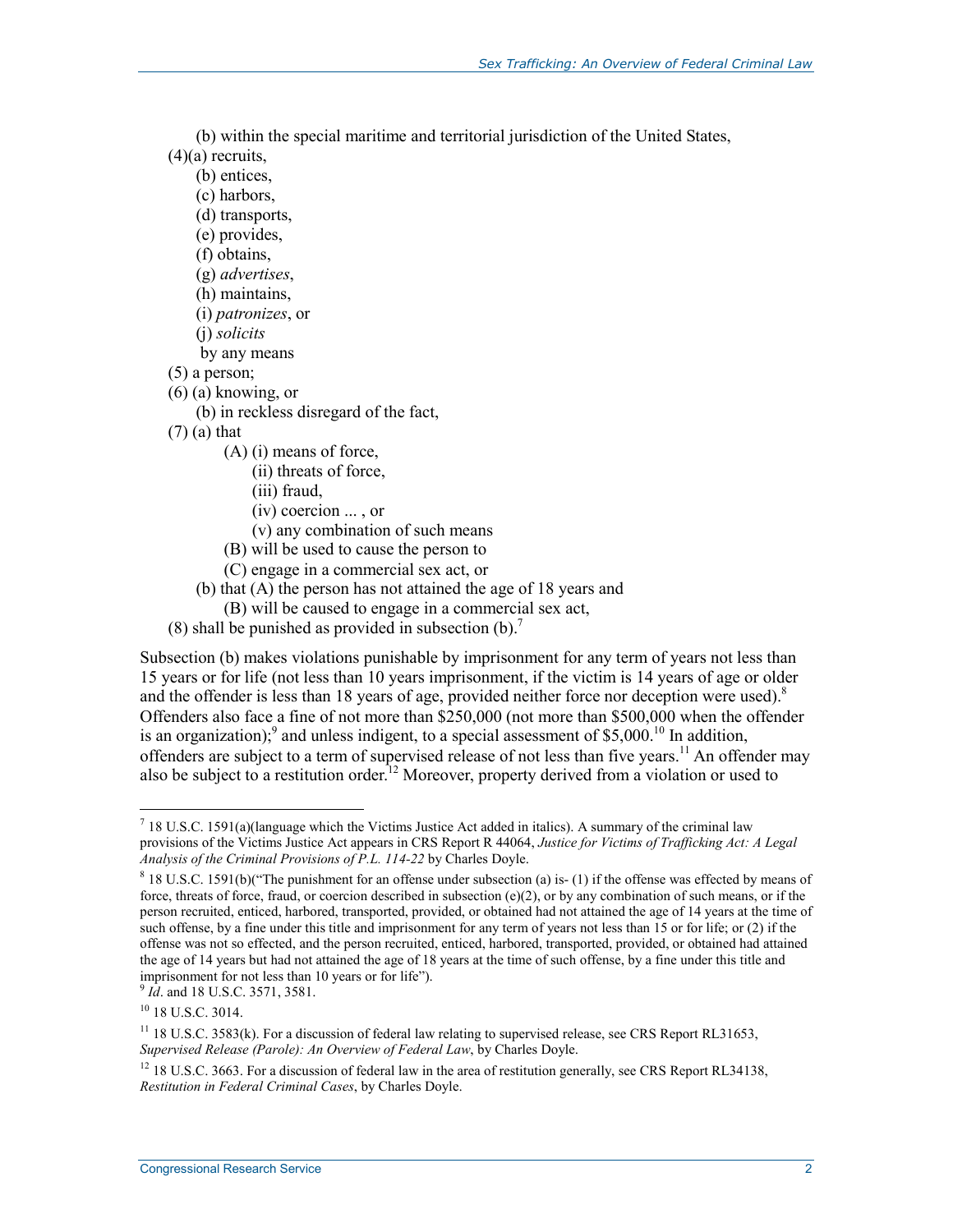(b) within the special maritime and territorial jurisdiction of the United States,  $(4)(a)$  recruits,

(b) entices,

- (c) harbors,
- (d) transports,
- (e) provides,
- (f) obtains,
- (g) *advertises*,
- (h) maintains,
- (i) *patronizes*, or
- (j) *solicits*
- by any means
- (5) a person;
- (6) (a) knowing, or
	- (b) in reckless disregard of the fact,
- (7) (a) that
	- (A) (i) means of force,
		- (ii) threats of force,
		- (iii) fraud,
		- (iv) coercion ... , or
		- (v) any combination of such means
	- (B) will be used to cause the person to
	- (C) engage in a commercial sex act, or
	- (b) that (A) the person has not attained the age of 18 years and
	- (B) will be caused to engage in a commercial sex act,
- (8) shall be punished as provided in subsection  $(b)$ .<sup>7</sup>

Subsection (b) makes violations punishable by imprisonment for any term of years not less than 15 years or for life (not less than 10 years imprisonment, if the victim is 14 years of age or older and the offender is less than 18 years of age, provided neither force nor deception were used).<sup>8</sup> Offenders also face a fine of not more than \$250,000 (not more than \$500,000 when the offender is an organization);<sup>9</sup> and unless indigent, to a special assessment of \$5,000.<sup>10</sup> In addition, offenders are subject to a term of supervised release of not less than five years.<sup>11</sup> An offender may also be subject to a restitution order.<sup>12</sup> Moreover, property derived from a violation or used to

<sup>9</sup> *Id.* and 18 U.S.C. 3571, 3581.

 $^7$  18 U.S.C. 1591(a)(language which the Victims Justice Act added in italics). A summary of the criminal law provisions of the Victims Justice Act appears in CRS Report R 44064, *Justice for Victims of Trafficking Act: A Legal Analysis of the Criminal Provisions of P.L. 114-22* by Charles Doyle.

<sup>&</sup>lt;sup>8</sup> 18 U.S.C. 1591(b)("The punishment for an offense under subsection (a) is- (1) if the offense was effected by means of force, threats of force, fraud, or coercion described in subsection  $(e)(2)$ , or by any combination of such means, or if the person recruited, enticed, harbored, transported, provided, or obtained had not attained the age of 14 years at the time of such offense, by a fine under this title and imprisonment for any term of years not less than 15 or for life; or (2) if the offense was not so effected, and the person recruited, enticed, harbored, transported, provided, or obtained had attained the age of 14 years but had not attained the age of 18 years at the time of such offense, by a fine under this title and imprisonment for not less than 10 years or for life").

<sup>&</sup>lt;sup>10</sup> 18 U.S.C. 3014.

<sup>&</sup>lt;sup>11</sup> 18 U.S.C. 3583(k). For a discussion of federal law relating to supervised release, see CRS Report RL31653, *Supervised Release (Parole): An Overview of Federal Law*, by Charles Doyle.

<sup>&</sup>lt;sup>12</sup> 18 U.S.C. 3663. For a discussion of federal law in the area of restitution generally, see CRS Report RL34138, *Restitution in Federal Criminal Cases*, by Charles Doyle.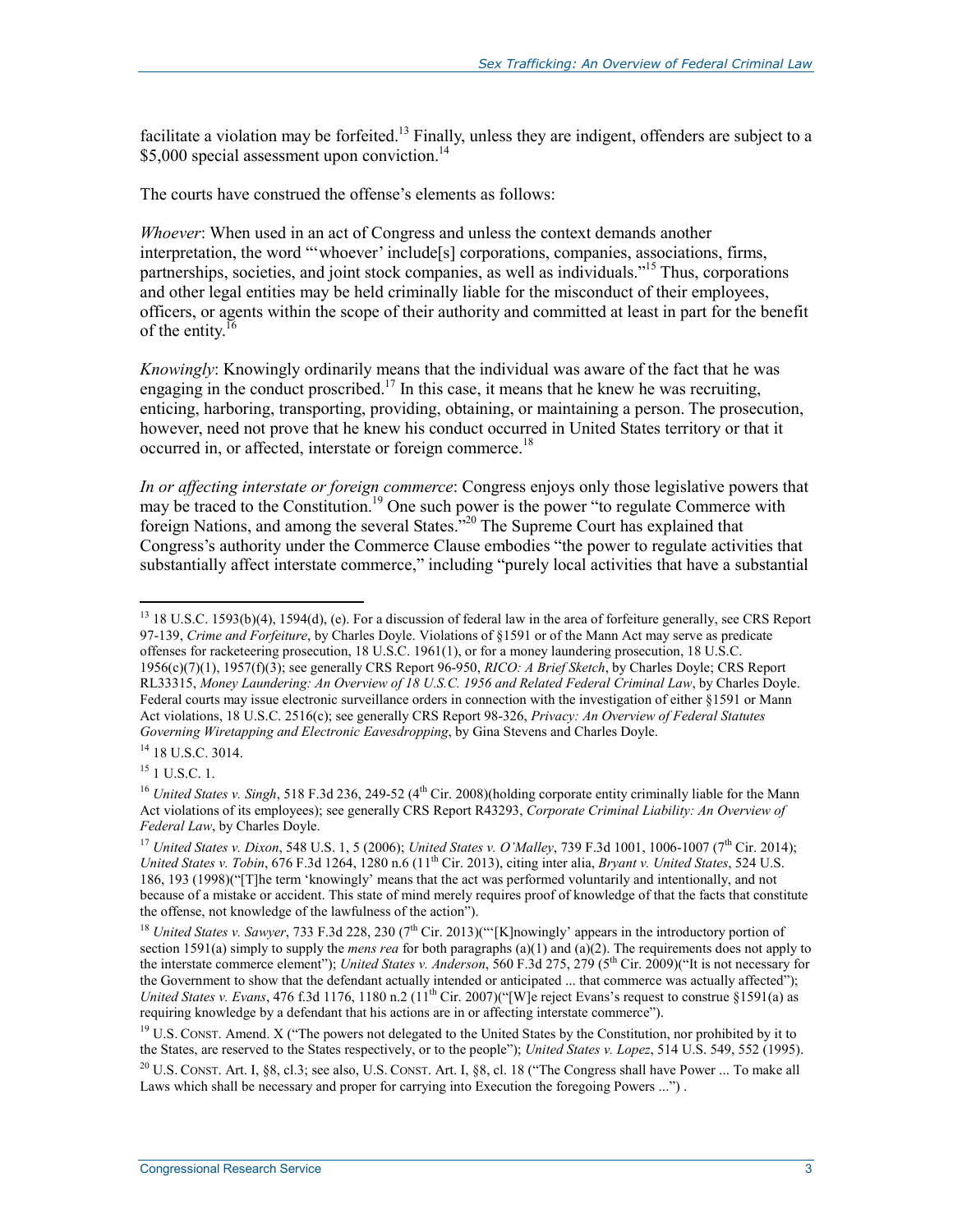facilitate a violation may be forfeited.<sup>13</sup> Finally, unless they are indigent, offenders are subject to a \$5,000 special assessment upon conviction.<sup>14</sup>

The courts have construed the offense's elements as follows:

*Whoever*: When used in an act of Congress and unless the context demands another interpretation, the word "'whoever' include[s] corporations, companies, associations, firms, partnerships, societies, and joint stock companies, as well as individuals.<sup>"15</sup> Thus, corporations and other legal entities may be held criminally liable for the misconduct of their employees, officers, or agents within the scope of their authority and committed at least in part for the benefit of the entity.<sup>16</sup>

*Knowingly*: Knowingly ordinarily means that the individual was aware of the fact that he was engaging in the conduct proscribed.<sup>17</sup> In this case, it means that he knew he was recruiting, enticing, harboring, transporting, providing, obtaining, or maintaining a person. The prosecution, however, need not prove that he knew his conduct occurred in United States territory or that it occurred in, or affected, interstate or foreign commerce.<sup>18</sup>

*In or affecting interstate or foreign commerce*: Congress enjoys only those legislative powers that may be traced to the Constitution.<sup>19</sup> One such power is the power "to regulate Commerce with foreign Nations, and among the several States."20 The Supreme Court has explained that Congress's authority under the Commerce Clause embodies "the power to regulate activities that substantially affect interstate commerce," including "purely local activities that have a substantial

<sup>1</sup> <sup>13</sup> 18 U.S.C. 1593(b)(4), 1594(d), (e). For a discussion of federal law in the area of forfeiture generally, see CRS Report 97-139, *Crime and Forfeiture*, by Charles Doyle. Violations of §1591 or of the Mann Act may serve as predicate offenses for racketeering prosecution, 18 U.S.C. 1961(1), or for a money laundering prosecution, 18 U.S.C. 1956(c)(7)(1), 1957(f)(3); see generally CRS Report 96-950, *RICO: A Brief Sketch*, by Charles Doyle; CRS Report RL33315, *Money Laundering: An Overview of 18 U.S.C. 1956 and Related Federal Criminal Law*, by Charles Doyle. Federal courts may issue electronic surveillance orders in connection with the investigation of either §1591 or Mann Act violations, 18 U.S.C. 2516(c); see generally CRS Report 98-326, *Privacy: An Overview of Federal Statutes Governing Wiretapping and Electronic Eavesdropping*, by Gina Stevens and Charles Doyle.

<sup>&</sup>lt;sup>14</sup> 18 U.S.C. 3014.

 $15$  1 U.S.C. 1.

<sup>&</sup>lt;sup>16</sup> *United States v. Singh*, 518 F.3d 236, 249-52 (4<sup>th</sup> Cir. 2008)(holding corporate entity criminally liable for the Mann Act violations of its employees); see generally CRS Report R43293, *Corporate Criminal Liability: An Overview of Federal Law*, by Charles Doyle.

<sup>17</sup> *United States v. Dixon*, 548 U.S. 1, 5 (2006); *United States v. O'Malley*, 739 F.3d 1001, 1006-1007 (7th Cir. 2014); *United States v. Tobin*, 676 F.3d 1264, 1280 n.6 (11th Cir. 2013), citing inter alia, *Bryant v. United States*, 524 U.S. 186, 193 (1998)("[T]he term 'knowingly' means that the act was performed voluntarily and intentionally, and not because of a mistake or accident. This state of mind merely requires proof of knowledge of that the facts that constitute the offense, not knowledge of the lawfulness of the action").

<sup>&</sup>lt;sup>18</sup> *United States v. Sawyer*, 733 F.3d 228, 230 (7<sup>th</sup> Cir. 2013)("[K]nowingly' appears in the introductory portion of section 1591(a) simply to supply the *mens rea* for both paragraphs (a)(1) and (a)(2). The requirements does not apply to the interstate commerce element"); *United States v. Anderson*, 560 F.3d 275, 279 (5th Cir. 2009)("It is not necessary for the Government to show that the defendant actually intended or anticipated ... that commerce was actually affected"); *United States v. Evans,* 476 f.3d 1176, 1180 n.2 (11<sup>th</sup> Cir. 2007)("[W]e reject Evans's request to construe §1591(a) as requiring knowledge by a defendant that his actions are in or affecting interstate commerce").

<sup>&</sup>lt;sup>19</sup> U.S. CONST. Amend. X ("The powers not delegated to the United States by the Constitution, nor prohibited by it to the States, are reserved to the States respectively, or to the people"); *United States v. Lopez*, 514 U.S. 549, 552 (1995).

 $^{20}$  U.S. CONST. Art. I, §8, cl.3; see also, U.S. CONST. Art. I, §8, cl. 18 ("The Congress shall have Power ... To make all Laws which shall be necessary and proper for carrying into Execution the foregoing Powers ...").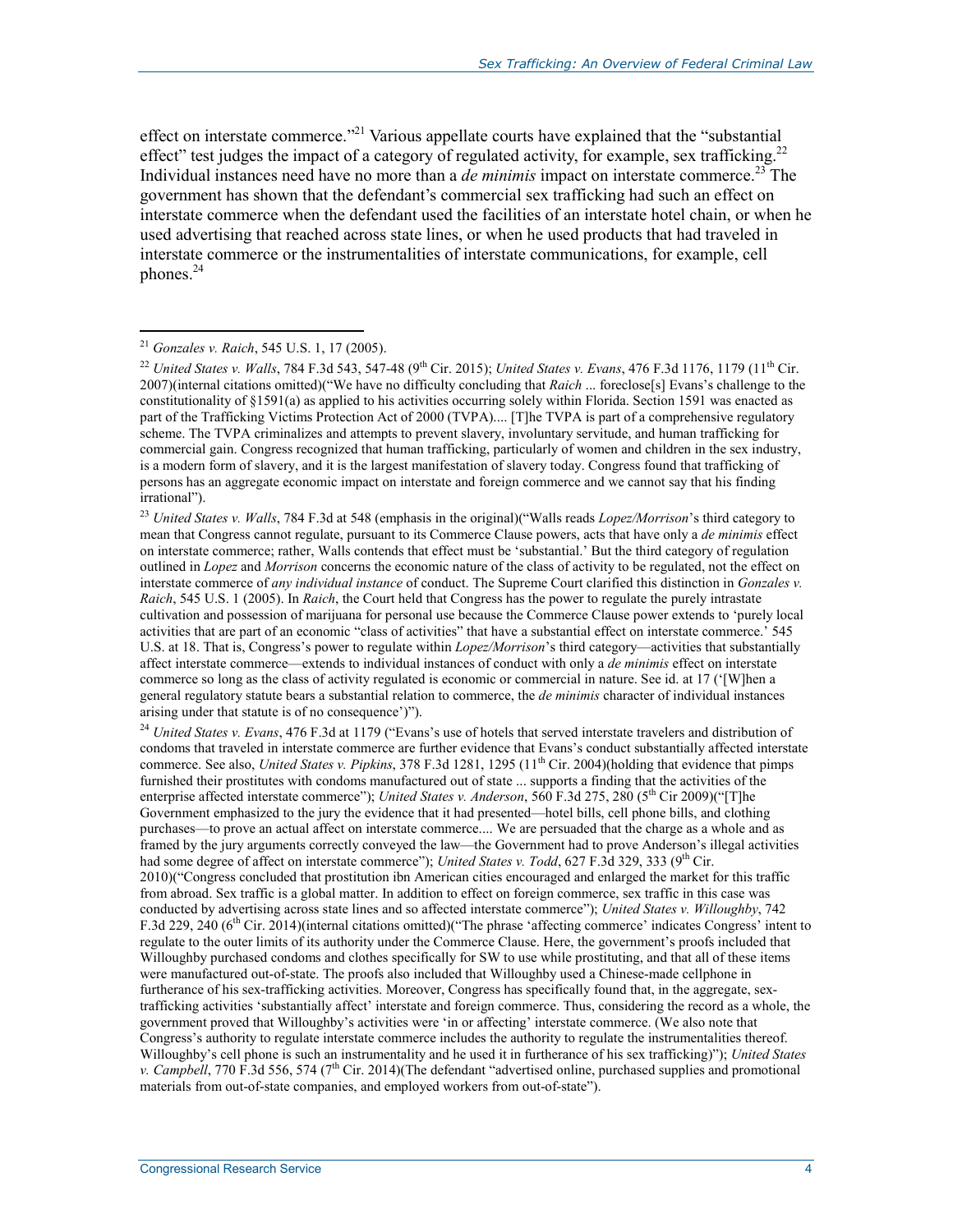effect on interstate commerce."<sup>21</sup> Various appellate courts have explained that the "substantial" effect" test judges the impact of a category of regulated activity, for example, sex trafficking.<sup>22</sup> Individual instances need have no more than a *de minimis* impact on interstate commerce.<sup>23</sup> The government has shown that the defendant's commercial sex trafficking had such an effect on interstate commerce when the defendant used the facilities of an interstate hotel chain, or when he used advertising that reached across state lines, or when he used products that had traveled in interstate commerce or the instrumentalities of interstate communications, for example, cell phones. $^{24}$ 

#### <sup>21</sup> *Gonzales v. Raich*, 545 U.S. 1, 17 (2005).

1

<sup>23</sup> *United States v. Walls*, 784 F.3d at 548 (emphasis in the original)("Walls reads *Lopez/Morrison*'s third category to mean that Congress cannot regulate, pursuant to its Commerce Clause powers, acts that have only a *de minimis* effect on interstate commerce; rather, Walls contends that effect must be 'substantial.' But the third category of regulation outlined in *Lopez* and *Morrison* concerns the economic nature of the class of activity to be regulated, not the effect on interstate commerce of *any individual instance* of conduct. The Supreme Court clarified this distinction in *Gonzales v. Raich*, 545 U.S. 1 (2005). In *Raich*, the Court held that Congress has the power to regulate the purely intrastate cultivation and possession of marijuana for personal use because the Commerce Clause power extends to 'purely local activities that are part of an economic "class of activities" that have a substantial effect on interstate commerce.' 545 U.S. at 18. That is, Congress's power to regulate within *Lopez/Morrison*'s third category—activities that substantially affect interstate commerce—extends to individual instances of conduct with only a *de minimis* effect on interstate commerce so long as the class of activity regulated is economic or commercial in nature. See id. at 17 ('[W]hen a general regulatory statute bears a substantial relation to commerce, the *de minimis* character of individual instances arising under that statute is of no consequence')").

<sup>24</sup> *United States v. Evans*, 476 F.3d at 1179 ("Evans's use of hotels that served interstate travelers and distribution of condoms that traveled in interstate commerce are further evidence that Evans's conduct substantially affected interstate commerce. See also, *United States v. Pipkins*, 378 F.3d 1281, 1295 (11th Cir. 2004)(holding that evidence that pimps furnished their prostitutes with condoms manufactured out of state ... supports a finding that the activities of the enterprise affected interstate commerce"); *United States v. Anderson*, 560 F.3d 275, 280 (5<sup>th</sup> Cir 2009)("[T]he Government emphasized to the jury the evidence that it had presented—hotel bills, cell phone bills, and clothing purchases—to prove an actual affect on interstate commerce.... We are persuaded that the charge as a whole and as framed by the jury arguments correctly conveyed the law—the Government had to prove Anderson's illegal activities had some degree of affect on interstate commerce"); *United States v. Todd*, 627 F.3d 329, 333 (9<sup>th</sup> Cir. 2010)("Congress concluded that prostitution ibn American cities encouraged and enlarged the market for this traffic from abroad. Sex traffic is a global matter. In addition to effect on foreign commerce, sex traffic in this case was conducted by advertising across state lines and so affected interstate commerce"); *United States v. Willoughby*, 742 F.3d 229, 240 (6<sup>th</sup> Cir. 2014)(internal citations omitted)("The phrase 'affecting commerce' indicates Congress' intent to regulate to the outer limits of its authority under the Commerce Clause. Here, the government's proofs included that Willoughby purchased condoms and clothes specifically for SW to use while prostituting, and that all of these items were manufactured out-of-state. The proofs also included that Willoughby used a Chinese-made cellphone in furtherance of his sex-trafficking activities. Moreover, Congress has specifically found that, in the aggregate, sextrafficking activities 'substantially affect' interstate and foreign commerce. Thus, considering the record as a whole, the government proved that Willoughby's activities were 'in or affecting' interstate commerce. (We also note that Congress's authority to regulate interstate commerce includes the authority to regulate the instrumentalities thereof. Willoughby's cell phone is such an instrumentality and he used it in furtherance of his sex trafficking)"); *United States v. Campbell*, 770 F.3d 556, 574 (7<sup>th</sup> Cir. 2014)(The defendant "advertised online, purchased supplies and promotional materials from out-of-state companies, and employed workers from out-of-state").

<sup>&</sup>lt;sup>22</sup> *United States v. Walls*, 784 F.3d 543, 547-48 (9<sup>th</sup> Cir. 2015); *United States v. Evans*, 476 F.3d 1176, 1179 (11<sup>th</sup> Cir. 2007)(internal citations omitted)("We have no difficulty concluding that *Raich* ... foreclose[s] Evans's challenge to the constitutionality of §1591(a) as applied to his activities occurring solely within Florida. Section 1591 was enacted as part of the Trafficking Victims Protection Act of 2000 (TVPA).... [T]he TVPA is part of a comprehensive regulatory scheme. The TVPA criminalizes and attempts to prevent slavery, involuntary servitude, and human trafficking for commercial gain. Congress recognized that human trafficking, particularly of women and children in the sex industry, is a modern form of slavery, and it is the largest manifestation of slavery today. Congress found that trafficking of persons has an aggregate economic impact on interstate and foreign commerce and we cannot say that his finding irrational").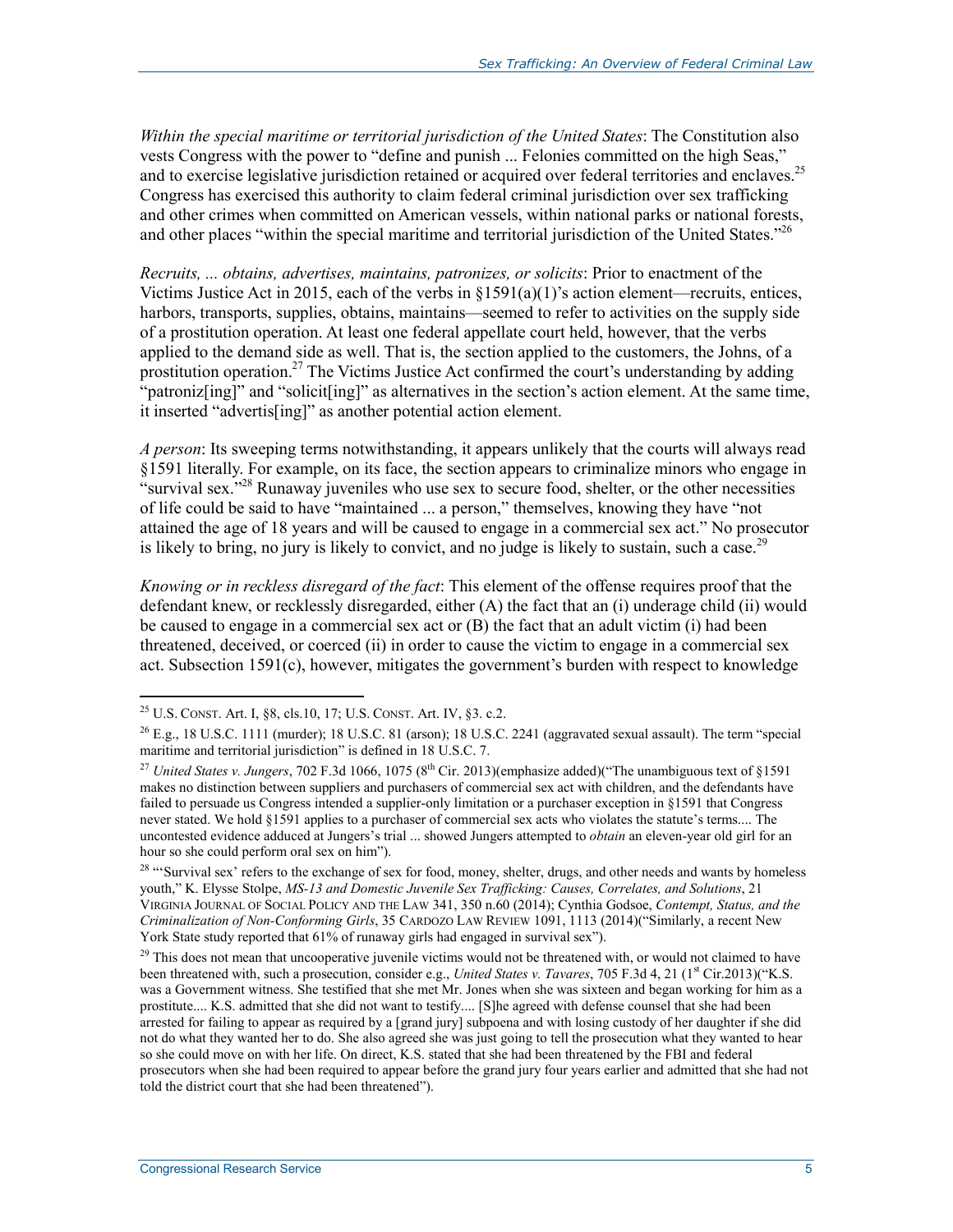*Within the special maritime or territorial jurisdiction of the United States*: The Constitution also vests Congress with the power to "define and punish ... Felonies committed on the high Seas," and to exercise legislative jurisdiction retained or acquired over federal territories and enclaves.<sup>25</sup> Congress has exercised this authority to claim federal criminal jurisdiction over sex trafficking and other crimes when committed on American vessels, within national parks or national forests, and other places "within the special maritime and territorial jurisdiction of the United States."<sup>26</sup>

*Recruits, ... obtains, advertises, maintains, patronizes, or solicits*: Prior to enactment of the Victims Justice Act in 2015, each of the verbs in  $\S1591(a)(1)$ 's action element—recruits, entices, harbors, transports, supplies, obtains, maintains—seemed to refer to activities on the supply side of a prostitution operation. At least one federal appellate court held, however, that the verbs applied to the demand side as well. That is, the section applied to the customers, the Johns, of a prostitution operation.<sup>27</sup> The Victims Justice Act confirmed the court's understanding by adding "patroniz[ing]" and "solicit[ing]" as alternatives in the section's action element. At the same time, it inserted "advertis[ing]" as another potential action element.

*A person*: Its sweeping terms notwithstanding, it appears unlikely that the courts will always read §1591 literally. For example, on its face, the section appears to criminalize minors who engage in "survival sex."<sup>28</sup> Runaway juveniles who use sex to secure food, shelter, or the other necessities of life could be said to have "maintained ... a person," themselves, knowing they have "not attained the age of 18 years and will be caused to engage in a commercial sex act." No prosecutor is likely to bring, no jury is likely to convict, and no judge is likely to sustain, such a case.<sup>29</sup>

*Knowing or in reckless disregard of the fact*: This element of the offense requires proof that the defendant knew, or recklessly disregarded, either (A) the fact that an (i) underage child (ii) would be caused to engage in a commercial sex act or (B) the fact that an adult victim (i) had been threatened, deceived, or coerced (ii) in order to cause the victim to engage in a commercial sex act. Subsection 1591(c), however, mitigates the government's burden with respect to knowledge

 $^{25}$  U.S. CONST. Art. I, §8, cls.10, 17; U.S. CONST. Art. IV, §3. c.2.

 $^{26}$  E.g., 18 U.S.C. 1111 (murder); 18 U.S.C. 81 (arson); 18 U.S.C. 2241 (aggravated sexual assault). The term "special maritime and territorial jurisdiction" is defined in 18 U.S.C. 7.

<sup>&</sup>lt;sup>27</sup> *United States v. Jungers*, 702 F.3d 1066, 1075 (8<sup>th</sup> Cir. 2013)(emphasize added)("The unambiguous text of §1591 makes no distinction between suppliers and purchasers of commercial sex act with children, and the defendants have failed to persuade us Congress intended a supplier-only limitation or a purchaser exception in §1591 that Congress never stated. We hold §1591 applies to a purchaser of commercial sex acts who violates the statute's terms.... The uncontested evidence adduced at Jungers's trial ... showed Jungers attempted to *obtain* an eleven-year old girl for an hour so she could perform oral sex on him").

<sup>&</sup>lt;sup>28</sup> "Survival sex' refers to the exchange of sex for food, money, shelter, drugs, and other needs and wants by homeless youth," K. Elysse Stolpe, *MS-13 and Domestic Juvenile Sex Trafficking: Causes, Correlates, and Solutions*, 21 VIRGINIA JOURNAL OF SOCIAL POLICY AND THE LAW 341, 350 n.60 (2014); Cynthia Godsoe, *Contempt, Status, and the Criminalization of Non-Conforming Girls*, 35 CARDOZO LAW REVIEW 1091, 1113 (2014)("Similarly, a recent New York State study reported that 61% of runaway girls had engaged in survival sex").

 $29$  This does not mean that uncooperative juvenile victims would not be threatened with, or would not claimed to have been threatened with, such a prosecution, consider e.g., *United States v. Tavares*, 705 F.3d 4, 21 (1<sup>st</sup> Cir.2013)("K.S. was a Government witness. She testified that she met Mr. Jones when she was sixteen and began working for him as a prostitute.... K.S. admitted that she did not want to testify.... [S]he agreed with defense counsel that she had been arrested for failing to appear as required by a [grand jury] subpoena and with losing custody of her daughter if she did not do what they wanted her to do. She also agreed she was just going to tell the prosecution what they wanted to hear so she could move on with her life. On direct, K.S. stated that she had been threatened by the FBI and federal prosecutors when she had been required to appear before the grand jury four years earlier and admitted that she had not told the district court that she had been threatened").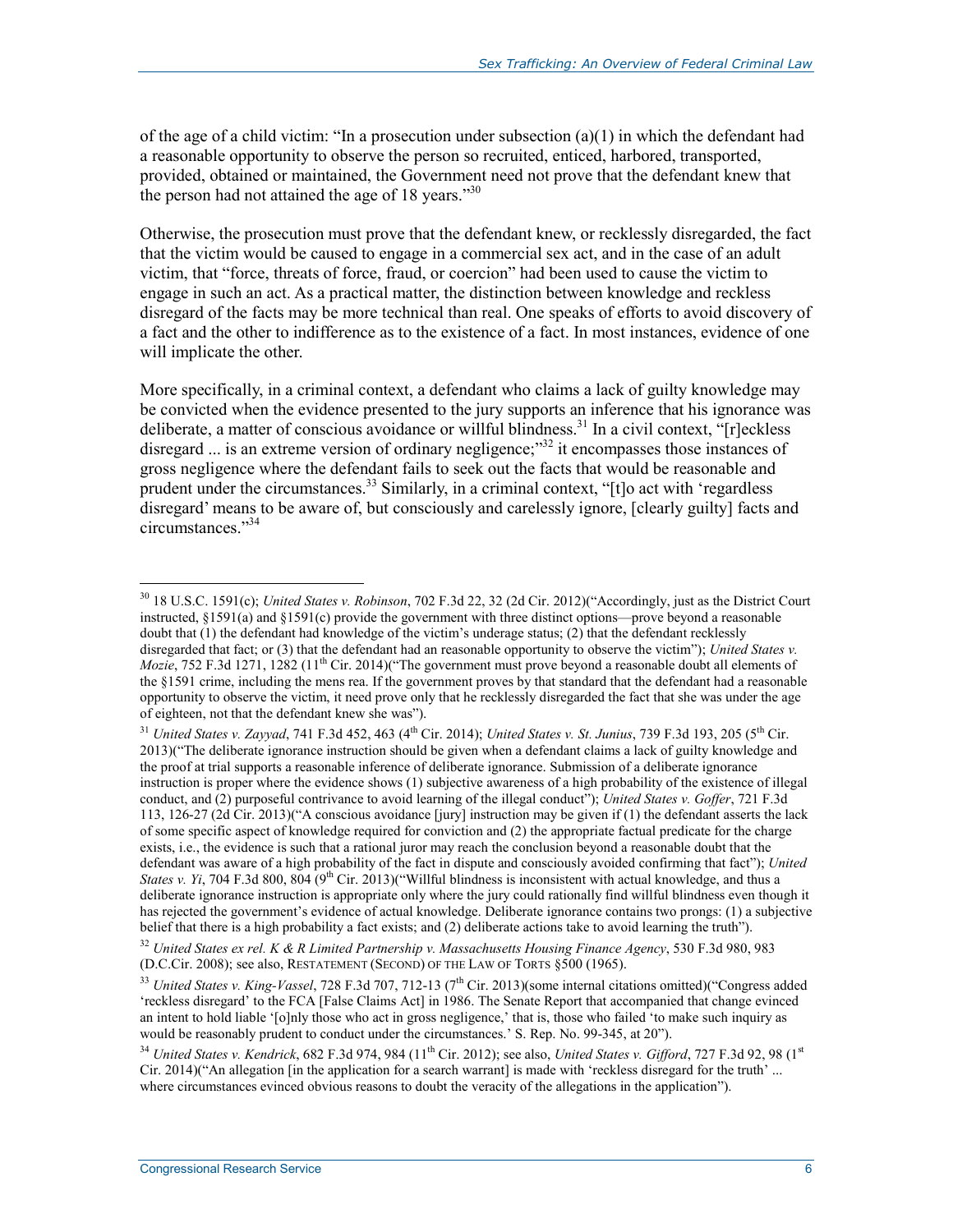of the age of a child victim: "In a prosecution under subsection (a)(1) in which the defendant had a reasonable opportunity to observe the person so recruited, enticed, harbored, transported, provided, obtained or maintained, the Government need not prove that the defendant knew that the person had not attained the age of 18 years. $13^3$ 

Otherwise, the prosecution must prove that the defendant knew, or recklessly disregarded, the fact that the victim would be caused to engage in a commercial sex act, and in the case of an adult victim, that "force, threats of force, fraud, or coercion" had been used to cause the victim to engage in such an act. As a practical matter, the distinction between knowledge and reckless disregard of the facts may be more technical than real. One speaks of efforts to avoid discovery of a fact and the other to indifference as to the existence of a fact. In most instances, evidence of one will implicate the other.

More specifically, in a criminal context, a defendant who claims a lack of guilty knowledge may be convicted when the evidence presented to the jury supports an inference that his ignorance was deliberate, a matter of conscious avoidance or willful blindness.31 In a civil context, "[r]eckless disregard ... is an extreme version of ordinary negligence;<sup>32</sup> it encompasses those instances of gross negligence where the defendant fails to seek out the facts that would be reasonable and prudent under the circumstances.<sup>33</sup> Similarly, in a criminal context, "[t]o act with 'regardless disregard' means to be aware of, but consciously and carelessly ignore, [clearly guilty] facts and circumstances."34

<sup>30 18</sup> U.S.C. 1591(c); *United States v. Robinson*, 702 F.3d 22, 32 (2d Cir. 2012)("Accordingly, just as the District Court instructed, §1591(a) and §1591(c) provide the government with three distinct options—prove beyond a reasonable doubt that (1) the defendant had knowledge of the victim's underage status; (2) that the defendant recklessly disregarded that fact; or (3) that the defendant had an reasonable opportunity to observe the victim"); *United States v. Mozie*, 752 F.3d 1271, 1282 (11<sup>th</sup> Cir. 2014)("The government must prove beyond a reasonable doubt all elements of the §1591 crime, including the mens rea. If the government proves by that standard that the defendant had a reasonable opportunity to observe the victim, it need prove only that he recklessly disregarded the fact that she was under the age of eighteen, not that the defendant knew she was").

<sup>31</sup> *United States v. Zayyad*, 741 F.3d 452, 463 (4th Cir. 2014); *United States v. St. Junius*, 739 F.3d 193, 205 (5th Cir. 2013)("The deliberate ignorance instruction should be given when a defendant claims a lack of guilty knowledge and the proof at trial supports a reasonable inference of deliberate ignorance. Submission of a deliberate ignorance instruction is proper where the evidence shows (1) subjective awareness of a high probability of the existence of illegal conduct, and (2) purposeful contrivance to avoid learning of the illegal conduct"); *United States v. Goffer*, 721 F.3d 113, 126-27 (2d Cir. 2013)("A conscious avoidance [jury] instruction may be given if (1) the defendant asserts the lack of some specific aspect of knowledge required for conviction and (2) the appropriate factual predicate for the charge exists, i.e., the evidence is such that a rational juror may reach the conclusion beyond a reasonable doubt that the defendant was aware of a high probability of the fact in dispute and consciously avoided confirming that fact"); *United States v. Yi*, 704 F.3d 800, 804  $(9^{th}$  Cir. 2013)("Willful blindness is inconsistent with actual knowledge, and thus a deliberate ignorance instruction is appropriate only where the jury could rationally find willful blindness even though it has rejected the government's evidence of actual knowledge. Deliberate ignorance contains two prongs: (1) a subjective belief that there is a high probability a fact exists; and (2) deliberate actions take to avoid learning the truth").

<sup>32</sup> *United States ex rel. K & R Limited Partnership v. Massachusetts Housing Finance Agency*, 530 F.3d 980, 983 (D.C.Cir. 2008); see also, RESTATEMENT (SECOND) OF THE LAW OF TORTS §500 (1965).

<sup>&</sup>lt;sup>33</sup> *United States v. King-Vassel*, 728 F.3d 707, 712-13 (7<sup>th</sup> Cir. 2013)(some internal citations omitted)("Congress added 'reckless disregard' to the FCA [False Claims Act] in 1986. The Senate Report that accompanied that change evinced an intent to hold liable '[o]nly those who act in gross negligence,' that is, those who failed 'to make such inquiry as would be reasonably prudent to conduct under the circumstances.' S. Rep. No. 99-345, at 20").

<sup>&</sup>lt;sup>34</sup> *United States v. Kendrick*, 682 F.3d 974, 984 (11<sup>th</sup> Cir. 2012); see also, *United States v. Gifford*, 727 F.3d 92, 98 (1st) Cir. 2014)("An allegation [in the application for a search warrant] is made with 'reckless disregard for the truth' ... where circumstances evinced obvious reasons to doubt the veracity of the allegations in the application").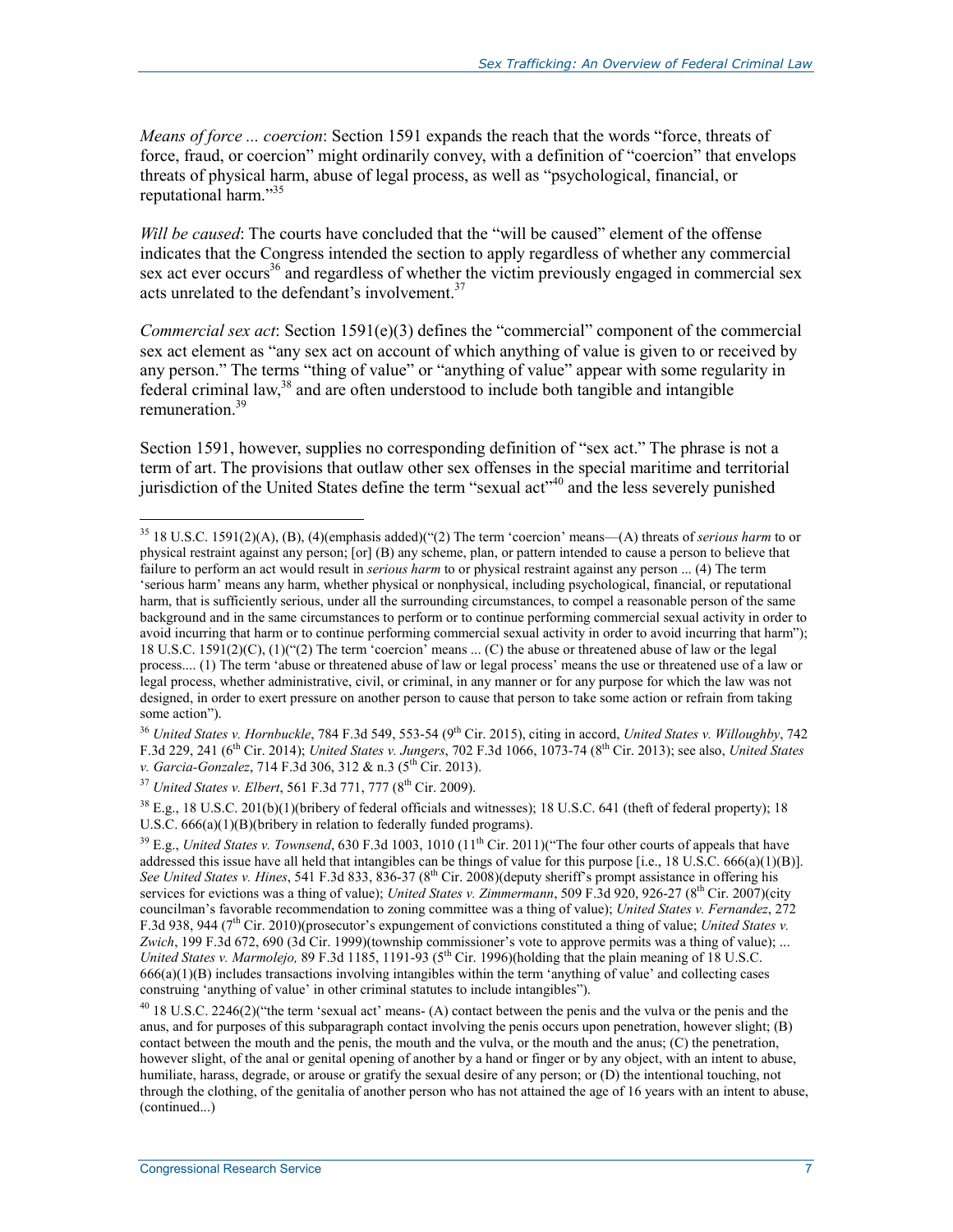*Means of force ... coercion*: Section 1591 expands the reach that the words "force, threats of force, fraud, or coercion" might ordinarily convey, with a definition of "coercion" that envelops threats of physical harm, abuse of legal process, as well as "psychological, financial, or reputational harm."<sup>35</sup>

*Will be caused*: The courts have concluded that the "will be caused" element of the offense indicates that the Congress intended the section to apply regardless of whether any commercial sex act ever occurs<sup>36</sup> and regardless of whether the victim previously engaged in commercial sex acts unrelated to the defendant's involvement.<sup>37</sup>

*Commercial sex act*: Section 1591(e)(3) defines the "commercial" component of the commercial sex act element as "any sex act on account of which anything of value is given to or received by any person." The terms "thing of value" or "anything of value" appear with some regularity in  $f$ ederal criminal law,<sup>38</sup> and are often understood to include both tangible and intangible remuneration<sup>39</sup>

Section 1591, however, supplies no corresponding definition of "sex act." The phrase is not a term of art. The provisions that outlaw other sex offenses in the special maritime and territorial jurisdiction of the United States define the term "sexual act"<sup>40</sup> and the less severely punished

38 E.g., 18 U.S.C. 201(b)(1)(bribery of federal officials and witnesses); 18 U.S.C. 641 (theft of federal property); 18 U.S.C. 666(a)(1)(B)(bribery in relation to federally funded programs).

<sup>35 18</sup> U.S.C. 1591(2)(A), (B), (4)(emphasis added)("(2) The term 'coercion' means—(A) threats of *serious harm* to or physical restraint against any person; [or] (B) any scheme, plan, or pattern intended to cause a person to believe that failure to perform an act would result in *serious harm* to or physical restraint against any person ... (4) The term 'serious harm' means any harm, whether physical or nonphysical, including psychological, financial, or reputational harm, that is sufficiently serious, under all the surrounding circumstances, to compel a reasonable person of the same background and in the same circumstances to perform or to continue performing commercial sexual activity in order to avoid incurring that harm or to continue performing commercial sexual activity in order to avoid incurring that harm"); 18 U.S.C. 1591(2)(C), (1)("(2) The term 'coercion' means ... (C) the abuse or threatened abuse of law or the legal process.... (1) The term 'abuse or threatened abuse of law or legal process' means the use or threatened use of a law or legal process, whether administrative, civil, or criminal, in any manner or for any purpose for which the law was not designed, in order to exert pressure on another person to cause that person to take some action or refrain from taking some action").

<sup>&</sup>lt;sup>36</sup> United States v. Hornbuckle, 784 F.3d 549, 553-54 (9<sup>th</sup> Cir. 2015), citing in accord, United States v. Willoughby, 742 F.3d 229, 241 (6th Cir. 2014); *United States v. Jungers*, 702 F.3d 1066, 1073-74 (8th Cir. 2013); see also, *United States v. Garcia-Gonzalez*, 714 F.3d 306, 312 & n.3 (5<sup>th</sup> Cir. 2013).

<sup>&</sup>lt;sup>37</sup> *United States v. Elbert*, 561 F.3d 771, 777 (8<sup>th</sup> Cir. 2009).

 $39$  E.g., *United States v. Townsend*, 630 F.3d 1003, 1010 (11<sup>th</sup> Cir. 2011)("The four other courts of appeals that have addressed this issue have all held that intangibles can be things of value for this purpose [i.e., 18 U.S.C. 666(a)(1)(B)]. *See United States v. Hines*, 541 F.3d 833, 836-37 (8th Cir. 2008)(deputy sheriff's prompt assistance in offering his services for evictions was a thing of value); *United States v. Zimmermann*, 509 F.3d 920, 926-27 (8<sup>th</sup> Cir. 2007)(city councilman's favorable recommendation to zoning committee was a thing of value); *United States v. Fernandez*, 272 F.3d 938, 944 (7<sup>th</sup> Cir. 2010)(prosecutor's expungement of convictions constituted a thing of value; *United States v. Zwich*, 199 F.3d 672, 690 (3d Cir. 1999)(township commissioner's vote to approve permits was a thing of value); ... *United States v. Marmolejo,* 89 F.3d 1185, 1191-93 (5<sup>th</sup> Cir. 1996)(holding that the plain meaning of 18 U.S.C. 666(a)(1)(B) includes transactions involving intangibles within the term 'anything of value' and collecting cases construing 'anything of value' in other criminal statutes to include intangibles").

<sup>&</sup>lt;sup>40</sup> 18 U.S.C. 2246(2)("the term 'sexual act' means- (A) contact between the penis and the vulva or the penis and the anus, and for purposes of this subparagraph contact involving the penis occurs upon penetration, however slight; (B) contact between the mouth and the penis, the mouth and the vulva, or the mouth and the anus; (C) the penetration, however slight, of the anal or genital opening of another by a hand or finger or by any object, with an intent to abuse, humiliate, harass, degrade, or arouse or gratify the sexual desire of any person; or (D) the intentional touching, not through the clothing, of the genitalia of another person who has not attained the age of 16 years with an intent to abuse, (continued...)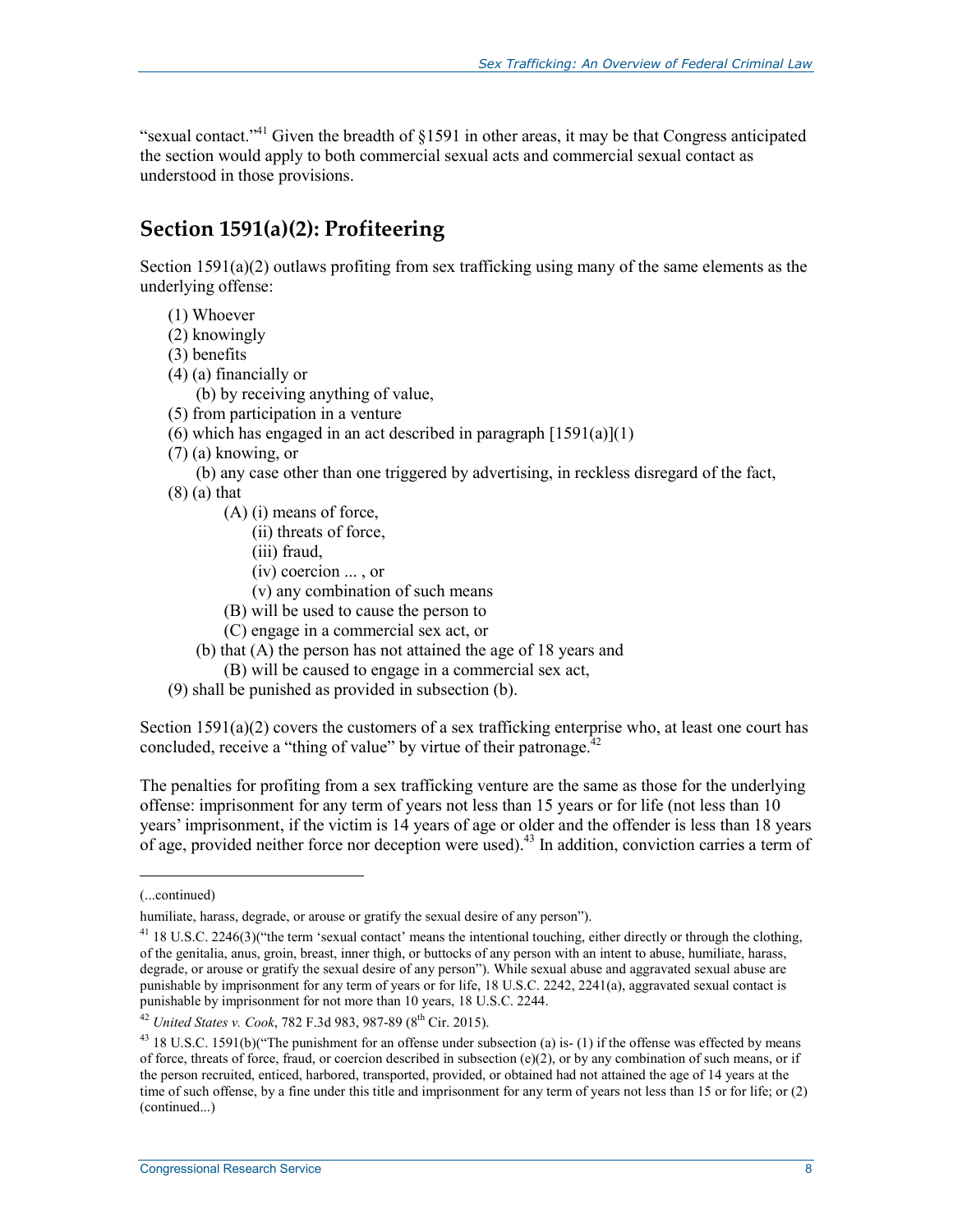"sexual contact."<sup>41</sup> Given the breadth of  $\S1591$  in other areas, it may be that Congress anticipated the section would apply to both commercial sexual acts and commercial sexual contact as understood in those provisions.

### **Section 1591(a)(2): Profiteering**

Section  $1591(a)(2)$  outlaws profiting from sex trafficking using many of the same elements as the underlying offense:

- (1) Whoever
- (2) knowingly
- (3) benefits
- (4) (a) financially or
	- (b) by receiving anything of value,
- (5) from participation in a venture
- (6) which has engaged in an act described in paragraph  $[1591(a)](1)$
- (7) (a) knowing, or
	- (b) any case other than one triggered by advertising, in reckless disregard of the fact,
- (8) (a) that
	- (A) (i) means of force,
		- (ii) threats of force,
		- (iii) fraud,
		- (iv) coercion ... , or
		- (v) any combination of such means
	- (B) will be used to cause the person to
	- (C) engage in a commercial sex act, or
	- (b) that (A) the person has not attained the age of 18 years and
		- (B) will be caused to engage in a commercial sex act,
- (9) shall be punished as provided in subsection (b).

Section 1591(a)(2) covers the customers of a sex trafficking enterprise who, at least one court has concluded, receive a "thing of value" by virtue of their patronage.<sup> $42$ </sup>

The penalties for profiting from a sex trafficking venture are the same as those for the underlying offense: imprisonment for any term of years not less than 15 years or for life (not less than 10 years' imprisonment, if the victim is 14 years of age or older and the offender is less than 18 years of age, provided neither force nor deception were used).<sup>43</sup> In addition, conviction carries a term of

<sup>(...</sup>continued)

humiliate, harass, degrade, or arouse or gratify the sexual desire of any person").

<sup>41 18</sup> U.S.C. 2246(3)("the term 'sexual contact' means the intentional touching, either directly or through the clothing, of the genitalia, anus, groin, breast, inner thigh, or buttocks of any person with an intent to abuse, humiliate, harass, degrade, or arouse or gratify the sexual desire of any person"). While sexual abuse and aggravated sexual abuse are punishable by imprisonment for any term of years or for life, 18 U.S.C. 2242, 2241(a), aggravated sexual contact is punishable by imprisonment for not more than 10 years, 18 U.S.C. 2244.

<sup>42</sup> *United States v. Cook*, 782 F.3d 983, 987-89 (8th Cir. 2015).

 $43$  18 U.S.C. 1591(b)("The punishment for an offense under subsection (a) is- (1) if the offense was effected by means of force, threats of force, fraud, or coercion described in subsection  $(e)(2)$ , or by any combination of such means, or if the person recruited, enticed, harbored, transported, provided, or obtained had not attained the age of 14 years at the time of such offense, by a fine under this title and imprisonment for any term of years not less than 15 or for life; or (2) (continued...)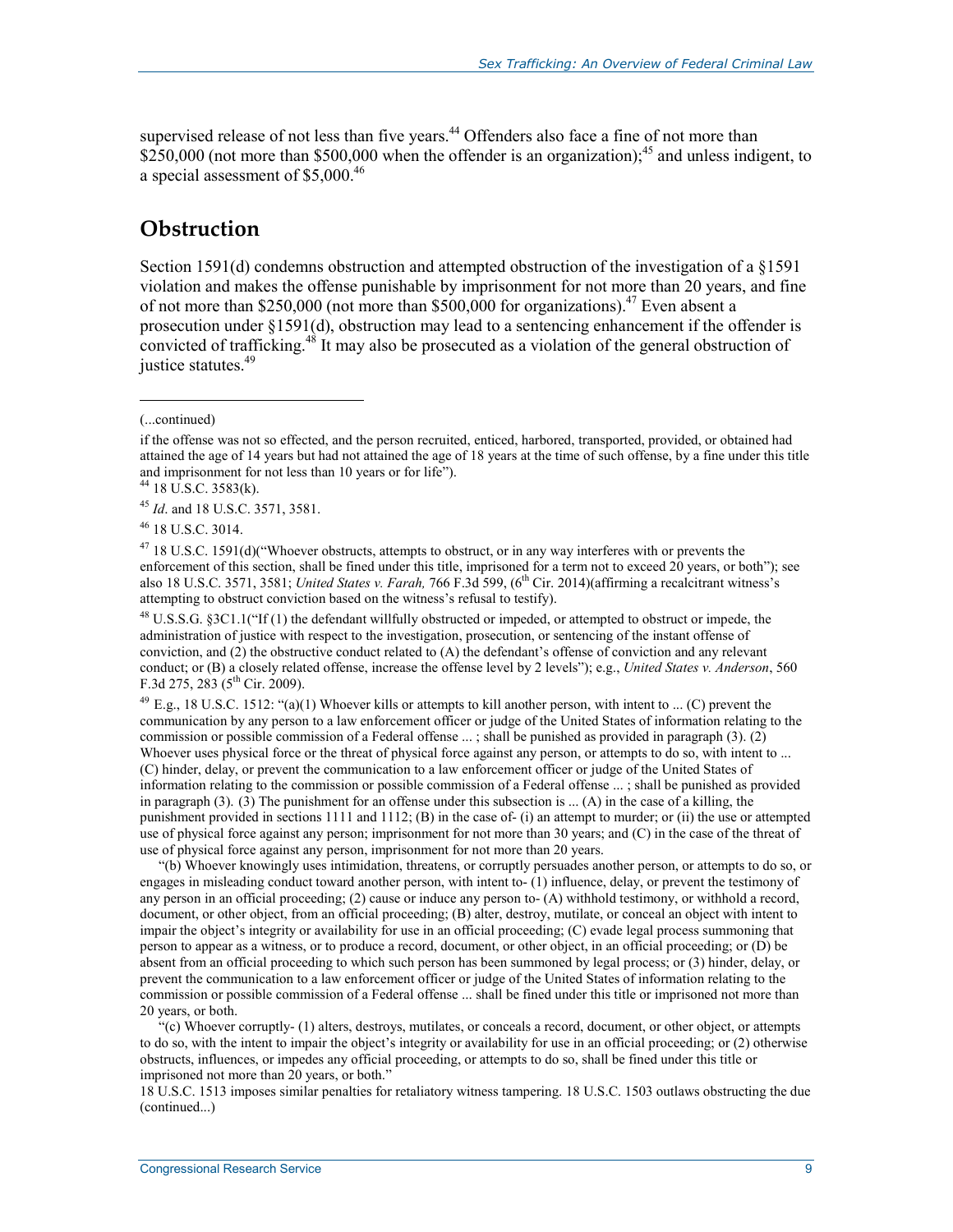supervised release of not less than five years.<sup>44</sup> Offenders also face a fine of not more than  $\frac{$250,000}{$$  (not more than \$500,000 when the offender is an organization);<sup>45</sup> and unless indigent, to a special assessment of \$5,000.46

#### **Obstruction**

Section 1591(d) condemns obstruction and attempted obstruction of the investigation of a §1591 violation and makes the offense punishable by imprisonment for not more than 20 years, and fine of not more than \$250,000 (not more than \$500,000 for organizations).<sup>47</sup> Even absent a prosecution under §1591(d), obstruction may lead to a sentencing enhancement if the offender is convicted of trafficking.48 It may also be prosecuted as a violation of the general obstruction of justice statutes.<sup>49</sup>

 $\overline{a}$ 

<sup>45</sup> *Id*. and 18 U.S.C. 3571, 3581.

46 18 U.S.C. 3014.

<sup>47</sup> 18 U.S.C. 1591(d)("Whoever obstructs, attempts to obstruct, or in any way interferes with or prevents the enforcement of this section, shall be fined under this title, imprisoned for a term not to exceed 20 years, or both"); see also 18 U.S.C. 3571, 3581; *United States v. Farah,* 766 F.3d 599, (6<sup>th</sup> Cir. 2014)(affirming a recalcitrant witness's attempting to obstruct conviction based on the witness's refusal to testify).

<sup>48</sup> U.S.S.G. §3C1.1("If (1) the defendant willfully obstructed or impeded, or attempted to obstruct or impede, the administration of justice with respect to the investigation, prosecution, or sentencing of the instant offense of conviction, and (2) the obstructive conduct related to (A) the defendant's offense of conviction and any relevant conduct; or (B) a closely related offense, increase the offense level by 2 levels"); e.g., *United States v. Anderson*, 560 F.3d 275, 283 ( $5^{th}$  Cir. 2009).

 $^{49}$  E.g., 18 U.S.C. 1512: "(a)(1) Whoever kills or attempts to kill another person, with intent to ... (C) prevent the communication by any person to a law enforcement officer or judge of the United States of information relating to the commission or possible commission of a Federal offense ... ; shall be punished as provided in paragraph (3). (2) Whoever uses physical force or the threat of physical force against any person, or attempts to do so, with intent to ... (C) hinder, delay, or prevent the communication to a law enforcement officer or judge of the United States of information relating to the commission or possible commission of a Federal offense ... ; shall be punished as provided in paragraph (3). (3) The punishment for an offense under this subsection is ... (A) in the case of a killing, the punishment provided in sections 1111 and 1112; (B) in the case of- (i) an attempt to murder; or (ii) the use or attempted use of physical force against any person; imprisonment for not more than 30 years; and (C) in the case of the threat of use of physical force against any person, imprisonment for not more than 20 years.

"(b) Whoever knowingly uses intimidation, threatens, or corruptly persuades another person, or attempts to do so, or engages in misleading conduct toward another person, with intent to- (1) influence, delay, or prevent the testimony of any person in an official proceeding; (2) cause or induce any person to- (A) withhold testimony, or withhold a record, document, or other object, from an official proceeding; (B) alter, destroy, mutilate, or conceal an object with intent to impair the object's integrity or availability for use in an official proceeding; (C) evade legal process summoning that person to appear as a witness, or to produce a record, document, or other object, in an official proceeding; or (D) be absent from an official proceeding to which such person has been summoned by legal process; or (3) hinder, delay, or prevent the communication to a law enforcement officer or judge of the United States of information relating to the commission or possible commission of a Federal offense ... shall be fined under this title or imprisoned not more than 20 years, or both.

"(c) Whoever corruptly- (1) alters, destroys, mutilates, or conceals a record, document, or other object, or attempts to do so, with the intent to impair the object's integrity or availability for use in an official proceeding; or (2) otherwise obstructs, influences, or impedes any official proceeding, or attempts to do so, shall be fined under this title or imprisoned not more than 20 years, or both."

18 U.S.C. 1513 imposes similar penalties for retaliatory witness tampering. 18 U.S.C. 1503 outlaws obstructing the due (continued...)

<sup>(...</sup>continued)

if the offense was not so effected, and the person recruited, enticed, harbored, transported, provided, or obtained had attained the age of 14 years but had not attained the age of 18 years at the time of such offense, by a fine under this title and imprisonment for not less than 10 years or for life").

 $44$  18 U.S.C. 3583(k).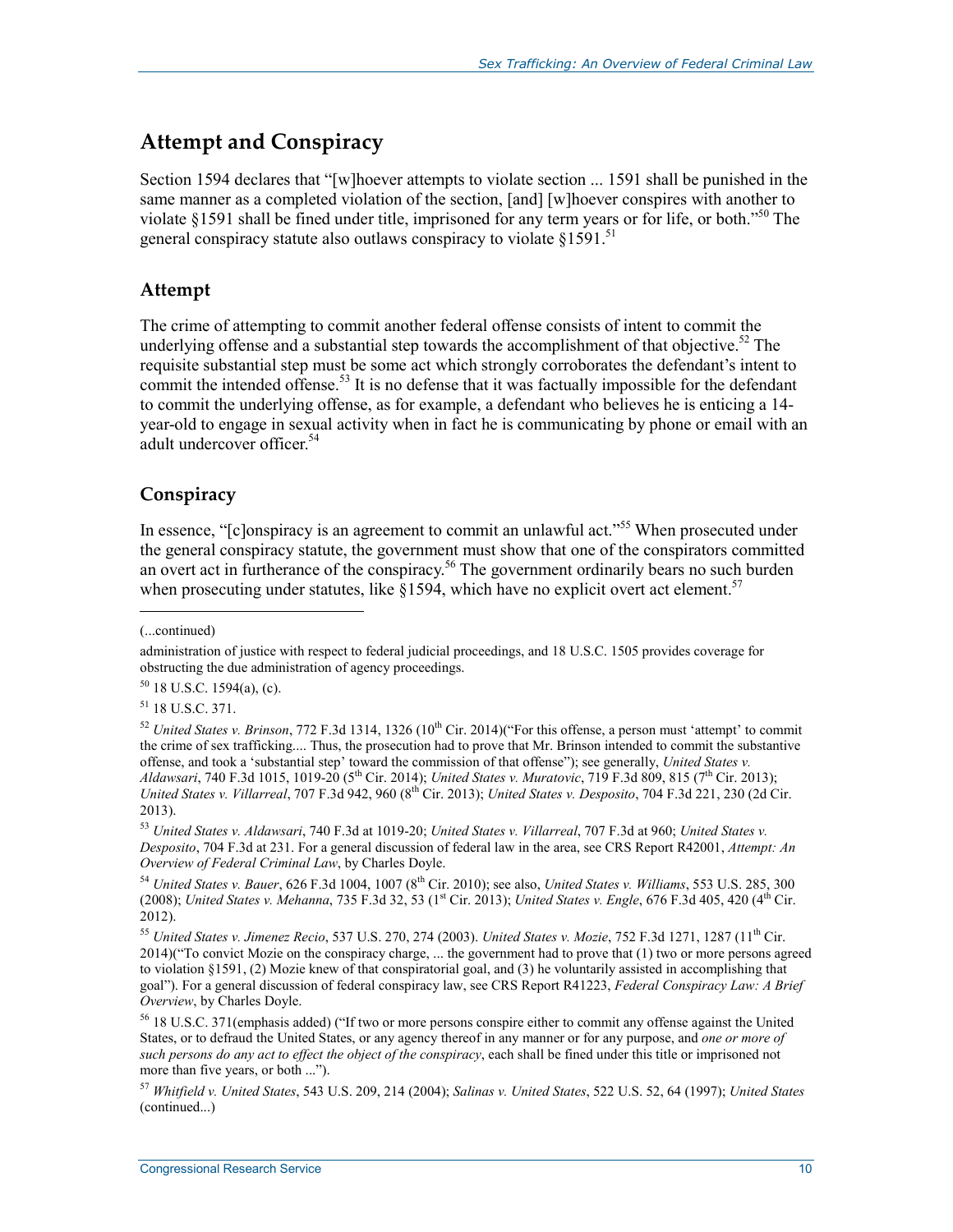### **Attempt and Conspiracy**

Section 1594 declares that "[w]hoever attempts to violate section ... 1591 shall be punished in the same manner as a completed violation of the section, [and] [w]hoever conspires with another to violate §1591 shall be fined under title, imprisoned for any term years or for life, or both."<sup>50</sup> The general conspiracy statute also outlaws conspiracy to violate  $§1591$ <sup>51</sup>

#### **Attempt**

The crime of attempting to commit another federal offense consists of intent to commit the underlying offense and a substantial step towards the accomplishment of that objective.<sup>52</sup> The requisite substantial step must be some act which strongly corroborates the defendant's intent to commit the intended offense.<sup>53</sup> It is no defense that it was factually impossible for the defendant to commit the underlying offense, as for example, a defendant who believes he is enticing a 14 year-old to engage in sexual activity when in fact he is communicating by phone or email with an adult undercover officer.<sup>54</sup>

#### **Conspiracy**

In essence, "[c]onspiracy is an agreement to commit an unlawful act."<sup>55</sup> When prosecuted under the general conspiracy statute, the government must show that one of the conspirators committed an overt act in furtherance of the conspiracy.<sup>56</sup> The government ordinarily bears no such burden when prosecuting under statutes, like  $\S 1594$ , which have no explicit overt act element.<sup>57</sup>

1

 $50$  18 U.S.C. 1594(a), (c).

51 18 U.S.C. 371.

<sup>53</sup> *United States v. Aldawsari*, 740 F.3d at 1019-20; *United States v. Villarreal*, 707 F.3d at 960; *United States v. Desposito*, 704 F.3d at 231. For a general discussion of federal law in the area, see CRS Report R42001, *Attempt: An Overview of Federal Criminal Law*, by Charles Doyle.

<sup>(...</sup>continued)

administration of justice with respect to federal judicial proceedings, and 18 U.S.C. 1505 provides coverage for obstructing the due administration of agency proceedings.

 $52$  *United States v. Brinson,* 772 F.3d 1314, 1326 (10<sup>th</sup> Cir. 2014)("For this offense, a person must 'attempt' to commit the crime of sex trafficking.... Thus, the prosecution had to prove that Mr. Brinson intended to commit the substantive offense, and took a 'substantial step' toward the commission of that offense"); see generally, *United States v. Aldawsari*, 740 F.3d 1015, 1019-20 (5th Cir. 2014); *United States v. Muratovic*, 719 F.3d 809, 815 (7th Cir. 2013); *United States v. Villarreal*, 707 F.3d 942, 960 (8th Cir. 2013); *United States v. Desposito*, 704 F.3d 221, 230 (2d Cir. 2013).

<sup>54</sup> *United States v. Bauer*, 626 F.3d 1004, 1007 (8th Cir. 2010); see also, *United States v. Williams*, 553 U.S. 285, 300 (2008); *United States v. Mehanna*, 735 F.3d 32, 53 (1<sup>st</sup> Cir. 2013); *United States v. Engle*, 676 F.3d 405, 420 (4<sup>th</sup> Cir. 2012).

<sup>55</sup> *United States v. Jimenez Recio*, 537 U.S. 270, 274 (2003). *United States v. Mozie*, 752 F.3d 1271, 1287 (11th Cir. 2014)("To convict Mozie on the conspiracy charge, ... the government had to prove that (1) two or more persons agreed to violation §1591, (2) Mozie knew of that conspiratorial goal, and (3) he voluntarily assisted in accomplishing that goal"). For a general discussion of federal conspiracy law, see CRS Report R41223, *Federal Conspiracy Law: A Brief Overview*, by Charles Doyle.

<sup>56 18</sup> U.S.C. 371(emphasis added) ("If two or more persons conspire either to commit any offense against the United States, or to defraud the United States, or any agency thereof in any manner or for any purpose, and *one or more of such persons do any act to effect the object of the conspiracy*, each shall be fined under this title or imprisoned not more than five years, or both ...").

<sup>57</sup> *Whitfield v. United States*, 543 U.S. 209, 214 (2004); *Salinas v. United States*, 522 U.S. 52, 64 (1997); *United States*  (continued...)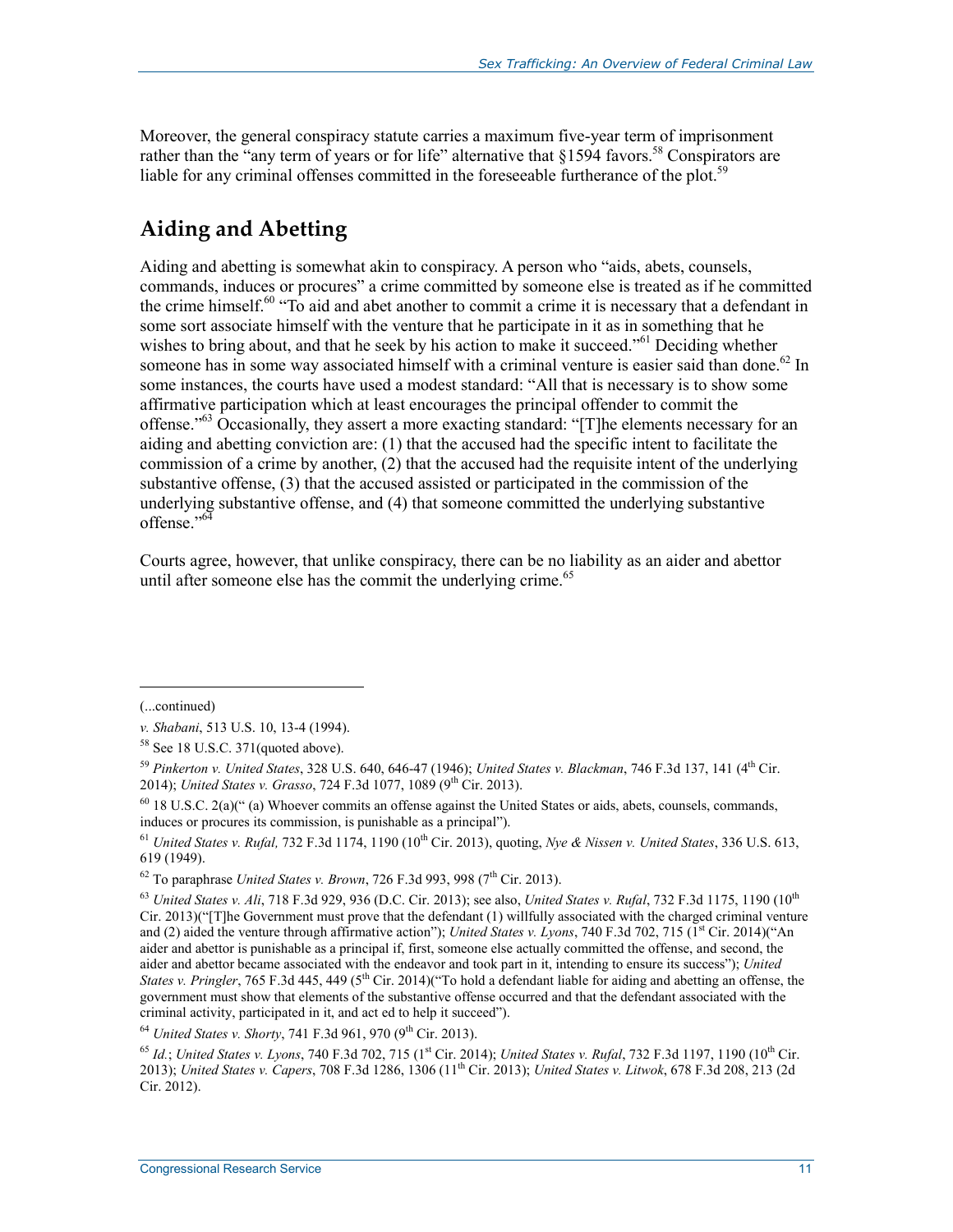Moreover, the general conspiracy statute carries a maximum five-year term of imprisonment rather than the "any term of years or for life" alternative that  $§1594$  favors.<sup>58</sup> Conspirators are liable for any criminal offenses committed in the foreseeable furtherance of the plot.<sup>59</sup>

## **Aiding and Abetting**

Aiding and abetting is somewhat akin to conspiracy. A person who "aids, abets, counsels, commands, induces or procures" a crime committed by someone else is treated as if he committed the crime himself.<sup>60</sup> "To aid and abet another to commit a crime it is necessary that a defendant in some sort associate himself with the venture that he participate in it as in something that he wishes to bring about, and that he seek by his action to make it succeed."<sup>61</sup> Deciding whether someone has in some way associated himself with a criminal venture is easier said than done.<sup>62</sup> In some instances, the courts have used a modest standard: "All that is necessary is to show some affirmative participation which at least encourages the principal offender to commit the offense."63 Occasionally, they assert a more exacting standard: "[T]he elements necessary for an aiding and abetting conviction are: (1) that the accused had the specific intent to facilitate the commission of a crime by another, (2) that the accused had the requisite intent of the underlying substantive offense, (3) that the accused assisted or participated in the commission of the underlying substantive offense, and (4) that someone committed the underlying substantive offense<sup>"64</sup>

Courts agree, however, that unlike conspiracy, there can be no liability as an aider and abettor until after someone else has the commit the underlying crime. $65$ 

<sup>(...</sup>continued)

*v. Shabani*, 513 U.S. 10, 13-4 (1994).

<sup>&</sup>lt;sup>58</sup> See 18 U.S.C. 371(quoted above).

<sup>59</sup> *Pinkerton v. United States*, 328 U.S. 640, 646-47 (1946); *United States v. Blackman*, 746 F.3d 137, 141 (4th Cir. 2014); *United States v. Grasso*, 724 F.3d 1077, 1089 (9<sup>th</sup> Cir. 2013).

<sup>60 18</sup> U.S.C. 2(a)(" (a) Whoever commits an offense against the United States or aids, abets, counsels, commands, induces or procures its commission, is punishable as a principal").

<sup>61</sup> *United States v. Rufal,* 732 F.3d 1174, 1190 (10th Cir. 2013), quoting, *Nye & Nissen v. United States*, 336 U.S. 613, 619 (1949).

 $62$  To paraphrase *United States v. Brown*, 726 F.3d 993, 998 (7<sup>th</sup> Cir. 2013).

<sup>63</sup> *United States v. Ali*, 718 F.3d 929, 936 (D.C. Cir. 2013); see also, *United States v. Rufal*, 732 F.3d 1175, 1190 (10th Cir. 2013)("[T]he Government must prove that the defendant (1) willfully associated with the charged criminal venture and (2) aided the venture through affirmative action"); *United States v. Lyons*, 740 F.3d 702, 715 ( $I<sup>st</sup>$  Cir. 2014)("An aider and abettor is punishable as a principal if, first, someone else actually committed the offense, and second, the aider and abettor became associated with the endeavor and took part in it, intending to ensure its success"); *United States v. Pringler*, 765 F.3d 445, 449 (5<sup>th</sup> Cir. 2014)("To hold a defendant liable for aiding and abetting an offense, the government must show that elements of the substantive offense occurred and that the defendant associated with the criminal activity, participated in it, and act ed to help it succeed").

<sup>&</sup>lt;sup>64</sup> *United States v. Shorty*, 741 F.3d 961, 970 (9<sup>th</sup> Cir. 2013).

<sup>65</sup> *Id.*; *United States v. Lyons*, 740 F.3d 702, 715 (1st Cir. 2014); *United States v. Rufal*, 732 F.3d 1197, 1190 (10th Cir. 2013); *United States v. Capers*, 708 F.3d 1286, 1306 (11th Cir. 2013); *United States v. Litwok*, 678 F.3d 208, 213 (2d Cir. 2012).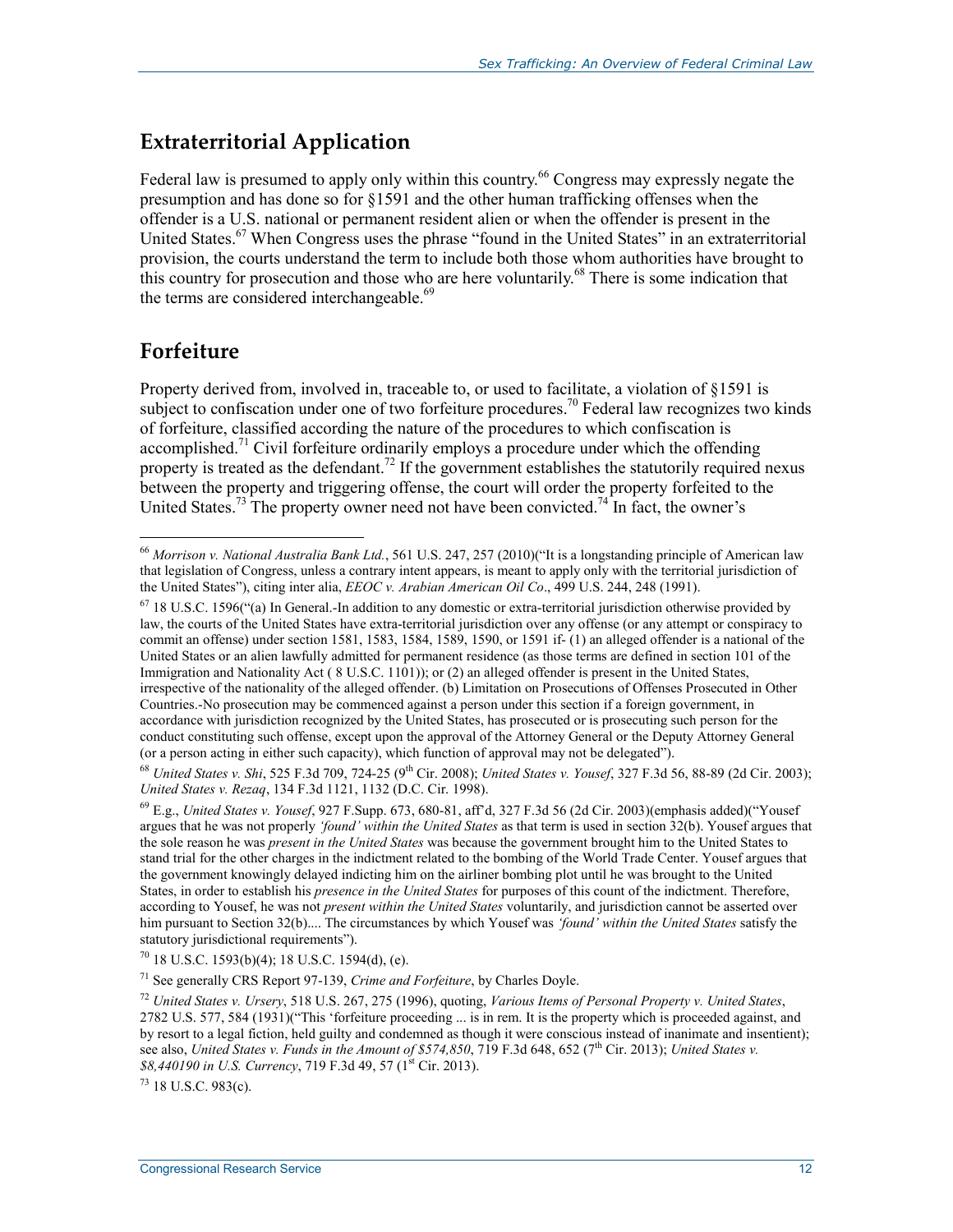### **Extraterritorial Application**

Federal law is presumed to apply only within this country.<sup>66</sup> Congress may expressly negate the presumption and has done so for §1591 and the other human trafficking offenses when the offender is a U.S. national or permanent resident alien or when the offender is present in the United States.<sup>67</sup> When Congress uses the phrase "found in the United States" in an extraterritorial provision, the courts understand the term to include both those whom authorities have brought to this country for prosecution and those who are here voluntarily.<sup>68</sup> There is some indication that the terms are considered interchangeable.<sup>69</sup>

#### **Forfeiture**

1

Property derived from, involved in, traceable to, or used to facilitate, a violation of §1591 is subject to confiscation under one of two forfeiture procedures.<sup>70</sup> Federal law recognizes two kinds of forfeiture, classified according the nature of the procedures to which confiscation is accomplished.<sup>71</sup> Civil forfeiture ordinarily employs a procedure under which the offending property is treated as the defendant.<sup>72</sup> If the government establishes the statutorily required nexus between the property and triggering offense, the court will order the property forfeited to the United States.<sup>73</sup> The property owner need not have been convicted.<sup>74</sup> In fact, the owner's

73 18 U.S.C. 983(c).

<sup>66</sup> *Morrison v. National Australia Bank Ltd.*, 561 U.S. 247, 257 (2010)("It is a longstanding principle of American law that legislation of Congress, unless a contrary intent appears, is meant to apply only with the territorial jurisdiction of the United States"), citing inter alia, *EEOC v. Arabian American Oil Co*., 499 U.S. 244, 248 (1991).

 $67$  18 U.S.C. 1596("(a) In General.-In addition to any domestic or extra-territorial jurisdiction otherwise provided by law, the courts of the United States have extra-territorial jurisdiction over any offense (or any attempt or conspiracy to commit an offense) under section 1581, 1583, 1584, 1589, 1590, or 1591 if- (1) an alleged offender is a national of the United States or an alien lawfully admitted for permanent residence (as those terms are defined in section 101 of the Immigration and Nationality Act ( 8 U.S.C. 1101)); or (2) an alleged offender is present in the United States, irrespective of the nationality of the alleged offender. (b) Limitation on Prosecutions of Offenses Prosecuted in Other Countries.-No prosecution may be commenced against a person under this section if a foreign government, in accordance with jurisdiction recognized by the United States, has prosecuted or is prosecuting such person for the conduct constituting such offense, except upon the approval of the Attorney General or the Deputy Attorney General (or a person acting in either such capacity), which function of approval may not be delegated").

<sup>68</sup> *United States v. Shi*, 525 F.3d 709, 724-25 (9th Cir. 2008); *United States v. Yousef*, 327 F.3d 56, 88-89 (2d Cir. 2003); *United States v. Rezaq*, 134 F.3d 1121, 1132 (D.C. Cir. 1998).

<sup>69</sup> E.g., *United States v. Yousef*, 927 F.Supp. 673, 680-81, aff'd, 327 F.3d 56 (2d Cir. 2003)(emphasis added)("Yousef argues that he was not properly *'found' within the United States* as that term is used in section 32(b). Yousef argues that the sole reason he was *present in the United States* was because the government brought him to the United States to stand trial for the other charges in the indictment related to the bombing of the World Trade Center. Yousef argues that the government knowingly delayed indicting him on the airliner bombing plot until he was brought to the United States, in order to establish his *presence in the United States* for purposes of this count of the indictment. Therefore, according to Yousef, he was not *present within the United States* voluntarily, and jurisdiction cannot be asserted over him pursuant to Section 32(b).... The circumstances by which Yousef was *'found' within the United States* satisfy the statutory jurisdictional requirements").

 $70$  18 U.S.C. 1593(b)(4); 18 U.S.C. 1594(d), (e).

<sup>71</sup> See generally CRS Report 97-139, *Crime and Forfeiture*, by Charles Doyle.

<sup>72</sup> *United States v. Ursery*, 518 U.S. 267, 275 (1996), quoting, *Various Items of Personal Property v. United States*, 2782 U.S. 577, 584 (1931)("This 'forfeiture proceeding ... is in rem. It is the property which is proceeded against, and by resort to a legal fiction, held guilty and condemned as though it were conscious instead of inanimate and insentient); see also, *United States v. Funds in the Amount of \$574,850*, 719 F.3d 648, 652 (7<sup>th</sup> Cir. 2013); *United States v.* \$8,440190 in U.S. Currency, 719 F.3d 49, 57 (1<sup>st</sup> Cir. 2013).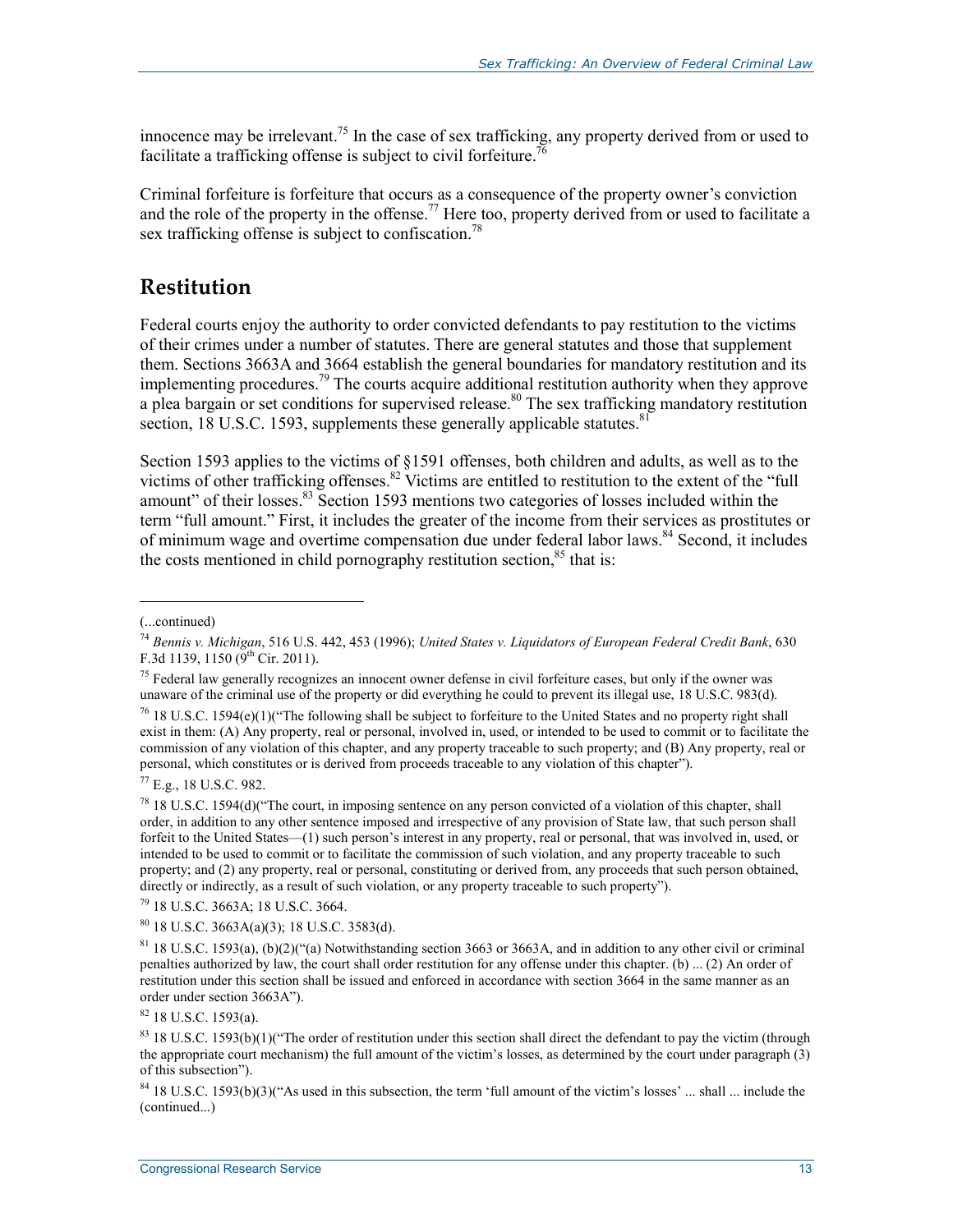innocence may be irrelevant.<sup>75</sup> In the case of sex trafficking, any property derived from or used to facilitate a trafficking offense is subject to civil forfeiture.<sup>7</sup>

Criminal forfeiture is forfeiture that occurs as a consequence of the property owner's conviction and the role of the property in the offense.<sup>77</sup> Here too, property derived from or used to facilitate a sex trafficking offense is subject to confiscation.<sup>78</sup>

#### **Restitution**

Federal courts enjoy the authority to order convicted defendants to pay restitution to the victims of their crimes under a number of statutes. There are general statutes and those that supplement them. Sections 3663A and 3664 establish the general boundaries for mandatory restitution and its implementing procedures.<sup>79</sup> The courts acquire additional restitution authority when they approve a plea bargain or set conditions for supervised release.<sup>80</sup> The sex trafficking mandatory restitution section, 18 U.S.C. 1593, supplements these generally applicable statutes.<sup>81</sup>

Section 1593 applies to the victims of §1591 offenses, both children and adults, as well as to the victims of other trafficking offenses.<sup>82</sup> Victims are entitled to restitution to the extent of the "full" amount" of their losses.<sup>83</sup> Section 1593 mentions two categories of losses included within the term "full amount." First, it includes the greater of the income from their services as prostitutes or of minimum wage and overtime compensation due under federal labor laws.<sup>84</sup> Second, it includes the costs mentioned in child pornography restitution section.<sup>85</sup> that is:

1

79 18 U.S.C. 3663A; 18 U.S.C. 3664.

80 18 U.S.C. 3663A(a)(3); 18 U.S.C. 3583(d).

 $81$  18 U.S.C. 1593(a), (b)(2)("(a) Notwithstanding section 3663 or 3663A, and in addition to any other civil or criminal penalties authorized by law, the court shall order restitution for any offense under this chapter. (b) ... (2) An order of restitution under this section shall be issued and enforced in accordance with section 3664 in the same manner as an order under section 3663A").

<sup>(...</sup>continued)

<sup>74</sup> *Bennis v. Michigan*, 516 U.S. 442, 453 (1996); *United States v. Liquidators of European Federal Credit Bank*, 630 F.3d 1139, 1150 ( $9^{th}$  Cir. 2011).

 $<sup>75</sup>$  Federal law generally recognizes an innocent owner defense in civil forfeiture cases, but only if the owner was</sup> unaware of the criminal use of the property or did everything he could to prevent its illegal use, 18 U.S.C. 983(d).

<sup>&</sup>lt;sup>76</sup> 18 U.S.C. 1594(e)(1)("The following shall be subject to forfeiture to the United States and no property right shall exist in them: (A) Any property, real or personal, involved in, used, or intended to be used to commit or to facilitate the commission of any violation of this chapter, and any property traceable to such property; and (B) Any property, real or personal, which constitutes or is derived from proceeds traceable to any violation of this chapter").

<sup>77</sup> E.g., 18 U.S.C. 982.

<sup>78 18</sup> U.S.C. 1594(d)("The court, in imposing sentence on any person convicted of a violation of this chapter, shall order, in addition to any other sentence imposed and irrespective of any provision of State law, that such person shall forfeit to the United States—(1) such person's interest in any property, real or personal, that was involved in, used, or intended to be used to commit or to facilitate the commission of such violation, and any property traceable to such property; and (2) any property, real or personal, constituting or derived from, any proceeds that such person obtained, directly or indirectly, as a result of such violation, or any property traceable to such property").

 $82$  18 U.S.C. 1593(a).

 $83$  18 U.S.C. 1593(b)(1)("The order of restitution under this section shall direct the defendant to pay the victim (through the appropriate court mechanism) the full amount of the victim's losses, as determined by the court under paragraph (3) of this subsection").

<sup>&</sup>lt;sup>84</sup> 18 U.S.C. 1593(b)(3)("As used in this subsection, the term 'full amount of the victim's losses' ... shall ... include the (continued...)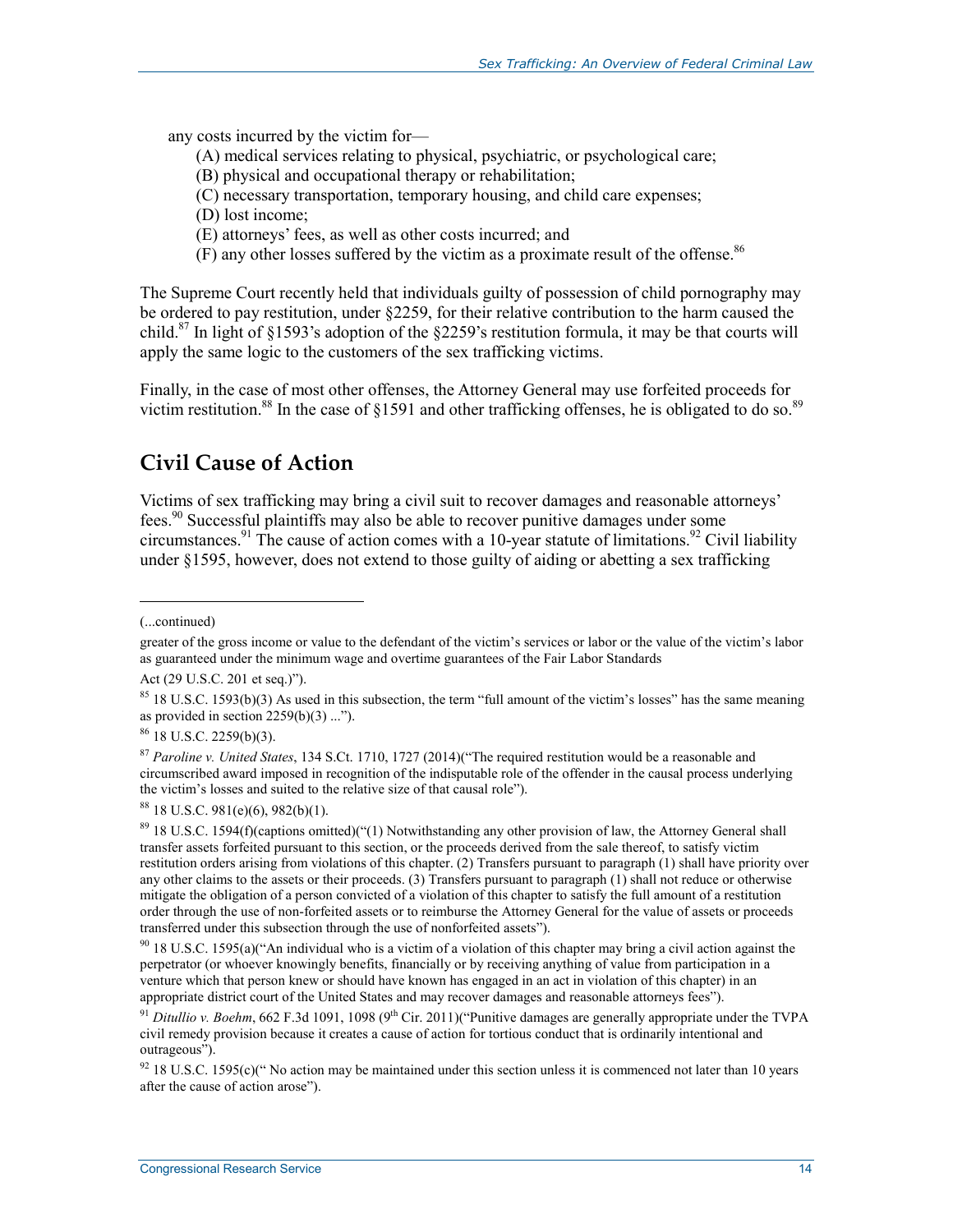any costs incurred by the victim for—

- (A) medical services relating to physical, psychiatric, or psychological care;
- (B) physical and occupational therapy or rehabilitation;
- (C) necessary transportation, temporary housing, and child care expenses;
- (D) lost income;
- (E) attorneys' fees, as well as other costs incurred; and
- $(F)$  any other losses suffered by the victim as a proximate result of the offense.<sup>86</sup>

The Supreme Court recently held that individuals guilty of possession of child pornography may be ordered to pay restitution, under §2259, for their relative contribution to the harm caused the child.<sup>87</sup> In light of §1593's adoption of the §2259's restitution formula, it may be that courts will apply the same logic to the customers of the sex trafficking victims.

Finally, in the case of most other offenses, the Attorney General may use forfeited proceeds for victim restitution.<sup>88</sup> In the case of §1591 and other trafficking offenses, he is obligated to do so.<sup>89</sup>

### **Civil Cause of Action**

Victims of sex trafficking may bring a civil suit to recover damages and reasonable attorneys' fees.<sup>90</sup> Successful plaintiffs may also be able to recover punitive damages under some circumstances.<sup>91</sup> The cause of action comes with a 10-year statute of limitations.<sup>92</sup> Civil liability under §1595, however, does not extend to those guilty of aiding or abetting a sex trafficking

1

86 18 U.S.C. 2259(b)(3).

<sup>(...</sup>continued)

greater of the gross income or value to the defendant of the victim's services or labor or the value of the victim's labor as guaranteed under the minimum wage and overtime guarantees of the Fair Labor Standards

Act (29 U.S.C. 201 et seq.)").

<sup>&</sup>lt;sup>85</sup> 18 U.S.C. 1593(b)(3) As used in this subsection, the term "full amount of the victim's losses" has the same meaning as provided in section  $2259(b)(3)$  ...").

<sup>87</sup> *Paroline v. United States*, 134 S.Ct. 1710, 1727 (2014)("The required restitution would be a reasonable and circumscribed award imposed in recognition of the indisputable role of the offender in the causal process underlying the victim's losses and suited to the relative size of that causal role").

<sup>88 18</sup> U.S.C. 981(e)(6), 982(b)(1).

 $89$  18 U.S.C. 1594(f)(captions omitted)("(1) Notwithstanding any other provision of law, the Attorney General shall transfer assets forfeited pursuant to this section, or the proceeds derived from the sale thereof, to satisfy victim restitution orders arising from violations of this chapter. (2) Transfers pursuant to paragraph (1) shall have priority over any other claims to the assets or their proceeds. (3) Transfers pursuant to paragraph (1) shall not reduce or otherwise mitigate the obligation of a person convicted of a violation of this chapter to satisfy the full amount of a restitution order through the use of non-forfeited assets or to reimburse the Attorney General for the value of assets or proceeds transferred under this subsection through the use of nonforfeited assets").

 $90\,$  18 U.S.C. 1595(a)("An individual who is a victim of a violation of this chapter may bring a civil action against the perpetrator (or whoever knowingly benefits, financially or by receiving anything of value from participation in a venture which that person knew or should have known has engaged in an act in violation of this chapter) in an appropriate district court of the United States and may recover damages and reasonable attorneys fees").

<sup>&</sup>lt;sup>91</sup> *Ditullio v. Boehm*, 662 F.3d 1091, 1098 (9<sup>th</sup> Cir. 2011)("Punitive damages are generally appropriate under the TVPA civil remedy provision because it creates a cause of action for tortious conduct that is ordinarily intentional and outrageous").

 $92$  18 U.S.C. 1595(c)(" No action may be maintained under this section unless it is commenced not later than 10 years after the cause of action arose").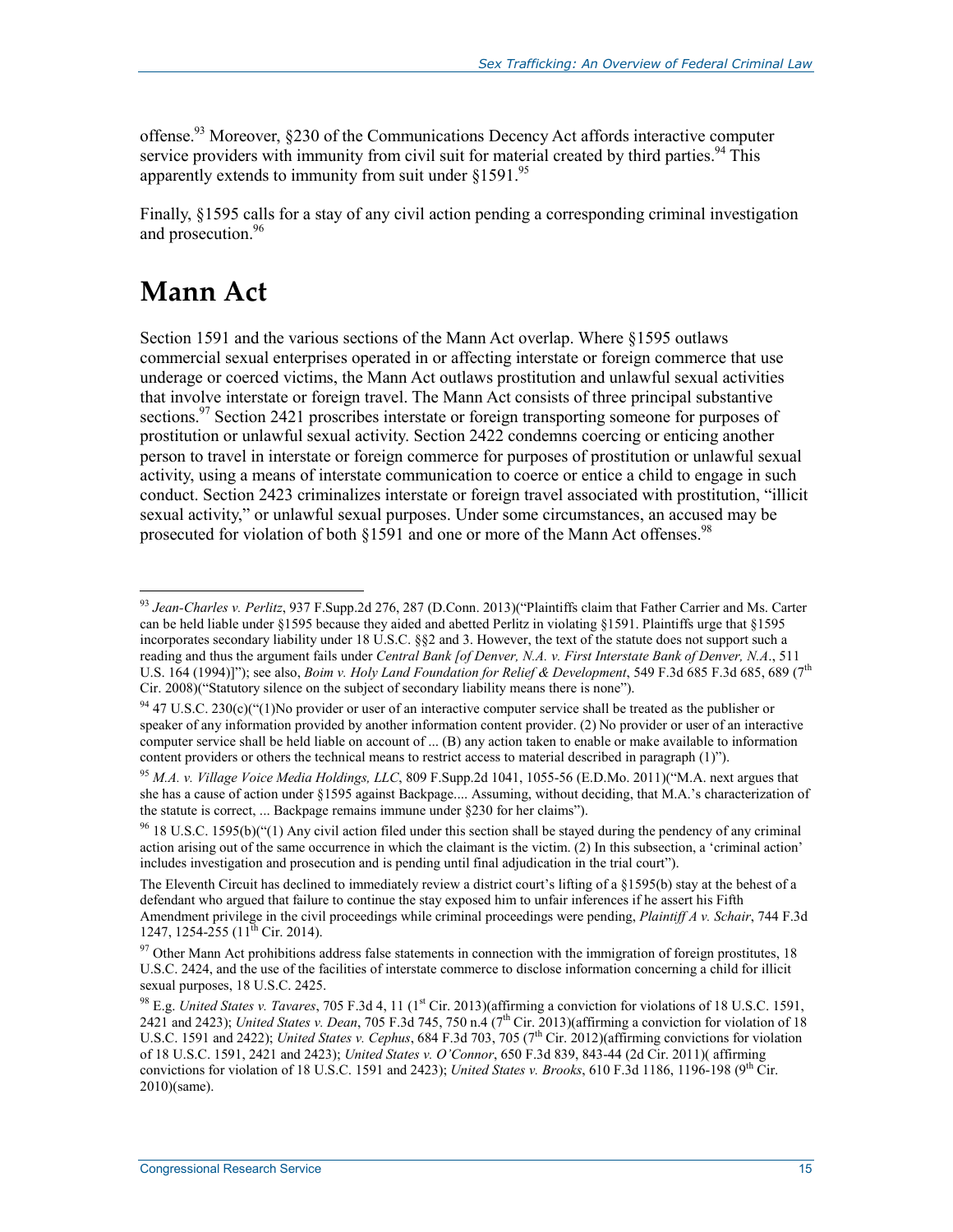offense.<sup>93</sup> Moreover, §230 of the Communications Decency Act affords interactive computer service providers with immunity from civil suit for material created by third parties.  $94$  This apparently extends to immunity from suit under  $$1591$ .<sup>95</sup>

Finally, §1595 calls for a stay of any civil action pending a corresponding criminal investigation and prosecution.<sup>96</sup>

## **Mann Act**

1

Section 1591 and the various sections of the Mann Act overlap. Where §1595 outlaws commercial sexual enterprises operated in or affecting interstate or foreign commerce that use underage or coerced victims, the Mann Act outlaws prostitution and unlawful sexual activities that involve interstate or foreign travel. The Mann Act consists of three principal substantive sections.<sup>97</sup> Section 2421 proscribes interstate or foreign transporting someone for purposes of prostitution or unlawful sexual activity. Section 2422 condemns coercing or enticing another person to travel in interstate or foreign commerce for purposes of prostitution or unlawful sexual activity, using a means of interstate communication to coerce or entice a child to engage in such conduct. Section 2423 criminalizes interstate or foreign travel associated with prostitution, "illicit sexual activity," or unlawful sexual purposes. Under some circumstances, an accused may be prosecuted for violation of both  $\S 1591$  and one or more of the Mann Act offenses.<sup>98</sup>

<sup>93</sup> *Jean-Charles v. Perlitz*, 937 F.Supp.2d 276, 287 (D.Conn. 2013)("Plaintiffs claim that Father Carrier and Ms. Carter can be held liable under §1595 because they aided and abetted Perlitz in violating §1591. Plaintiffs urge that §1595 incorporates secondary liability under 18 U.S.C. §§2 and 3. However, the text of the statute does not support such a reading and thus the argument fails under *Central Bank [of Denver, N.A. v. First Interstate Bank of Denver, N.A*., 511 U.S. 164 (1994)]"); see also, *Boim v. Holy Land Foundation for Relief & Development*, 549 F.3d 685 F.3d 685, 689 (7<sup>th</sup> Cir. 2008)("Statutory silence on the subject of secondary liability means there is none").

 $94$  47 U.S.C. 230(c)("(1)No provider or user of an interactive computer service shall be treated as the publisher or speaker of any information provided by another information content provider. (2) No provider or user of an interactive computer service shall be held liable on account of ... (B) any action taken to enable or make available to information content providers or others the technical means to restrict access to material described in paragraph (1)").

<sup>95</sup> *M.A. v. Village Voice Media Holdings, LLC*, 809 F.Supp.2d 1041, 1055-56 (E.D.Mo. 2011)("M.A. next argues that she has a cause of action under §1595 against Backpage.... Assuming, without deciding, that M.A.'s characterization of the statute is correct, ... Backpage remains immune under §230 for her claims").

 $96$  18 U.S.C. 1595(b)("(1) Any civil action filed under this section shall be stayed during the pendency of any criminal action arising out of the same occurrence in which the claimant is the victim. (2) In this subsection, a 'criminal action' includes investigation and prosecution and is pending until final adjudication in the trial court").

The Eleventh Circuit has declined to immediately review a district court's lifting of a §1595(b) stay at the behest of a defendant who argued that failure to continue the stay exposed him to unfair inferences if he assert his Fifth Amendment privilege in the civil proceedings while criminal proceedings were pending, *Plaintiff A v. Schair*, 744 F.3d 1247, 1254-255 ( $11^{th}$  Cir. 2014).

 $97$  Other Mann Act prohibitions address false statements in connection with the immigration of foreign prostitutes, 18 U.S.C. 2424, and the use of the facilities of interstate commerce to disclose information concerning a child for illicit sexual purposes, 18 U.S.C. 2425.

<sup>98</sup> E.g. *United States v. Tavares*, 705 F.3d 4, 11 (1<sup>st</sup> Cir. 2013)(affirming a conviction for violations of 18 U.S.C. 1591, 2421 and 2423); *United States v. Dean*, 705 F.3d 745, 750 n.4 (7th Cir. 2013)(affirming a conviction for violation of 18 U.S.C. 1591 and 2422); *United States v. Cephus*, 684 F.3d 703, 705 (7<sup>th</sup> Cir. 2012)(affirming convictions for violation of 18 U.S.C. 1591, 2421 and 2423); *United States v. O'Connor*, 650 F.3d 839, 843-44 (2d Cir. 2011)( affirming convictions for violation of 18 U.S.C. 1591 and 2423); *United States v. Brooks*, 610 F.3d 1186, 1196-198 (9<sup>th</sup> Cir. 2010)(same).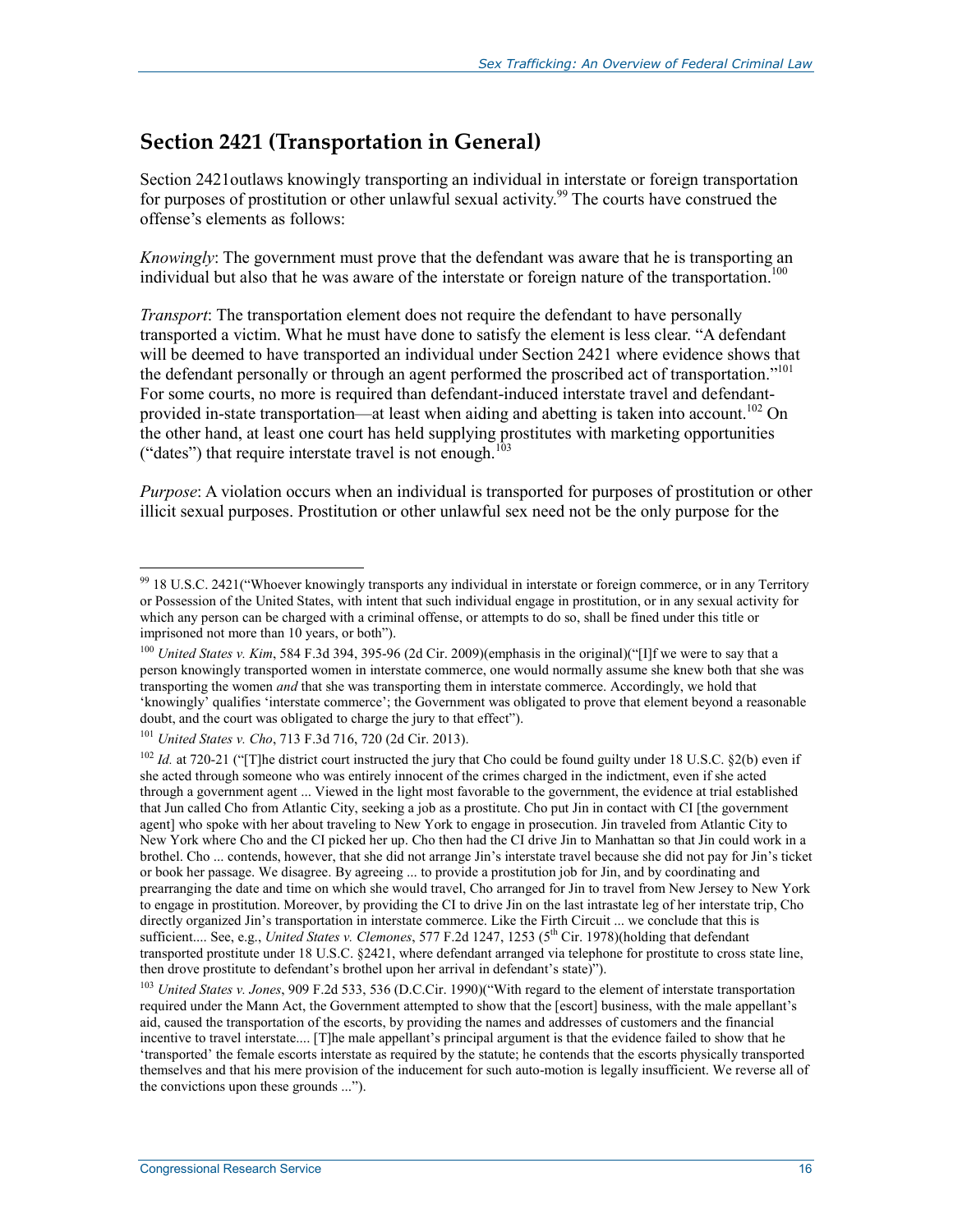### **Section 2421 (Transportation in General)**

Section 2421outlaws knowingly transporting an individual in interstate or foreign transportation for purposes of prostitution or other unlawful sexual activity.<sup>99</sup> The courts have construed the offense's elements as follows:

*Knowingly*: The government must prove that the defendant was aware that he is transporting an individual but also that he was aware of the interstate or foreign nature of the transportation.<sup>100</sup>

*Transport*: The transportation element does not require the defendant to have personally transported a victim. What he must have done to satisfy the element is less clear. "A defendant will be deemed to have transported an individual under Section 2421 where evidence shows that the defendant personally or through an agent performed the proscribed act of transportation."<sup>101</sup> For some courts, no more is required than defendant-induced interstate travel and defendantprovided in-state transportation—at least when aiding and abetting is taken into account.<sup>102</sup> On the other hand, at least one court has held supplying prostitutes with marketing opportunities ("dates") that require interstate travel is not enough.<sup>103</sup>

*Purpose*: A violation occurs when an individual is transported for purposes of prostitution or other illicit sexual purposes. Prostitution or other unlawful sex need not be the only purpose for the

<sup>101</sup> *United States v. Cho*, 713 F.3d 716, 720 (2d Cir. 2013).

<u>.</u>

 $99$  18 U.S.C. 2421 ("Whoever knowingly transports any individual in interstate or foreign commerce, or in any Territory or Possession of the United States, with intent that such individual engage in prostitution, or in any sexual activity for which any person can be charged with a criminal offense, or attempts to do so, shall be fined under this title or imprisoned not more than 10 years, or both").

<sup>&</sup>lt;sup>100</sup> *United States v. Kim.* 584 F.3d 394, 395-96 (2d Cir. 2009)(emphasis in the original)("[I]f we were to say that a person knowingly transported women in interstate commerce, one would normally assume she knew both that she was transporting the women *and* that she was transporting them in interstate commerce. Accordingly, we hold that 'knowingly' qualifies 'interstate commerce'; the Government was obligated to prove that element beyond a reasonable doubt, and the court was obligated to charge the jury to that effect").

<sup>&</sup>lt;sup>102</sup> *Id.* at 720-21 ("The district court instructed the jury that Cho could be found guilty under 18 U.S.C. §2(b) even if she acted through someone who was entirely innocent of the crimes charged in the indictment, even if she acted through a government agent ... Viewed in the light most favorable to the government, the evidence at trial established that Jun called Cho from Atlantic City, seeking a job as a prostitute. Cho put Jin in contact with CI [the government agent] who spoke with her about traveling to New York to engage in prosecution. Jin traveled from Atlantic City to New York where Cho and the CI picked her up. Cho then had the CI drive Jin to Manhattan so that Jin could work in a brothel. Cho ... contends, however, that she did not arrange Jin's interstate travel because she did not pay for Jin's ticket or book her passage. We disagree. By agreeing ... to provide a prostitution job for Jin, and by coordinating and prearranging the date and time on which she would travel, Cho arranged for Jin to travel from New Jersey to New York to engage in prostitution. Moreover, by providing the CI to drive Jin on the last intrastate leg of her interstate trip, Cho directly organized Jin's transportation in interstate commerce. Like the Firth Circuit ... we conclude that this is sufficient.... See, e.g., *United States v. Clemones*, 577 F.2d 1247, 1253 (5<sup>th</sup> Cir. 1978)(holding that defendant transported prostitute under 18 U.S.C. §2421, where defendant arranged via telephone for prostitute to cross state line, then drove prostitute to defendant's brothel upon her arrival in defendant's state)").

<sup>103</sup> *United States v. Jones*, 909 F.2d 533, 536 (D.C.Cir. 1990)("With regard to the element of interstate transportation required under the Mann Act, the Government attempted to show that the [escort] business, with the male appellant's aid, caused the transportation of the escorts, by providing the names and addresses of customers and the financial incentive to travel interstate.... [T]he male appellant's principal argument is that the evidence failed to show that he 'transported' the female escorts interstate as required by the statute; he contends that the escorts physically transported themselves and that his mere provision of the inducement for such auto-motion is legally insufficient. We reverse all of the convictions upon these grounds ...").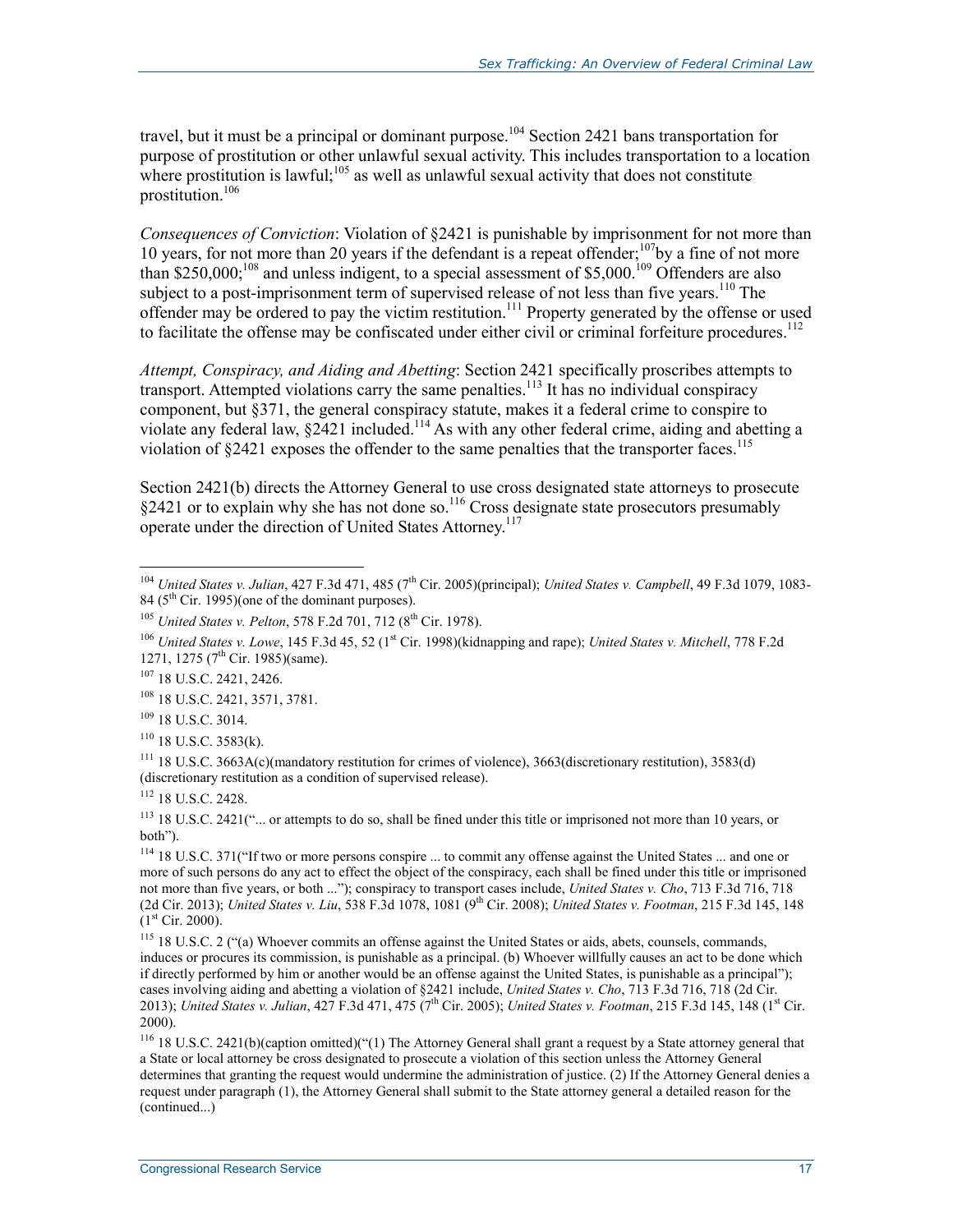travel, but it must be a principal or dominant purpose.<sup>104</sup> Section 2421 bans transportation for purpose of prostitution or other unlawful sexual activity. This includes transportation to a location where prostitution is lawful;<sup>105</sup> as well as unlawful sexual activity that does not constitute prostitution.106

*Consequences of Conviction*: Violation of §2421 is punishable by imprisonment for not more than 10 years, for not more than 20 years if the defendant is a repeat offender;<sup>107</sup>by a fine of not more than \$250,000;<sup>108</sup> and unless indigent, to a special assessment of \$5,000.<sup>109</sup> Offenders are also subject to a post-imprisonment term of supervised release of not less than five years.<sup>110</sup> The offender may be ordered to pay the victim restitution.<sup>111</sup> Property generated by the offense or used to facilitate the offense may be confiscated under either civil or criminal forfeiture procedures.<sup>112</sup>

*Attempt, Conspiracy, and Aiding and Abetting*: Section 2421 specifically proscribes attempts to transport. Attempted violations carry the same penalties.<sup>113</sup> It has no individual conspiracy component, but §371, the general conspiracy statute, makes it a federal crime to conspire to violate any federal law, §2421 included.<sup>114</sup> As with any other federal crime, aiding and abetting a violation of  $\S 2421$  exposes the offender to the same penalties that the transporter faces.<sup>115</sup>

Section 2421(b) directs the Attorney General to use cross designated state attorneys to prosecute §2421 or to explain why she has not done so.<sup>116</sup> Cross designate state prosecutors presumably operate under the direction of United States Attorney.<sup>117</sup>

<sup>&</sup>lt;sup>104</sup> *United States v. Julian*, 427 F.3d 471, 485 (7<sup>th</sup> Cir. 2005)(principal); *United States v. Campbell*, 49 F.3d 1079, 1083-84 (5<sup>th</sup> Cir. 1995)(one of the dominant purposes).

<sup>&</sup>lt;sup>105</sup> *United States v. Pelton*, 578 F.2d 701, 712 (8<sup>th</sup> Cir. 1978).

<sup>&</sup>lt;sup>106</sup> *United States v. Lowe*, 145 F.3d 45, 52 (1<sup>st</sup> Cir. 1998)(kidnapping and rape); *United States v. Mitchell*, 778 F.2d 1271, 1275 (7<sup>th</sup> Cir. 1985)(same).

<sup>107 18</sup> U.S.C. 2421, 2426.

<sup>108 18</sup> U.S.C. 2421, 3571, 3781.

<sup>109 18</sup> U.S.C. 3014.

 $110$  18 U.S.C. 3583(k).

<sup>111 18</sup> U.S.C. 3663A(c)(mandatory restitution for crimes of violence), 3663(discretionary restitution), 3583(d) (discretionary restitution as a condition of supervised release).

<sup>112 18</sup> U.S.C. 2428.

<sup>&</sup>lt;sup>113</sup> 18 U.S.C. 2421("... or attempts to do so, shall be fined under this title or imprisoned not more than 10 years, or both").

<sup>114 18</sup> U.S.C. 371("If two or more persons conspire ... to commit any offense against the United States ... and one or more of such persons do any act to effect the object of the conspiracy, each shall be fined under this title or imprisoned not more than five years, or both ..."); conspiracy to transport cases include, *United States v. Cho*, 713 F.3d 716, 718 (2d Cir. 2013); *United States v. Liu*, 538 F.3d 1078, 1081 (9th Cir. 2008); *United States v. Footman*, 215 F.3d 145, 148  $(1<sup>st</sup> Cir. 2000).$ 

<sup>115 18</sup> U.S.C. 2 ("(a) Whoever commits an offense against the United States or aids, abets, counsels, commands, induces or procures its commission, is punishable as a principal. (b) Whoever willfully causes an act to be done which if directly performed by him or another would be an offense against the United States, is punishable as a principal"); cases involving aiding and abetting a violation of §2421 include, *United States v. Cho*, 713 F.3d 716, 718 (2d Cir. 2013); *United States v. Julian, 427 F.3d 471, 475 (7<sup>th</sup> Cir. 2005); <i>United States v. Footman, 215 F.3d 145, 148 (1st Cir.* 2000).

<sup>&</sup>lt;sup>116</sup> 18 U.S.C. 2421(b)(caption omitted)("(1) The Attorney General shall grant a request by a State attorney general that a State or local attorney be cross designated to prosecute a violation of this section unless the Attorney General determines that granting the request would undermine the administration of justice. (2) If the Attorney General denies a request under paragraph (1), the Attorney General shall submit to the State attorney general a detailed reason for the (continued...)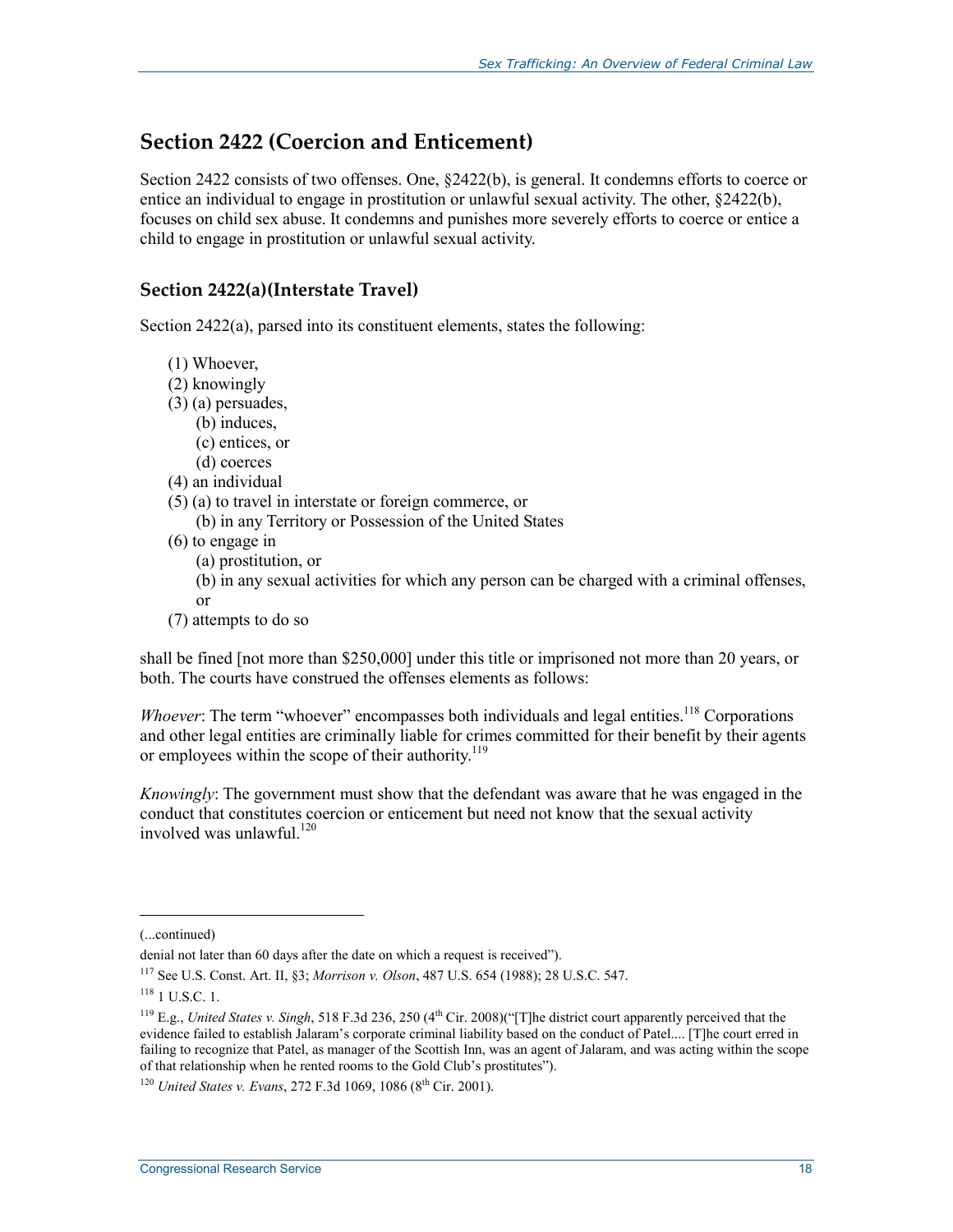#### **Section 2422 (Coercion and Enticement)**

Section 2422 consists of two offenses. One, §2422(b), is general. It condemns efforts to coerce or entice an individual to engage in prostitution or unlawful sexual activity. The other, §2422(b), focuses on child sex abuse. It condemns and punishes more severely efforts to coerce or entice a child to engage in prostitution or unlawful sexual activity.

#### **Section 2422(a)(Interstate Travel)**

Section 2422(a), parsed into its constituent elements, states the following:

- (1) Whoever,
- (2) knowingly
- (3) (a) persuades,
	- (b) induces,
	- (c) entices, or
	- (d) coerces
- (4) an individual
- (5) (a) to travel in interstate or foreign commerce, or
	- (b) in any Territory or Possession of the United States
- (6) to engage in
	- (a) prostitution, or
	- (b) in any sexual activities for which any person can be charged with a criminal offenses, or
- (7) attempts to do so

shall be fined [not more than \$250,000] under this title or imprisoned not more than 20 years, or both. The courts have construed the offenses elements as follows:

*Whoever*: The term "whoever" encompasses both individuals and legal entities.<sup>118</sup> Corporations and other legal entities are criminally liable for crimes committed for their benefit by their agents or employees within the scope of their authority.<sup>119</sup>

*Knowingly*: The government must show that the defendant was aware that he was engaged in the conduct that constitutes coercion or enticement but need not know that the sexual activity involved was unlawful.<sup>120</sup>

 $\overline{a}$ 

<sup>(...</sup>continued)

denial not later than 60 days after the date on which a request is received").

<sup>117</sup> See U.S. Const. Art. II, §3; *Morrison v. Olson*, 487 U.S. 654 (1988); 28 U.S.C. 547.

 $118$  1 U.S.C. 1.

<sup>&</sup>lt;sup>119</sup> E.g., *United States v. Singh*, 518 F.3d 236, 250 (4<sup>th</sup> Cir. 2008)("[T]he district court apparently perceived that the evidence failed to establish Jalaram's corporate criminal liability based on the conduct of Patel.... [T]he court erred in failing to recognize that Patel, as manager of the Scottish Inn, was an agent of Jalaram, and was acting within the scope of that relationship when he rented rooms to the Gold Club's prostitutes").

<sup>&</sup>lt;sup>120</sup> *United States v. Evans*, 272 F.3d 1069, 1086 (8<sup>th</sup> Cir. 2001).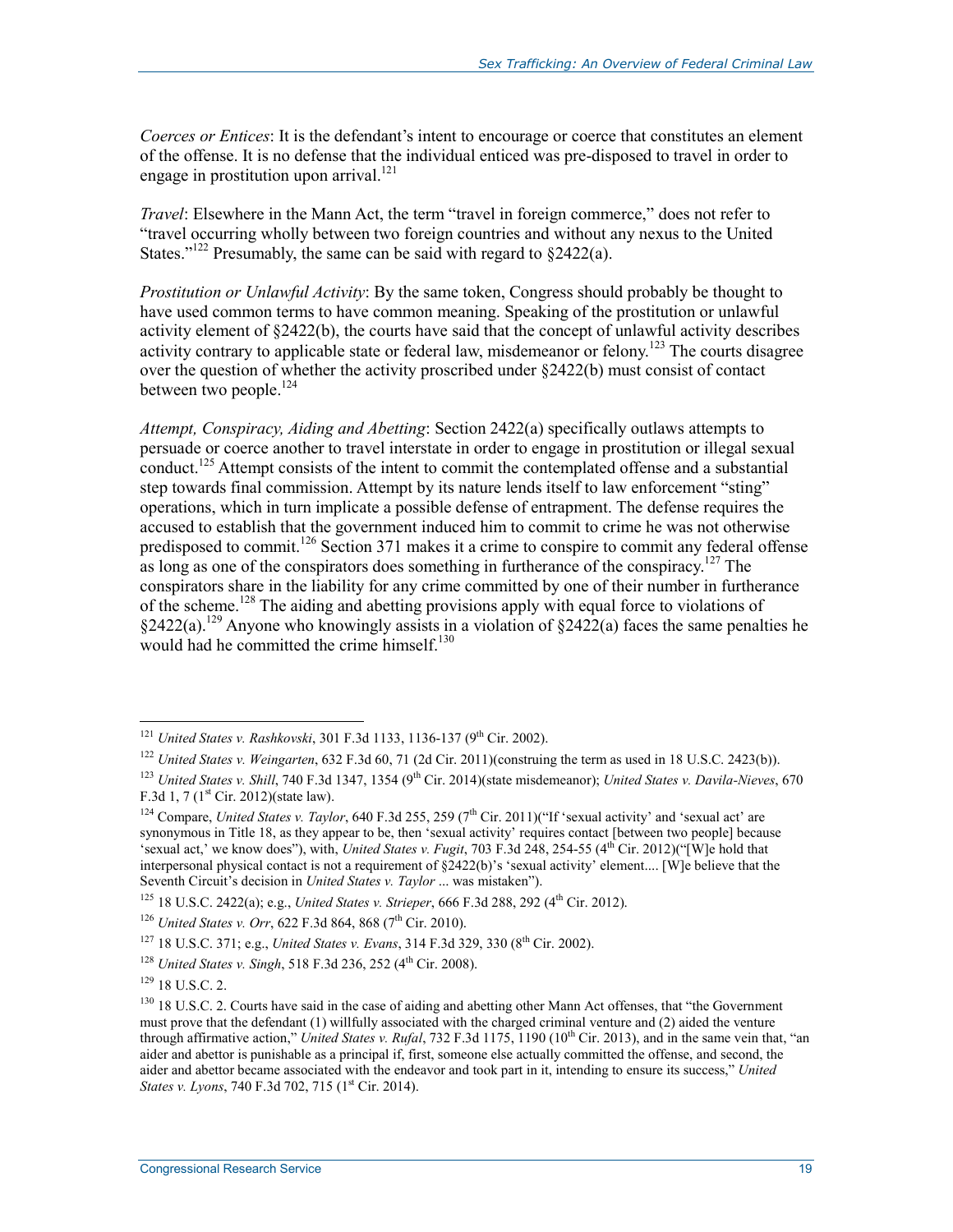*Coerces or Entices*: It is the defendant's intent to encourage or coerce that constitutes an element of the offense. It is no defense that the individual enticed was pre-disposed to travel in order to engage in prostitution upon arrival.<sup>121</sup>

*Travel*: Elsewhere in the Mann Act, the term "travel in foreign commerce," does not refer to "travel occurring wholly between two foreign countries and without any nexus to the United States."<sup>122</sup> Presumably, the same can be said with regard to  $\S2422(a)$ .

*Prostitution or Unlawful Activity*: By the same token, Congress should probably be thought to have used common terms to have common meaning. Speaking of the prostitution or unlawful activity element of §2422(b), the courts have said that the concept of unlawful activity describes activity contrary to applicable state or federal law, misdemeanor or felony.<sup>123</sup> The courts disagree over the question of whether the activity proscribed under §2422(b) must consist of contact between two people.<sup>124</sup>

*Attempt, Conspiracy, Aiding and Abetting*: Section 2422(a) specifically outlaws attempts to persuade or coerce another to travel interstate in order to engage in prostitution or illegal sexual conduct.<sup>125</sup> Attempt consists of the intent to commit the contemplated offense and a substantial step towards final commission. Attempt by its nature lends itself to law enforcement "sting" operations, which in turn implicate a possible defense of entrapment. The defense requires the accused to establish that the government induced him to commit to crime he was not otherwise predisposed to commit.<sup>126</sup> Section 371 makes it a crime to conspire to commit any federal offense as long as one of the conspirators does something in furtherance of the conspiracy.<sup>127</sup> The conspirators share in the liability for any crime committed by one of their number in furtherance of the scheme.128 The aiding and abetting provisions apply with equal force to violations of  $§2422(a).^{129}$  Anyone who knowingly assists in a violation of  $§2422(a)$  faces the same penalties he would had he committed the crime himself.<sup>130</sup>

<sup>&</sup>lt;sup>121</sup> *United States v. Rashkovski*, 301 F.3d 1133, 1136-137 (9<sup>th</sup> Cir. 2002).

<sup>122</sup> *United States v. Weingarten*, 632 F.3d 60, 71 (2d Cir. 2011)(construing the term as used in 18 U.S.C. 2423(b)).

<sup>&</sup>lt;sup>123</sup> *United States v. Shill*, 740 F.3d 1347, 1354 (9<sup>th</sup> Cir. 2014)(state misdemeanor); *United States v. Davila-Nieves*, 670 F.3d 1, 7 ( $1<sup>st</sup>$  Cir. 2012)(state law).

<sup>&</sup>lt;sup>124</sup> Compare, *United States v. Taylor*, 640 F.3d 255, 259 (7<sup>th</sup> Cir. 2011)("If 'sexual activity' and 'sexual act' are synonymous in Title 18, as they appear to be, then 'sexual activity' requires contact [between two people] because 'sexual act,' we know does"), with, *United States v. Fugit*, 703 F.3d 248, 254-55 (4th Cir. 2012)("[W]e hold that interpersonal physical contact is not a requirement of §2422(b)'s 'sexual activity' element.... [W]e believe that the Seventh Circuit's decision in *United States v. Taylor* ... was mistaken").

<sup>&</sup>lt;sup>125</sup> 18 U.S.C. 2422(a); e.g., *United States v. Strieper*, 666 F.3d 288, 292 (4<sup>th</sup> Cir. 2012).

<sup>&</sup>lt;sup>126</sup> *United States v. Orr*, 622 F.3d 864, 868 (7<sup>th</sup> Cir. 2010).

<sup>&</sup>lt;sup>127</sup> 18 U.S.C. 371; e.g., *United States v. Evans*, 314 F.3d 329, 330 (8<sup>th</sup> Cir. 2002).

<sup>&</sup>lt;sup>128</sup> *United States v. Singh, 518 F.3d 236, 252 (4<sup>th</sup> Cir. 2008).* 

 $129$  18 U.S.C. 2.

<sup>&</sup>lt;sup>130</sup> 18 U.S.C. 2. Courts have said in the case of aiding and abetting other Mann Act offenses, that "the Government must prove that the defendant (1) willfully associated with the charged criminal venture and (2) aided the venture through affirmative action," *United States v. Rufal*, 732 F.3d 1175, 1190 (10th Cir. 2013), and in the same vein that, "an aider and abettor is punishable as a principal if, first, someone else actually committed the offense, and second, the aider and abettor became associated with the endeavor and took part in it, intending to ensure its success," *United States v. Lyons*, 740 F.3d 702, 715 (1<sup>st</sup> Cir. 2014).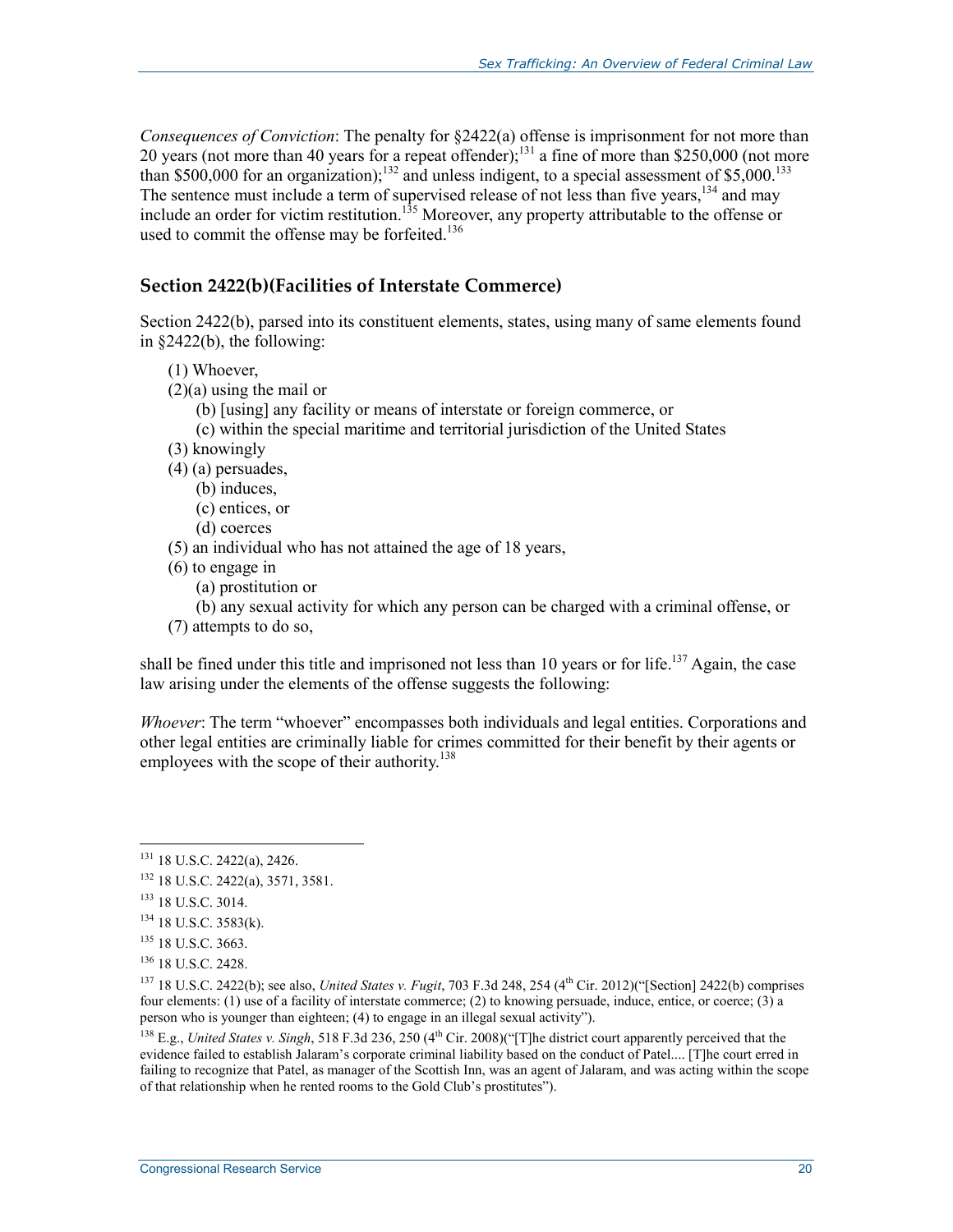*Consequences of Conviction*: The penalty for §2422(a) offense is imprisonment for not more than 20 years (not more than 40 years for a repeat offender);<sup>131</sup> a fine of more than \$250,000 (not more than \$500,000 for an organization);<sup>132</sup> and unless indigent, to a special assessment of \$5,000.<sup>133</sup> The sentence must include a term of supervised release of not less than five years,<sup>134</sup> and may include an order for victim restitution.<sup>135</sup> Moreover, any property attributable to the offense or used to commit the offense may be forfeited.<sup>136</sup>

#### **Section 2422(b)(Facilities of Interstate Commerce)**

Section 2422(b), parsed into its constituent elements, states, using many of same elements found in §2422(b), the following:

- (1) Whoever,
- (2)(a) using the mail or
	- (b) [using] any facility or means of interstate or foreign commerce, or
	- (c) within the special maritime and territorial jurisdiction of the United States
- (3) knowingly
- (4) (a) persuades,
	- (b) induces,
	- (c) entices, or
	- (d) coerces
- (5) an individual who has not attained the age of 18 years,
- (6) to engage in
	- (a) prostitution or
	- (b) any sexual activity for which any person can be charged with a criminal offense, or
- (7) attempts to do so,

shall be fined under this title and imprisoned not less than 10 years or for life.<sup>137</sup> Again, the case law arising under the elements of the offense suggests the following:

*Whoever*: The term "whoever" encompasses both individuals and legal entities. Corporations and other legal entities are criminally liable for crimes committed for their benefit by their agents or employees with the scope of their authority.<sup>138</sup>

<u>.</u>

<sup>131 18</sup> U.S.C. 2422(a), 2426.

<sup>132 18</sup> U.S.C. 2422(a), 3571, 3581.

<sup>133 18</sup> U.S.C. 3014.

<sup>134 18</sup> U.S.C. 3583(k).

<sup>135 18</sup> U.S.C. 3663.

<sup>136 18</sup> U.S.C. 2428.

 $137$  18 U.S.C. 2422(b); see also, *United States v. Fugit*, 703 F.3d 248, 254 (4<sup>th</sup> Cir. 2012)("[Section] 2422(b) comprises four elements: (1) use of a facility of interstate commerce; (2) to knowing persuade, induce, entice, or coerce; (3) a person who is younger than eighteen; (4) to engage in an illegal sexual activity").

<sup>&</sup>lt;sup>138</sup> E.g., *United States v. Singh*, 518 F.3d 236, 250 (4<sup>th</sup> Cir. 2008)("[T]he district court apparently perceived that the evidence failed to establish Jalaram's corporate criminal liability based on the conduct of Patel.... [T]he court erred in failing to recognize that Patel, as manager of the Scottish Inn, was an agent of Jalaram, and was acting within the scope of that relationship when he rented rooms to the Gold Club's prostitutes").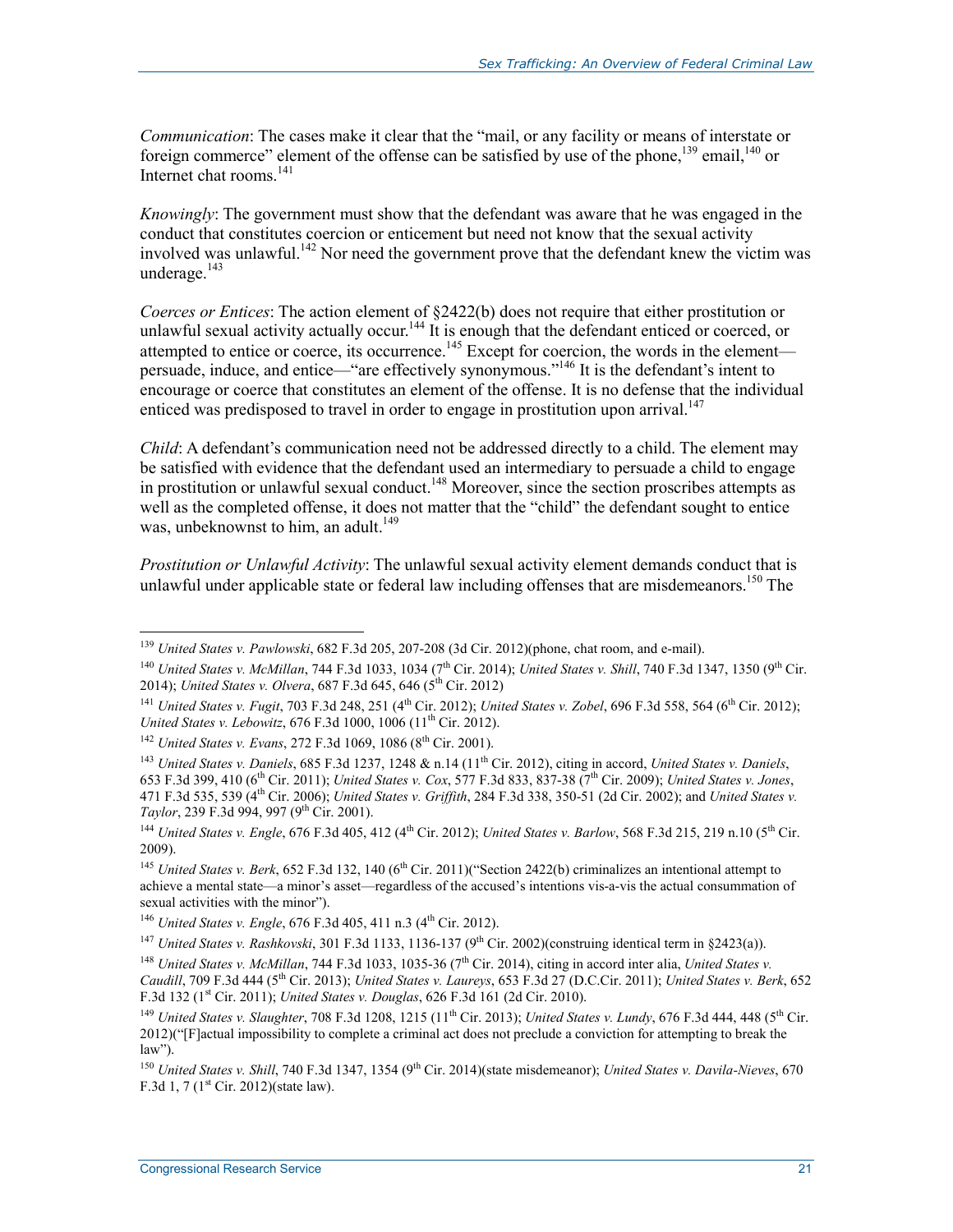*Communication*: The cases make it clear that the "mail, or any facility or means of interstate or foreign commerce" element of the offense can be satisfied by use of the phone,<sup>139</sup> email,<sup>140</sup> or Internet chat rooms.<sup>141</sup>

*Knowingly*: The government must show that the defendant was aware that he was engaged in the conduct that constitutes coercion or enticement but need not know that the sexual activity involved was unlawful.<sup>142</sup> Nor need the government prove that the defendant knew the victim was underage. $^{143}$ 

*Coerces or Entices*: The action element of §2422(b) does not require that either prostitution or unlawful sexual activity actually occur.<sup>144</sup> It is enough that the defendant enticed or coerced, or attempted to entice or coerce, its occurrence.<sup>145</sup> Except for coercion, the words in the element persuade, induce, and entice—"are effectively synonymous."146 It is the defendant's intent to encourage or coerce that constitutes an element of the offense. It is no defense that the individual enticed was predisposed to travel in order to engage in prostitution upon arrival.<sup>147</sup>

*Child*: A defendant's communication need not be addressed directly to a child. The element may be satisfied with evidence that the defendant used an intermediary to persuade a child to engage in prostitution or unlawful sexual conduct.<sup>148</sup> Moreover, since the section proscribes attempts as well as the completed offense, it does not matter that the "child" the defendant sought to entice was, unbeknownst to him, an adult.<sup>149</sup>

*Prostitution or Unlawful Activity*: The unlawful sexual activity element demands conduct that is unlawful under applicable state or federal law including offenses that are misdemeanors.<sup>150</sup> The

<sup>139</sup> *United States v. Pawlowski*, 682 F.3d 205, 207-208 (3d Cir. 2012)(phone, chat room, and e-mail).

<sup>&</sup>lt;sup>140</sup> *United States v. McMillan, 744 F.3d 1033, 1034 (7<sup>th</sup> Cir. 2014); <i>United States v. Shill, 740 F.3d 1347, 1350 (9<sup>th</sup> Cir.* 2014); *United States v. Olvera*, 687 F.3d 645, 646 (5<sup>th</sup> Cir. 2012)

<sup>&</sup>lt;sup>141</sup> *United States v. Fugit, 703* F.3d 248, 251 (4<sup>th</sup> Cir. 2012); *United States v. Zobel, 696* F.3d 558, 564 (6<sup>th</sup> Cir. 2012); *United States v. Lebowitz*, 676 F.3d 1000, 1006 (11<sup>th</sup> Cir. 2012).

<sup>&</sup>lt;sup>142</sup> *United States v. Evans*, 272 F.3d 1069, 1086 (8<sup>th</sup> Cir. 2001).

<sup>143</sup> *United States v. Daniels*, 685 F.3d 1237, 1248 & n.14 (11th Cir. 2012), citing in accord, *United States v. Daniels*, 653 F.3d 399, 410 (6th Cir. 2011); *United States v. Cox*, 577 F.3d 833, 837-38 (7th Cir. 2009); *United States v. Jones*, 471 F.3d 535, 539 (4th Cir. 2006); *United States v. Griffith*, 284 F.3d 338, 350-51 (2d Cir. 2002); and *United States v. Taylor*, 239 F.3d 994, 997 (9<sup>th</sup> Cir. 2001).

<sup>&</sup>lt;sup>144</sup> *United States v. Engle*, 676 F.3d 405, 412 (4<sup>th</sup> Cir. 2012); *United States v. Barlow*, 568 F.3d 215, 219 n.10 (5<sup>th</sup> Cir. 2009).

<sup>&</sup>lt;sup>145</sup> *United States v. Berk*, 652 F.3d 132, 140 (6<sup>th</sup> Cir. 2011)("Section 2422(b) criminalizes an intentional attempt to achieve a mental state—a minor's asset—regardless of the accused's intentions vis-a-vis the actual consummation of sexual activities with the minor").

<sup>&</sup>lt;sup>146</sup> *United States v. Engle*, 676 F.3d 405, 411 n.3 (4<sup>th</sup> Cir. 2012).

<sup>&</sup>lt;sup>147</sup> *United States v. Rashkovski*, 301 F.3d 1133, 1136-137 (9<sup>th</sup> Cir. 2002)(construing identical term in §2423(a)).

<sup>&</sup>lt;sup>148</sup> *United States v. McMillan*, 744 F.3d 1033, 1035-36 (7<sup>th</sup> Cir. 2014), citing in accord inter alia, *United States v. Caudill*, 709 F.3d 444 (5th Cir. 2013); *United States v. Laureys*, 653 F.3d 27 (D.C.Cir. 2011); *United States v. Berk*, 652 F.3d 132 (1st Cir. 2011); *United States v. Douglas*, 626 F.3d 161 (2d Cir. 2010).

<sup>&</sup>lt;sup>149</sup> *United States v. Slaughter*, 708 F.3d 1208, 1215 (11<sup>th</sup> Cir. 2013); *United States v. Lundy*, 676 F.3d 444, 448 (5<sup>th</sup> Cir. 2012)("[F]actual impossibility to complete a criminal act does not preclude a conviction for attempting to break the  $law$ ").

<sup>&</sup>lt;sup>150</sup> *United States v. Shill*, 740 F.3d 1347, 1354 (9<sup>th</sup> Cir. 2014)(state misdemeanor); *United States v. Davila-Nieves*, 670 F.3d 1, 7 ( $1<sup>st</sup>$  Cir. 2012)(state law).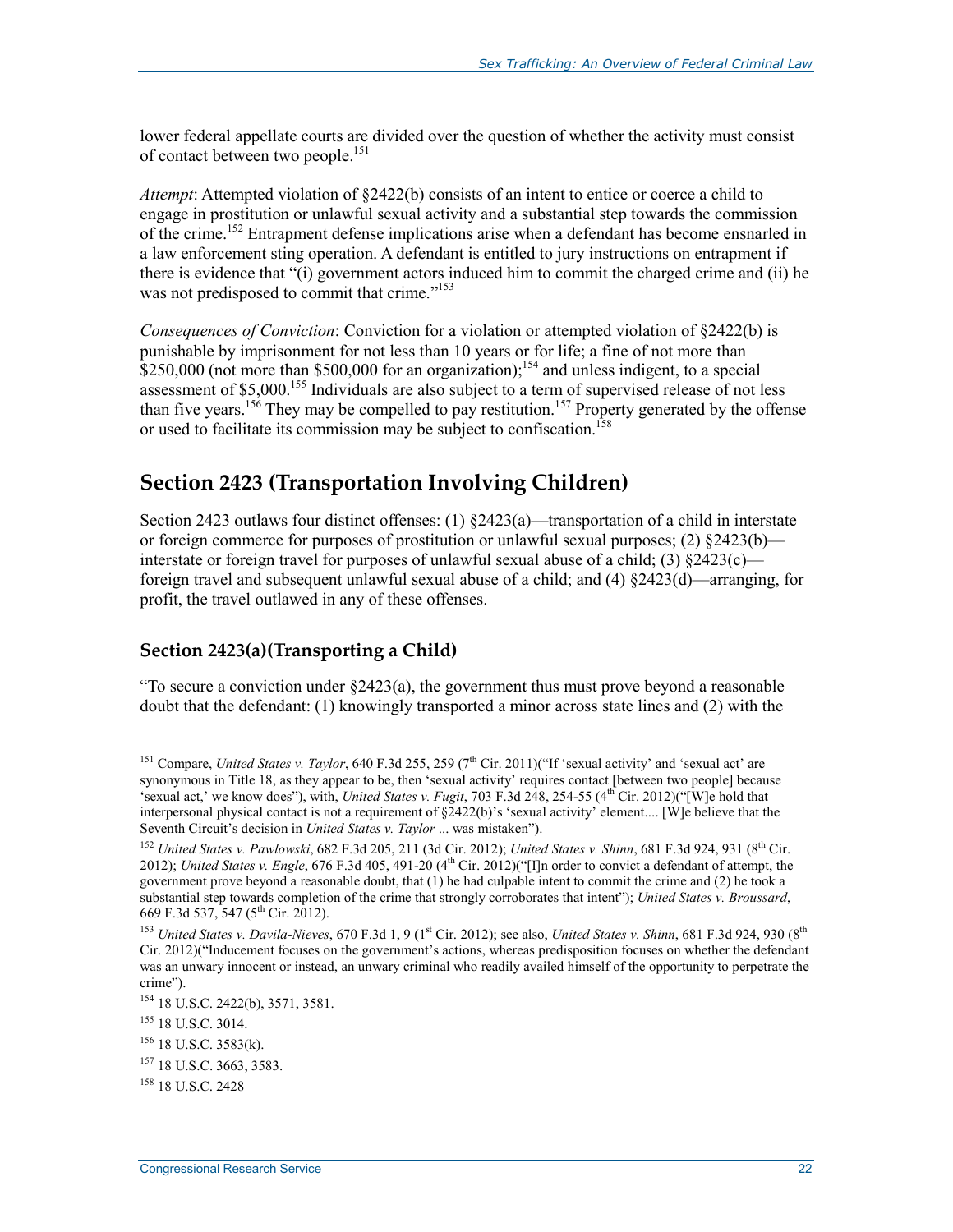lower federal appellate courts are divided over the question of whether the activity must consist of contact between two people.<sup>151</sup>

*Attempt*: Attempted violation of §2422(b) consists of an intent to entice or coerce a child to engage in prostitution or unlawful sexual activity and a substantial step towards the commission of the crime.<sup>152</sup> Entrapment defense implications arise when a defendant has become ensnarled in a law enforcement sting operation. A defendant is entitled to jury instructions on entrapment if there is evidence that "(i) government actors induced him to commit the charged crime and (ii) he was not predisposed to commit that crime."<sup>153</sup>

*Consequences of Conviction*: Conviction for a violation or attempted violation of §2422(b) is punishable by imprisonment for not less than 10 years or for life; a fine of not more than  $\frac{1}{2}$ \$250,000 (not more than \$500,000 for an organization);<sup>154</sup> and unless indigent, to a special assessment of \$5,000.155 Individuals are also subject to a term of supervised release of not less than five years.<sup>156</sup> They may be compelled to pay restitution.<sup>157</sup> Property generated by the offense or used to facilitate its commission may be subject to confiscation.158

#### **Section 2423 (Transportation Involving Children)**

Section 2423 outlaws four distinct offenses: (1)  $\&2423(a)$ —transportation of a child in interstate or foreign commerce for purposes of prostitution or unlawful sexual purposes;  $(2)$  §2423(b) interstate or foreign travel for purposes of unlawful sexual abuse of a child; (3)  $\frac{2423(c)}{}$ foreign travel and subsequent unlawful sexual abuse of a child; and (4) §2423(d)—arranging, for profit, the travel outlawed in any of these offenses.

#### **Section 2423(a)(Transporting a Child)**

"To secure a conviction under  $\S2423(a)$ , the government thus must prove beyond a reasonable doubt that the defendant: (1) knowingly transported a minor across state lines and (2) with the

<u>.</u>

<sup>&</sup>lt;sup>151</sup> Compare, *United States v. Taylor*, 640 F.3d 255, 259 ( $7<sup>th</sup>$  Cir. 2011)("If 'sexual activity' and 'sexual act' are synonymous in Title 18, as they appear to be, then 'sexual activity' requires contact [between two people] because 'sexual act,' we know does"), with, *United States v. Fugit*, 703 F.3d 248, 254-55 (4th Cir. 2012)("[W]e hold that interpersonal physical contact is not a requirement of §2422(b)'s 'sexual activity' element.... [W]e believe that the Seventh Circuit's decision in *United States v. Taylor* ... was mistaken").

<sup>152</sup> *United States v. Pawlowski*, 682 F.3d 205, 211 (3d Cir. 2012); *United States v. Shinn*, 681 F.3d 924, 931 (8th Cir. 2012); *United States v. Engle*, 676 F.3d 405, 491-20 (4<sup>th</sup> Cir. 2012)("[I]n order to convict a defendant of attempt, the government prove beyond a reasonable doubt, that (1) he had culpable intent to commit the crime and (2) he took a substantial step towards completion of the crime that strongly corroborates that intent"); *United States v. Broussard*, 669 F.3d 537, 547 (5th Cir. 2012).

<sup>&</sup>lt;sup>153</sup> United States v. Davila-Nieves, 670 F.3d 1, 9 (1<sup>st</sup> Cir. 2012); see also, *United States v. Shinn*, 681 F.3d 924, 930 (8<sup>th</sup> Cir. 2012)("Inducement focuses on the government's actions, whereas predisposition focuses on whether the defendant was an unwary innocent or instead, an unwary criminal who readily availed himself of the opportunity to perpetrate the crime").

<sup>154 18</sup> U.S.C. 2422(b), 3571, 3581.

<sup>&</sup>lt;sup>155</sup> 18 U.S.C. 3014.

<sup>156 18</sup> U.S.C. 3583(k).

<sup>157 18</sup> U.S.C. 3663, 3583.

<sup>&</sup>lt;sup>158</sup> 18 U.S.C. 2428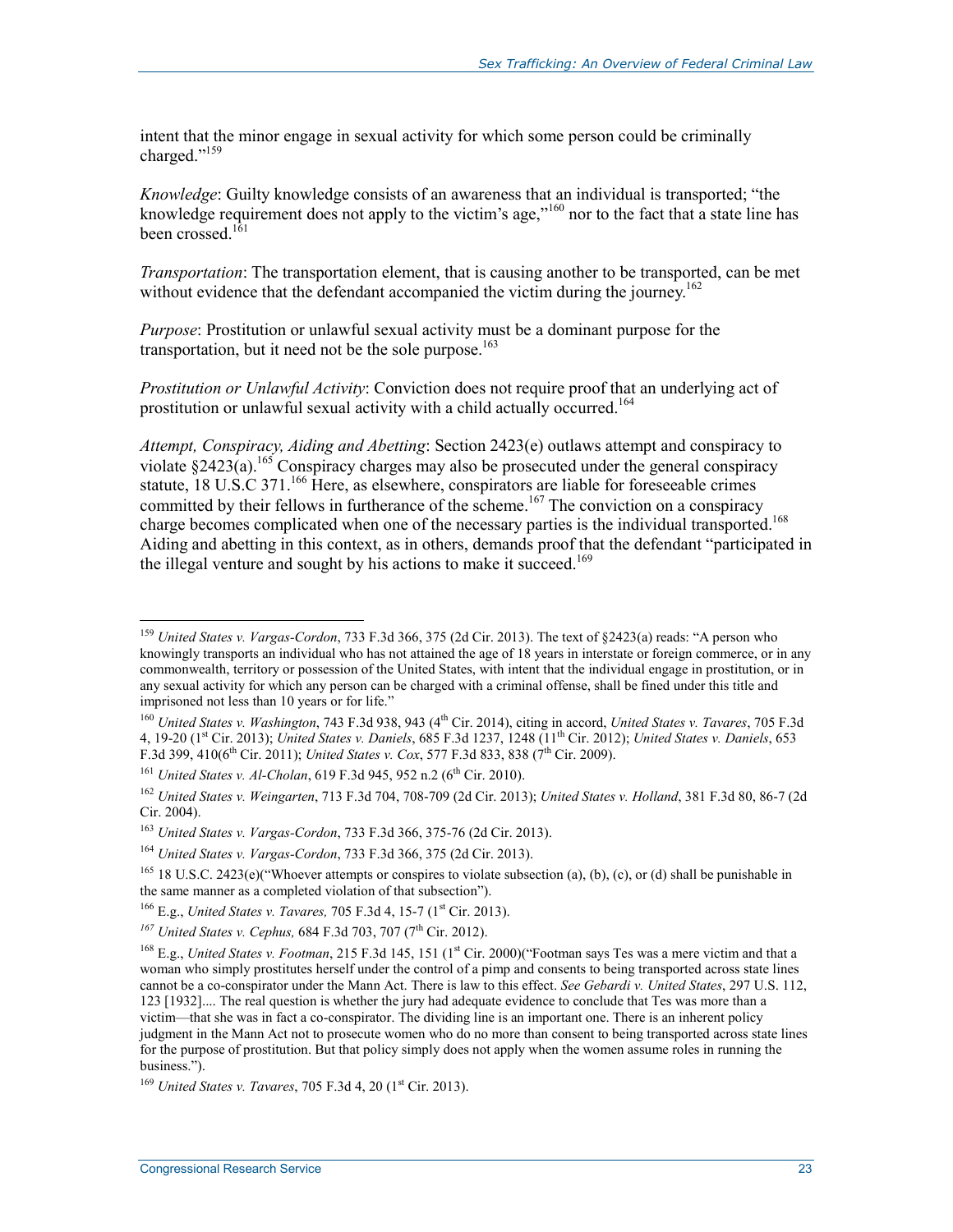intent that the minor engage in sexual activity for which some person could be criminally charged."159

*Knowledge*: Guilty knowledge consists of an awareness that an individual is transported; "the knowledge requirement does not apply to the victim's age,"<sup>160</sup> nor to the fact that a state line has been crossed. $161$ 

*Transportation*: The transportation element, that is causing another to be transported, can be met without evidence that the defendant accompanied the victim during the journey.<sup>162</sup>

*Purpose*: Prostitution or unlawful sexual activity must be a dominant purpose for the transportation, but it need not be the sole purpose. $163$ 

*Prostitution or Unlawful Activity*: Conviction does not require proof that an underlying act of prostitution or unlawful sexual activity with a child actually occurred.<sup>164</sup>

*Attempt, Conspiracy, Aiding and Abetting*: Section 2423(e) outlaws attempt and conspiracy to violate  $\S 2423(a)$ .<sup>165</sup> Conspiracy charges may also be prosecuted under the general conspiracy statute, 18 U.S.C 371.<sup>166</sup> Here, as elsewhere, conspirators are liable for foreseeable crimes committed by their fellows in furtherance of the scheme.<sup>167</sup> The conviction on a conspiracy charge becomes complicated when one of the necessary parties is the individual transported.<sup>168</sup> Aiding and abetting in this context, as in others, demands proof that the defendant "participated in the illegal venture and sought by his actions to make it succeed.<sup>169</sup>

<sup>159</sup> *United States v. Vargas-Cordon*, 733 F.3d 366, 375 (2d Cir. 2013). The text of §2423(a) reads: "A person who knowingly transports an individual who has not attained the age of 18 years in interstate or foreign commerce, or in any commonwealth, territory or possession of the United States, with intent that the individual engage in prostitution, or in any sexual activity for which any person can be charged with a criminal offense, shall be fined under this title and imprisoned not less than 10 years or for life."

<sup>160</sup> *United States v. Washington*, 743 F.3d 938, 943 (4th Cir. 2014), citing in accord, *United States v. Tavares*, 705 F.3d 4, 19-20 (1st Cir. 2013); *United States v. Daniels*, 685 F.3d 1237, 1248 (11th Cir. 2012); *United States v. Daniels*, 653 F.3d 399, 410(6<sup>th</sup> Cir. 2011); *United States v. Cox*, 577 F.3d 833, 838 (7<sup>th</sup> Cir. 2009).

<sup>&</sup>lt;sup>161</sup> *United States v. Al-Cholan*, 619 F.3d 945, 952 n.2 (6<sup>th</sup> Cir. 2010).

<sup>162</sup> *United States v. Weingarten*, 713 F.3d 704, 708-709 (2d Cir. 2013); *United States v. Holland*, 381 F.3d 80, 86-7 (2d Cir. 2004).

<sup>163</sup> *United States v. Vargas-Cordon*, 733 F.3d 366, 375-76 (2d Cir. 2013).

<sup>164</sup> *United States v. Vargas-Cordon*, 733 F.3d 366, 375 (2d Cir. 2013).

<sup>&</sup>lt;sup>165</sup> 18 U.S.C. 2423(e)("Whoever attempts or conspires to violate subsection (a), (b), (c), or (d) shall be punishable in the same manner as a completed violation of that subsection").

<sup>&</sup>lt;sup>166</sup> E.g., *United States v. Tavares, 705 F.3d 4, 15-7 (1<sup>st</sup> Cir. 2013).* 

<sup>&</sup>lt;sup>167</sup> United States v. Cephus, 684 F.3d 703, 707 (7<sup>th</sup> Cir. 2012).

<sup>&</sup>lt;sup>168</sup> E.g., *United States v. Footman*, 215 F.3d 145, 151 (1<sup>st</sup> Cir. 2000)("Footman says Tes was a mere victim and that a woman who simply prostitutes herself under the control of a pimp and consents to being transported across state lines cannot be a co-conspirator under the Mann Act. There is law to this effect. *See Gebardi v. United States*, 297 U.S. 112, 123 [1932].... The real question is whether the jury had adequate evidence to conclude that Tes was more than a victim—that she was in fact a co-conspirator. The dividing line is an important one. There is an inherent policy judgment in the Mann Act not to prosecute women who do no more than consent to being transported across state lines for the purpose of prostitution. But that policy simply does not apply when the women assume roles in running the business.").

<sup>&</sup>lt;sup>169</sup> *United States v. Tavares*, 705 F.3d 4, 20 (1<sup>st</sup> Cir. 2013).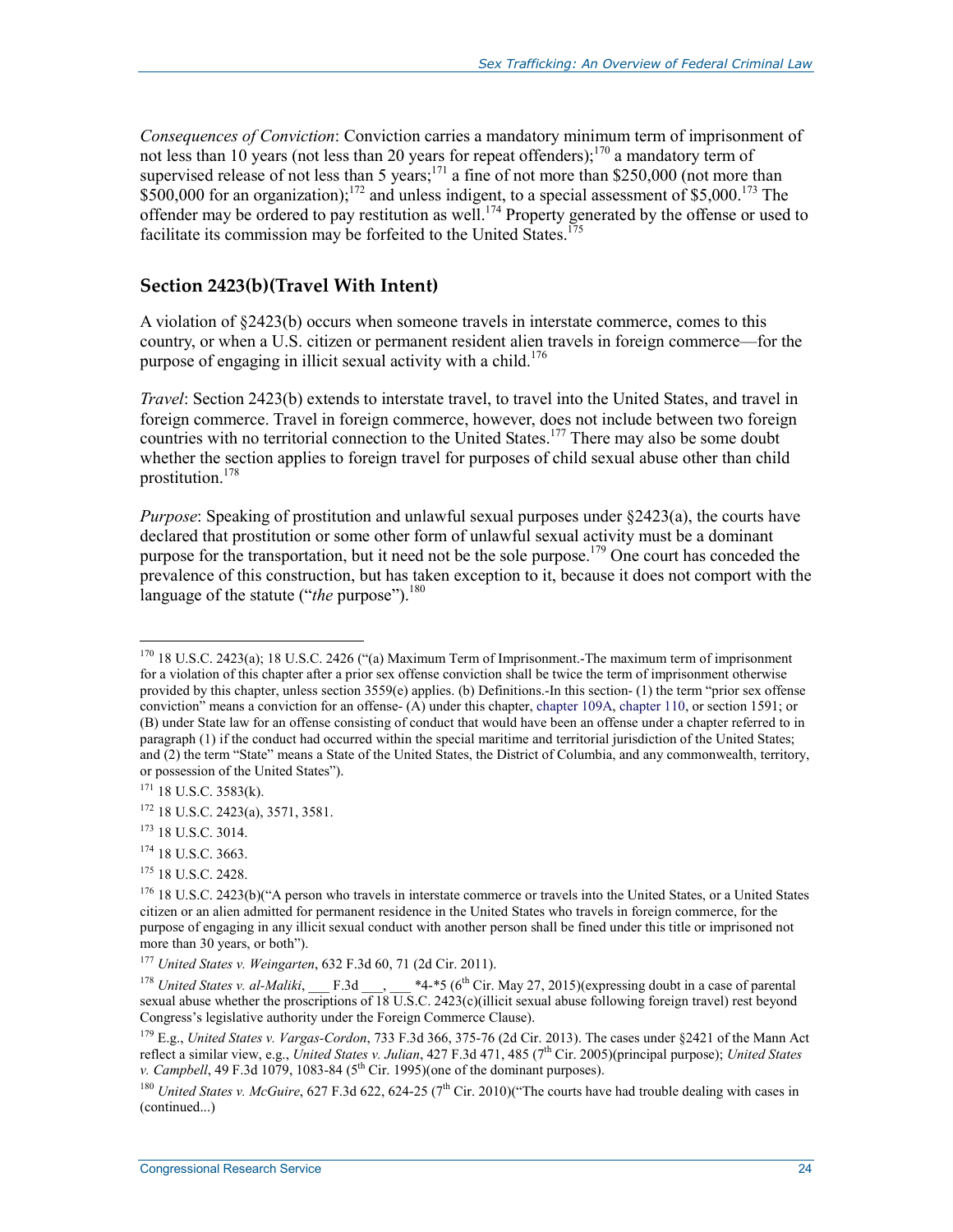*Consequences of Conviction*: Conviction carries a mandatory minimum term of imprisonment of not less than 10 years (not less than 20 years for repeat offenders);<sup>170</sup> a mandatory term of supervised release of not less than 5 years;<sup>171</sup> a fine of not more than \$250,000 (not more than  $$500,000$  for an organization);<sup>172</sup> and unless indigent, to a special assessment of \$5,000.<sup>173</sup> The offender may be ordered to pay restitution as well.<sup>174</sup> Property generated by the offense or used to facilitate its commission may be forfeited to the United States.<sup>175</sup>

#### **Section 2423(b)(Travel With Intent)**

A violation of §2423(b) occurs when someone travels in interstate commerce, comes to this country, or when a U.S. citizen or permanent resident alien travels in foreign commerce—for the purpose of engaging in illicit sexual activity with a child.<sup>176</sup>

*Travel*: Section 2423(b) extends to interstate travel, to travel into the United States, and travel in foreign commerce. Travel in foreign commerce, however, does not include between two foreign countries with no territorial connection to the United States.<sup>177</sup> There may also be some doubt whether the section applies to foreign travel for purposes of child sexual abuse other than child prostitution.178

*Purpose*: Speaking of prostitution and unlawful sexual purposes under §2423(a), the courts have declared that prostitution or some other form of unlawful sexual activity must be a dominant purpose for the transportation, but it need not be the sole purpose.<sup>179</sup> One court has conceded the prevalence of this construction, but has taken exception to it, because it does not comport with the language of the statute ("*the* purpose").<sup>180</sup>

- $174$  18 U.S.C. 3663.
- <sup>175</sup> 18 U.S.C. 2428.

<sup>170 18</sup> U.S.C. 2423(a); 18 U.S.C. 2426 ("(a) Maximum Term of Imprisonment.-The maximum term of imprisonment for a violation of this chapter after a prior sex offense conviction shall be twice the term of imprisonment otherwise provided by this chapter, unless section 3559(e) applies. (b) Definitions.-In this section- (1) the term "prior sex offense conviction" means a conviction for an offense- (A) under this chapter, chapter 109A, chapter 110, or section 1591; or (B) under State law for an offense consisting of conduct that would have been an offense under a chapter referred to in paragraph (1) if the conduct had occurred within the special maritime and territorial jurisdiction of the United States; and (2) the term "State" means a State of the United States, the District of Columbia, and any commonwealth, territory, or possession of the United States").

<sup>171 18</sup> U.S.C. 3583(k).

<sup>172 18</sup> U.S.C. 2423(a), 3571, 3581.

<sup>173 18</sup> U.S.C. 3014.

<sup>&</sup>lt;sup>176</sup> 18 U.S.C. 2423(b)("A person who travels in interstate commerce or travels into the United States, or a United States citizen or an alien admitted for permanent residence in the United States who travels in foreign commerce, for the purpose of engaging in any illicit sexual conduct with another person shall be fined under this title or imprisoned not more than 30 years, or both").

<sup>177</sup> *United States v. Weingarten*, 632 F.3d 60, 71 (2d Cir. 2011).

<sup>&</sup>lt;sup>178</sup> *United States v. al-Maliki*, F.3d  $*4-*5$  (6<sup>th</sup> Cir. May 27, 2015)(expressing doubt in a case of parental sexual abuse whether the proscriptions of  $18 \overline{\text{U.S}}$ .C. 2423(c)(illicit sexual abuse following foreign travel) rest beyond Congress's legislative authority under the Foreign Commerce Clause).

<sup>179</sup> E.g., *United States v. Vargas-Cordon*, 733 F.3d 366, 375-76 (2d Cir. 2013). The cases under §2421 of the Mann Act reflect a similar view, e.g., *United States v. Julian*, 427 F.3d 471, 485 (7th Cir. 2005)(principal purpose); *United States v. Campbell*, 49 F.3d 1079, 1083-84 (5<sup>th</sup> Cir. 1995)(one of the dominant purposes).

<sup>&</sup>lt;sup>180</sup> *United States v. McGuire*, 627 F.3d 622, 624-25 (7<sup>th</sup> Cir. 2010)("The courts have had trouble dealing with cases in (continued...)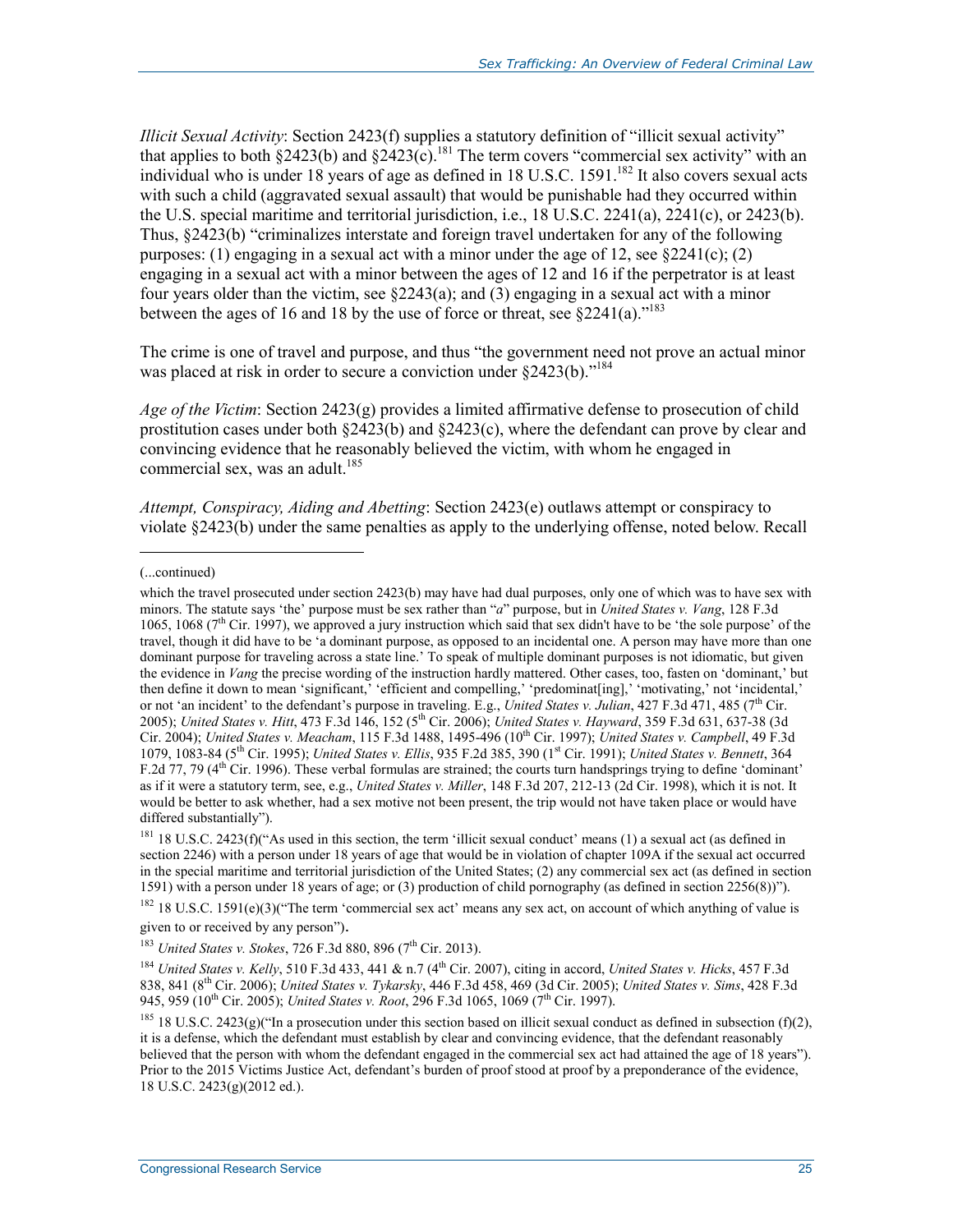*Illicit Sexual Activity*: Section 2423(f) supplies a statutory definition of "illicit sexual activity" that applies to both §2423(b) and §2423(c).<sup>181</sup> The term covers "commercial sex activity" with an individual who is under 18 years of age as defined in  $18$  U.S.C. 1591.<sup>182</sup> It also covers sexual acts with such a child (aggravated sexual assault) that would be punishable had they occurred within the U.S. special maritime and territorial jurisdiction, i.e., 18 U.S.C. 2241(a), 2241(c), or 2423(b). Thus, §2423(b) "criminalizes interstate and foreign travel undertaken for any of the following purposes: (1) engaging in a sexual act with a minor under the age of 12, see  $\S 2241(c)$ ; (2) engaging in a sexual act with a minor between the ages of 12 and 16 if the perpetrator is at least four years older than the victim, see  $\S2243(a)$ ; and (3) engaging in a sexual act with a minor between the ages of 16 and 18 by the use of force or threat, see  $§2241(a).$ <sup>183</sup>

The crime is one of travel and purpose, and thus "the government need not prove an actual minor was placed at risk in order to secure a conviction under §2423(b)."<sup>184</sup>

*Age of the Victim*: Section 2423(g) provides a limited affirmative defense to prosecution of child prostitution cases under both  $\S2423(b)$  and  $\S2423(c)$ , where the defendant can prove by clear and convincing evidence that he reasonably believed the victim, with whom he engaged in commercial sex, was an adult.<sup>185</sup>

*Attempt, Conspiracy, Aiding and Abetting*: Section 2423(e) outlaws attempt or conspiracy to violate §2423(b) under the same penalties as apply to the underlying offense, noted below. Recall

 $\overline{a}$ 

<sup>182</sup> 18 U.S.C. 1591(e)(3)("The term 'commercial sex act' means any sex act, on account of which anything of value is given to or received by any person").

<sup>(...</sup>continued)

which the travel prosecuted under section 2423(b) may have had dual purposes, only one of which was to have sex with minors. The statute says 'the' purpose must be sex rather than "*a*" purpose, but in *United States v. Vang*, 128 F.3d 1065, 1068 (7th Cir. 1997), we approved a jury instruction which said that sex didn't have to be 'the sole purpose' of the travel, though it did have to be 'a dominant purpose, as opposed to an incidental one. A person may have more than one dominant purpose for traveling across a state line.' To speak of multiple dominant purposes is not idiomatic, but given the evidence in *Vang* the precise wording of the instruction hardly mattered. Other cases, too, fasten on 'dominant,' but then define it down to mean 'significant,' 'efficient and compelling,' 'predominat[ing],' 'motivating,' not 'incidental,' or not 'an incident' to the defendant's purpose in traveling. E.g., *United States v. Julian*, 427 F.3d 471, 485 (7<sup>th</sup> Cir. 2005); *United States v. Hitt*, 473 F.3d 146, 152 (5th Cir. 2006); *United States v. Hayward*, 359 F.3d 631, 637-38 (3d Cir. 2004); *United States v. Meacham*, 115 F.3d 1488, 1495-496 (10<sup>th</sup> Cir. 1997); *United States v. Campbell*, 49 F.3d 1079, 1083-84 (5th Cir. 1995); *United States v. Ellis*, 935 F.2d 385, 390 (1st Cir. 1991); *United States v. Bennett*, 364 F.2d 77, 79 (4<sup>th</sup> Cir. 1996). These verbal formulas are strained; the courts turn handsprings trying to define 'dominant' as if it were a statutory term, see, e.g., *United States v. Miller*, 148 F.3d 207, 212-13 (2d Cir. 1998), which it is not. It would be better to ask whether, had a sex motive not been present, the trip would not have taken place or would have differed substantially").

<sup>&</sup>lt;sup>181</sup> 18 U.S.C. 2423(f)("As used in this section, the term 'illicit sexual conduct' means (1) a sexual act (as defined in section 2246) with a person under 18 years of age that would be in violation of chapter 109A if the sexual act occurred in the special maritime and territorial jurisdiction of the United States; (2) any commercial sex act (as defined in section 1591) with a person under 18 years of age; or (3) production of child pornography (as defined in section 2256(8))").

<sup>&</sup>lt;sup>183</sup> *United States v. Stokes*, 726 F.3d 880, 896 (7<sup>th</sup> Cir. 2013).

<sup>&</sup>lt;sup>184</sup> *United States v. Kelly*, 510 F.3d 433, 441 & n.7 (4<sup>th</sup> Cir. 2007), citing in accord, *United States v. Hicks*, 457 F.3d 838, 841 (8th Cir. 2006); *United States v. Tykarsky*, 446 F.3d 458, 469 (3d Cir. 2005); *United States v. Sims*, 428 F.3d 945, 959 (10th Cir. 2005); *United States v. Root*, 296 F.3d 1065, 1069 (7th Cir. 1997).

<sup>&</sup>lt;sup>185</sup> 18 U.S.C. 2423(g)("In a prosecution under this section based on illicit sexual conduct as defined in subsection (f)(2), it is a defense, which the defendant must establish by clear and convincing evidence, that the defendant reasonably believed that the person with whom the defendant engaged in the commercial sex act had attained the age of 18 years"). Prior to the 2015 Victims Justice Act, defendant's burden of proof stood at proof by a preponderance of the evidence, 18 U.S.C. 2423(g)(2012 ed.).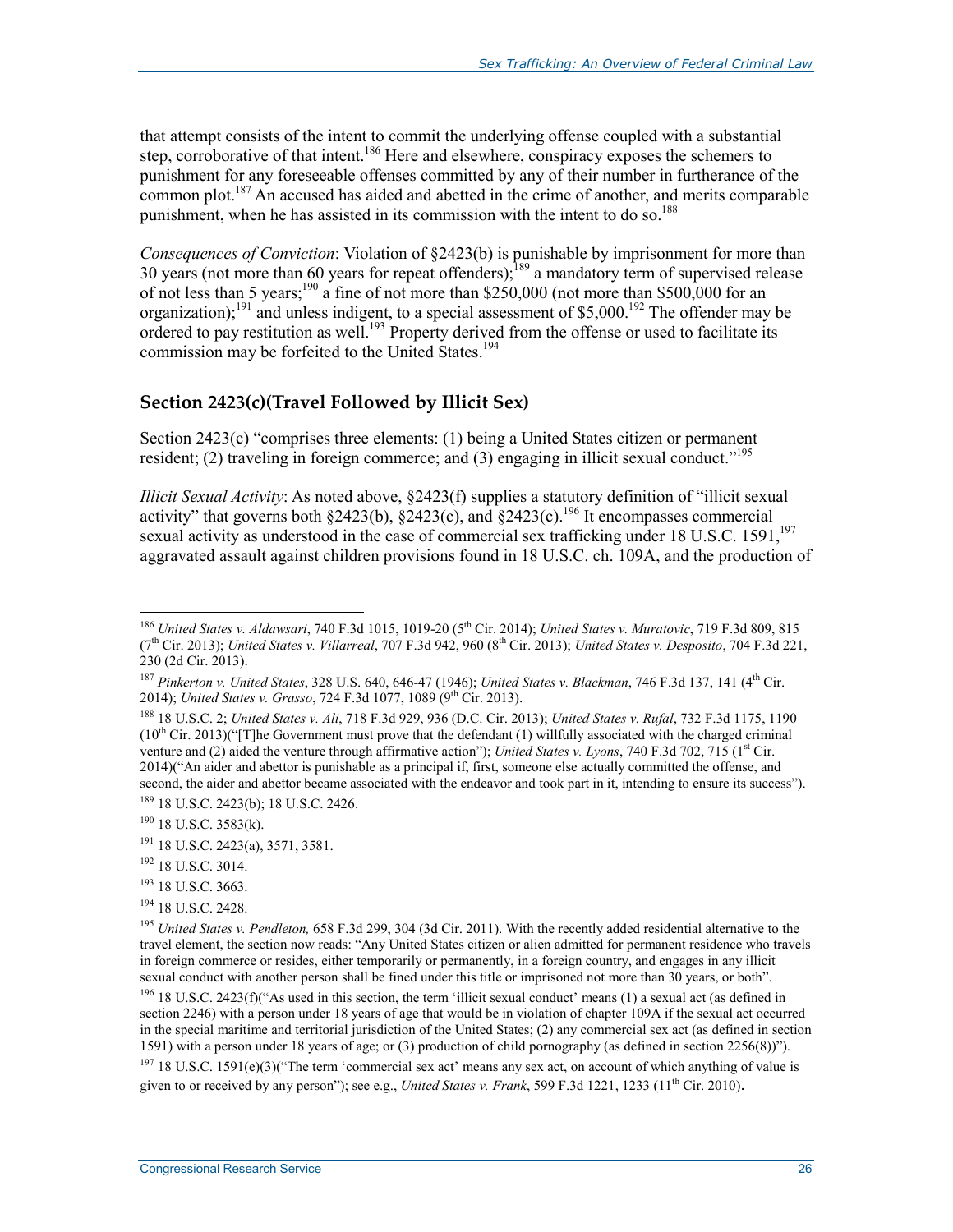that attempt consists of the intent to commit the underlying offense coupled with a substantial step, corroborative of that intent.<sup>186</sup> Here and elsewhere, conspiracy exposes the schemers to punishment for any foreseeable offenses committed by any of their number in furtherance of the common plot.<sup>187</sup> An accused has aided and abetted in the crime of another, and merits comparable punishment, when he has assisted in its commission with the intent to do so.<sup>188</sup>

*Consequences of Conviction*: Violation of §2423(b) is punishable by imprisonment for more than 30 years (not more than 60 years for repeat offenders);<sup>189</sup> a mandatory term of supervised release of not less than 5 years;<sup>190</sup> a fine of not more than \$250,000 (not more than \$500,000 for an organization);191 and unless indigent, to a special assessment of \$5,000.192 The offender may be ordered to pay restitution as well.<sup>193</sup> Property derived from the offense or used to facilitate its commission may be forfeited to the United States.<sup>194</sup>

#### **Section 2423(c)(Travel Followed by Illicit Sex)**

Section 2423(c) "comprises three elements: (1) being a United States citizen or permanent resident; (2) traveling in foreign commerce; and (3) engaging in illicit sexual conduct.<sup> $195$ </sup>

*Illicit Sexual Activity*: As noted above, §2423(f) supplies a statutory definition of "illicit sexual activity" that governs both §2423(b), §2423(c), and §2423(c).<sup>196</sup> It encompasses commercial sexual activity as understood in the case of commercial sex trafficking under 18 U.S.C. 1591,<sup>197</sup> aggravated assault against children provisions found in 18 U.S.C. ch. 109A, and the production of

<sup>186</sup> *United States v. Aldawsari*, 740 F.3d 1015, 1019-20 (5th Cir. 2014); *United States v. Muratovic*, 719 F.3d 809, 815 (7th Cir. 2013); *United States v. Villarreal*, 707 F.3d 942, 960 (8th Cir. 2013); *United States v. Desposito*, 704 F.3d 221, 230 (2d Cir. 2013).

<sup>187</sup> *Pinkerton v. United States*, 328 U.S. 640, 646-47 (1946); *United States v. Blackman*, 746 F.3d 137, 141 (4th Cir. 2014); *United States v. Grasso*, 724 F.3d 1077, 1089 (9<sup>th</sup> Cir. 2013).

<sup>188 18</sup> U.S.C. 2; *United States v. Ali*, 718 F.3d 929, 936 (D.C. Cir. 2013); *United States v. Rufal*, 732 F.3d 1175, 1190  $(10<sup>th</sup> Cir. 2013)'$  [T]he Government must prove that the defendant (1) willfully associated with the charged criminal venture and (2) aided the venture through affirmative action"); *United States v. Lyons*, 740 F.3d 702, 715 ( $1<sup>st</sup>$  Cir. 2014)("An aider and abettor is punishable as a principal if, first, someone else actually committed the offense, and second, the aider and abettor became associated with the endeavor and took part in it, intending to ensure its success"). 189 18 U.S.C. 2423(b); 18 U.S.C. 2426.

 $190$  18 U.S.C. 3583(k).

<sup>191 18</sup> U.S.C. 2423(a), 3571, 3581.

<sup>192 18</sup> U.S.C. 3014.

<sup>193 18</sup> U.S.C. 3663.

<sup>194 18</sup> U.S.C. 2428.

<sup>195</sup> *United States v. Pendleton,* 658 F.3d 299, 304 (3d Cir. 2011). With the recently added residential alternative to the travel element, the section now reads: "Any United States citizen or alien admitted for permanent residence who travels in foreign commerce or resides, either temporarily or permanently, in a foreign country, and engages in any illicit sexual conduct with another person shall be fined under this title or imprisoned not more than 30 years, or both".

 $196$  18 U.S.C. 2423(f)("As used in this section, the term 'illicit sexual conduct' means (1) a sexual act (as defined in section 2246) with a person under 18 years of age that would be in violation of chapter 109A if the sexual act occurred in the special maritime and territorial jurisdiction of the United States; (2) any commercial sex act (as defined in section 1591) with a person under 18 years of age; or (3) production of child pornography (as defined in section 2256(8))").

<sup>&</sup>lt;sup>197</sup> 18 U.S.C. 1591(e)(3)("The term 'commercial sex act' means any sex act, on account of which anything of value is given to or received by any person"); see e.g., *United States v. Frank*, 599 F.3d 1221, 1233 (11<sup>th</sup> Cir. 2010).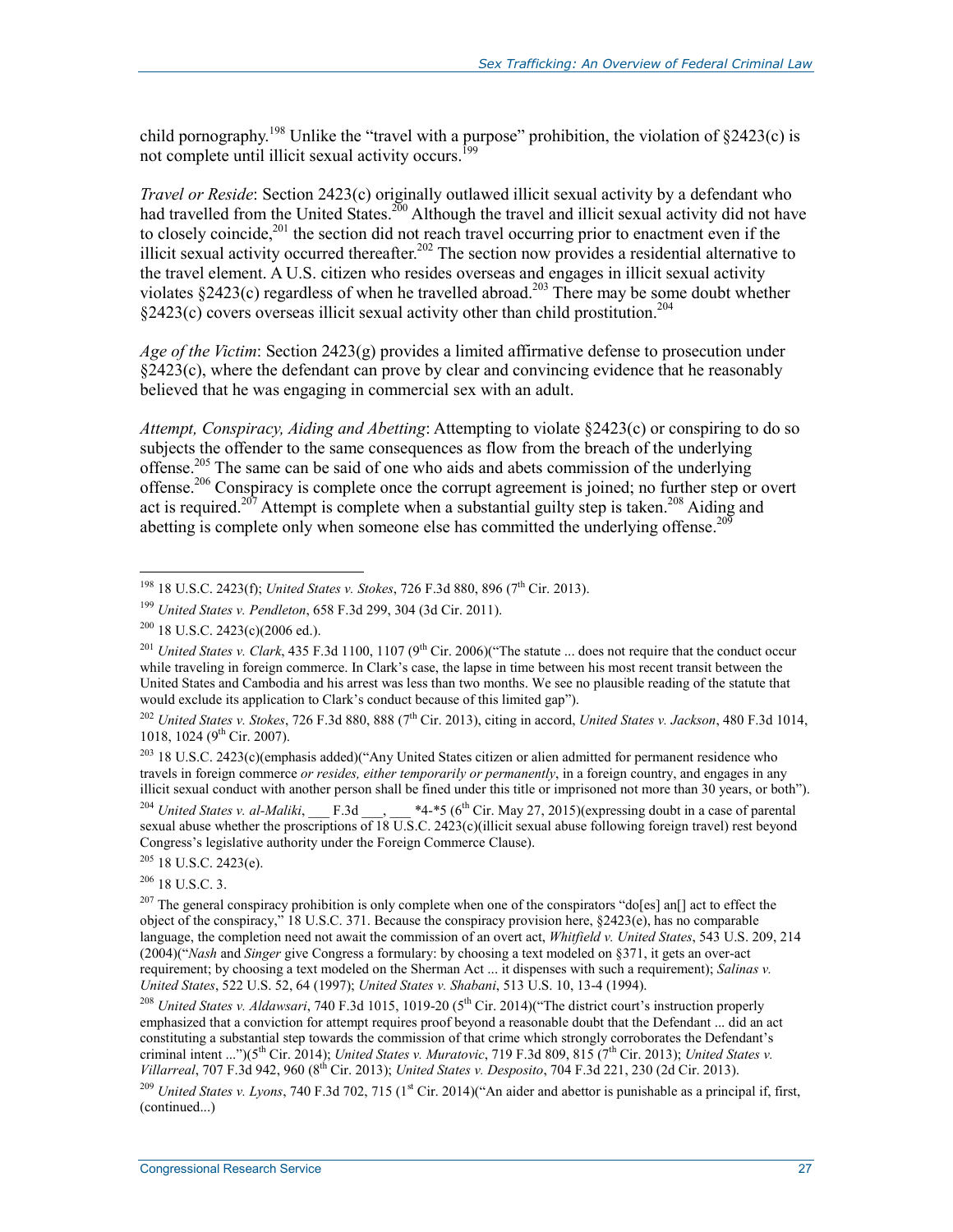child pornography.<sup>198</sup> Unlike the "travel with a purpose" prohibition, the violation of  $\S 2423(c)$  is not complete until illicit sexual activity occurs.<sup>199</sup>

*Travel or Reside*: Section 2423(c) originally outlawed illicit sexual activity by a defendant who had travelled from the United States.<sup>200</sup> Although the travel and illicit sexual activity did not have to closely coincide,<sup>201</sup> the section did not reach travel occurring prior to enactment even if the illicit sexual activity occurred thereafter.<sup>202</sup> The section now provides a residential alternative to the travel element. A U.S. citizen who resides overseas and engages in illicit sexual activity violates §2423(c) regardless of when he travelled abroad.<sup>203</sup> There may be some doubt whether  $\S2423(c)$  covers overseas illicit sexual activity other than child prostitution.<sup>204</sup>

*Age of the Victim*: Section 2423(g) provides a limited affirmative defense to prosecution under §2423(c), where the defendant can prove by clear and convincing evidence that he reasonably believed that he was engaging in commercial sex with an adult.

*Attempt, Conspiracy, Aiding and Abetting*: Attempting to violate §2423(c) or conspiring to do so subjects the offender to the same consequences as flow from the breach of the underlying offense.<sup>205</sup> The same can be said of one who aids and abets commission of the underlying offense.<sup>206</sup> Conspiracy is complete once the corrupt agreement is joined; no further step or overt act is required.<sup>207</sup> Attempt is complete when a substantial guilty step is taken.<sup>208</sup> Aiding and abetting is complete only when someone else has committed the underlying offense.<sup>209</sup>

1

<sup>204</sup> *United States v. al-Maliki*,  $R_3$  F.3d  $R_4$  \*4-\*5 (6<sup>th</sup> Cir. May 27, 2015)(expressing doubt in a case of parental sexual abuse whether the proscriptions of 18 U.S.C. 2423(c)(illicit sexual abuse following foreign travel) rest beyond Congress's legislative authority under the Foreign Commerce Clause).

 $206$  18 U.S.C. 3.

<sup>&</sup>lt;sup>198</sup> 18 U.S.C. 2423(f); *United States v. Stokes*, 726 F.3d 880, 896 (7<sup>th</sup> Cir. 2013).

<sup>199</sup> *United States v. Pendleton*, 658 F.3d 299, 304 (3d Cir. 2011).

 $200$  18 U.S.C. 2423(c)(2006 ed.).

<sup>&</sup>lt;sup>201</sup> *United States v. Clark*, 435 F.3d 1100, 1107 (9<sup>th</sup> Cir. 2006)("The statute ... does not require that the conduct occur while traveling in foreign commerce. In Clark's case, the lapse in time between his most recent transit between the United States and Cambodia and his arrest was less than two months. We see no plausible reading of the statute that would exclude its application to Clark's conduct because of this limited gap").

<sup>&</sup>lt;sup>202</sup> *United States v. Stokes, 726 F.3d 880, 888 (7<sup>th</sup> Cir. 2013), citing in accord, <i>United States v. Jackson, 480 F.3d 1014*, 1018, 1024 (9<sup>th</sup> Cir. 2007).

<sup>203 18</sup> U.S.C. 2423(c)(emphasis added)("Any United States citizen or alien admitted for permanent residence who travels in foreign commerce *or resides, either temporarily or permanently*, in a foreign country, and engages in any illicit sexual conduct with another person shall be fined under this title or imprisoned not more than 30 years, or both").

 $205$  18 U.S.C. 2423(e).

<sup>&</sup>lt;sup>207</sup> The general conspiracy prohibition is only complete when one of the conspirators "do[es] an[] act to effect the object of the conspiracy," 18 U.S.C. 371. Because the conspiracy provision here, §2423(e), has no comparable language, the completion need not await the commission of an overt act, *Whitfield v. United States*, 543 U.S. 209, 214 (2004)("*Nash* and *Singer* give Congress a formulary: by choosing a text modeled on §371, it gets an over-act requirement; by choosing a text modeled on the Sherman Act ... it dispenses with such a requirement); *Salinas v. United States*, 522 U.S. 52, 64 (1997); *United States v. Shabani*, 513 U.S. 10, 13-4 (1994).

<sup>&</sup>lt;sup>208</sup> *United States v. Aldawsari*, 740 F.3d 1015, 1019-20 (5<sup>th</sup> Cir. 2014)("The district court's instruction properly emphasized that a conviction for attempt requires proof beyond a reasonable doubt that the Defendant ... did an act constituting a substantial step towards the commission of that crime which strongly corroborates the Defendant's criminal intent ...")(5<sup>th</sup> Cir. 2014); *United States v. Muratovic*, 719 F.3d 809, 815 (7<sup>th</sup> Cir. 2013); *United States v. Villarreal*, 707 F.3d 942, 960 (8th Cir. 2013); *United States v. Desposito*, 704 F.3d 221, 230 (2d Cir. 2013).

<sup>&</sup>lt;sup>209</sup> *United States v. Lyons*, 740 F.3d 702, 715 (1<sup>st</sup> Cir. 2014)("An aider and abettor is punishable as a principal if, first, (continued...)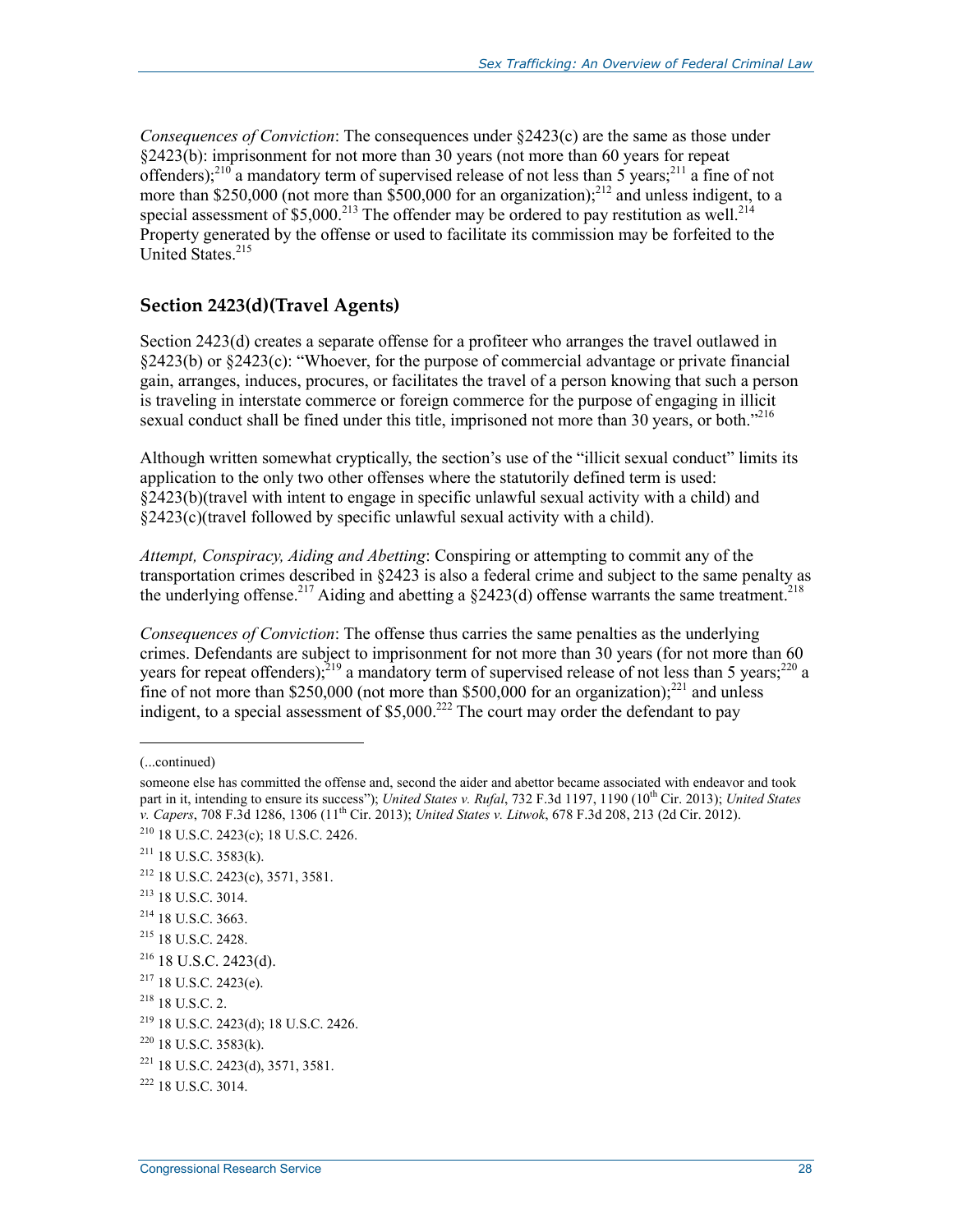*Consequences of Conviction*: The consequences under §2423(c) are the same as those under §2423(b): imprisonment for not more than 30 years (not more than 60 years for repeat offenders);<sup>210</sup> a mandatory term of supervised release of not less than 5 years;<sup>211</sup> a fine of not more than \$250,000 (not more than  $$500,000$  for an organization);<sup>212</sup> and unless indigent, to a special assessment of \$5,000.<sup>213</sup> The offender may be ordered to pay restitution as well.<sup>214</sup> Property generated by the offense or used to facilitate its commission may be forfeited to the United States<sup>215</sup>

#### **Section 2423(d)(Travel Agents)**

Section 2423(d) creates a separate offense for a profiteer who arranges the travel outlawed in §2423(b) or §2423(c): "Whoever, for the purpose of commercial advantage or private financial gain, arranges, induces, procures, or facilitates the travel of a person knowing that such a person is traveling in interstate commerce or foreign commerce for the purpose of engaging in illicit sexual conduct shall be fined under this title, imprisoned not more than 30 years, or both."<sup>216</sup>

Although written somewhat cryptically, the section's use of the "illicit sexual conduct" limits its application to the only two other offenses where the statutorily defined term is used: §2423(b)(travel with intent to engage in specific unlawful sexual activity with a child) and §2423(c)(travel followed by specific unlawful sexual activity with a child).

*Attempt, Conspiracy, Aiding and Abetting*: Conspiring or attempting to commit any of the transportation crimes described in §2423 is also a federal crime and subject to the same penalty as the underlying offense.<sup>217</sup> Aiding and abetting a  $\S$ 2423(d) offense warrants the same treatment.<sup>218</sup>

*Consequences of Conviction*: The offense thus carries the same penalties as the underlying crimes. Defendants are subject to imprisonment for not more than 30 years (for not more than 60 years for repeat offenders);  $2^{19}$  a mandatory term of supervised release of not less than 5 years;  $2^{20}$  a fine of not more than \$250,000 (not more than \$500,000 for an organization);<sup>221</sup> and unless indigent, to a special assessment of \$5,000.<sup>222</sup> The court may order the defendant to pay

1

<sup>216</sup> 18 U.S.C. 2423(d).<br><sup>217</sup> 18 U.S.C. 2423(e).

<sup>(...</sup>continued)

someone else has committed the offense and, second the aider and abettor became associated with endeavor and took part in it, intending to ensure its success"); *United States v. Rufal*, 732 F.3d 1197, 1190 (10<sup>th</sup> Cir. 2013); *United States v. Capers*, 708 F.3d 1286, 1306 (11th Cir. 2013); *United States v. Litwok*, 678 F.3d 208, 213 (2d Cir. 2012).

<sup>210 18</sup> U.S.C. 2423(c); 18 U.S.C. 2426.

 $211$  18 U.S.C. 3583(k).

<sup>212 18</sup> U.S.C. 2423(c), 3571, 3581.

<sup>213 18</sup> U.S.C. 3014.

<sup>214 18</sup> U.S.C. 3663.

<sup>215 18</sup> U.S.C. 2428.

 $218$  18 U.S.C. 2.

<sup>219 18</sup> U.S.C. 2423(d); 18 U.S.C. 2426.

<sup>220 18</sup> U.S.C. 3583(k).

<sup>221 18</sup> U.S.C. 2423(d), 3571, 3581.

 $^{222}$  18 U.S.C. 3014